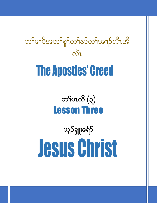တ႑်မၫဖိအတ႑်စူ႑်တ႑်နှာ်တ႑်အ႑ာဉ်လီၤအိ  $\frac{1}{2}$ **The Apostles' Creed** 

> $\infty$ ior $\infty$  $\left( \infty \right)$ **Lesson Three**

ယ့ဉ်ရျူးခရံဉ် **Jesus Christ**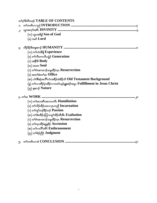| တ <sup>5</sup> က် <sup>58</sup> တီတဖဉ် TABLE OF CONTENTS                                                       |
|----------------------------------------------------------------------------------------------------------------|
|                                                                                                                |
| $\cdot$                                                                                                        |
| $(\infty)$ ယွာအဖိခွါ ${\bf Son}$ of ${\bf God}$                                                                |
| (ခ) ကစ $\epsilon$ Lord                                                                                         |
|                                                                                                                |
| (က) တ <sup>ှ</sup> လဲၤနီဖြံ Experience                                                                         |
| (ခ) တ <sup>ှ</sup> လီၤစπလီၤသွဲဉ် $\bf{Generation}$                                                             |
| $(\circ)$ အနိ <sup>ု</sup> နိ $\mathbf{Body}$                                                                  |
| (ဃ) အသး $\bf{Soul}$                                                                                            |
| $\left($ c) တ <sup>၎</sup> ဂဲၤဆၢထၢဉ်သမှုထိဉ်က္ $\mathbf n$ $\mathbf R$ esurrection                             |
| (စ) အတS်ဖီးတ $\mathsf{S}\mathsf{u}_\mathbf{u}$ $\mathbf{O}\mathbf{f}\mathbf{f}\mathbf{i}_\mathbf{C}\mathbf{e}$ |
| (ဆ) လံာ်စီဆုံအလိ် <sup>ရ</sup> လံၤအခ်ိႆာ်ထံးခ်ိႆာ်ဘိ $\rm Old$ $\rm Test$ ament $\rm Background$               |
| (ရှ) တ႑လာထိဉ်ပုံၤထိဉ်လၫကစ႑်ယှဉ်ရူးခရံဉ်အပူ $\bf{r}$ $\bf{Fulfillment}$ $\bf{in}$ $\bf{Jesus}$ $\bf{Christ}$    |
| $(\infty)$ နဆ႑ $\mathcal S$ Nature                                                                             |
|                                                                                                                |
|                                                                                                                |
| $(\infty)$ တၢိမၤဟးဂီၤအလၤကပီၤ $\,$ $\rm{Humiliation}$                                                           |
| (ခ) တ <sup>၎</sup> လိဉ်ထိဉ်သးလၫပုၤကညီ $\operatorname{Incarnation}$                                             |
| (ဂ) တ <sup>၎</sup> တု <sup>၎</sup> ဘဉ်နိဉ်ဘဉ် $\mathbf {Passion}$                                              |
| (ဃ) တ႑်စီးထိဉ်ပတြπယူဉ်ထိဉ်ထိအိၤ Exaltation                                                                     |
| (င) တ <sup>၎</sup> ဂဲၤဆၢထၫဉ်သမှုထိဉ်က္ $\mathbf n$ $\mathbf R$ esurrection                                     |
| (စ) တ <sup>၎</sup> က္ၤထိဉ်ဆူမှု <sup>ငွ</sup> ဉ် ${\bf A}$ scension                                            |
| (න) თෟිෆාඨ්ෟරහීරි $\bf{Enthronement}$                                                                          |
| (ည) တ <sup>ှ</sup> စံဉ်ညီဉ် Judgment                                                                           |
| ၅.                                                                                                             |

 $\bigcup$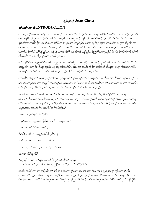### ယ့ဉ်ရူးခရံှာ Jesus Christ

### တ်ကတိၤလည် INTRODUCTION

လၫအပူၤက္ပံာ်အနံဉ်ခံကထိန္ဉ်ပှၤလၢအကကွဲ`်ကဖဉ်ဘူဉ်ထိဉ်ဘါထိဉ်ပိာ်ကစၤ်ယ့ဉ်ရှူးအခံဒီးတဲဖျါထိဉ်တၤ်သးခုကစိဉ်ဘဉ်ဃးဒိး ပှာနစာရူးဖိယ့ဉ်ရှူးအစ့<sup>ရ</sup>နဉ်လီာ တ<sup>ရု</sup>စ်လာအစုာအားလာပှာဘဉ်သူဉ်ဘဉ်သးအီာဒီးထိဉ်ဟူးထိဉ်ရဲာဒီးဆီတလဲတ<sup>ရ</sup>လာပှာတဝာ ၟ<br>ႃ୷ઙႝသိးအံၤတအိဉ်နီတမံၤဘဉ်ႉပှၤတ့တၫ်ရီၤတဖဉ်ပှၤသ့တၫ်သူဉ်ဝံဉ်သးဆၢတဖဉ်ဒီးပှၤကွဲးလံာ်ကွဲးလဲၫ်တဖဉ်ဒုးကဲထိဉ်အီၤလၢ ု<br>ပှၤလၢအရဒိဉ်လၢအဝဲသ့ဉ်အတၫ်မၤအပူၤန္ဉာလီၤႉထံကိၢ်ဘိမုၢ်တဖဉ်ဒီးကလုာ်ဒူဉ်တၫ်ဆဲးတၫ်လၤတဖဉ်အိဉ်သူဉ်ထိဉ်အသးလၢ အတ<sup>ှ</sup>သိဉ်တ<sup>ှ</sup>သီအဖိခိဉ်နဉ်လီၤႉဟိဉ်ခိဉ်အသန႑ာ်ကိးသန႑ာ်ဃဉ်ဃဉ်နဉ်သည်ညါအီၤဒီးတုၤဒဉ်လဲာ်လံာ်နံဉ်လံာ်လါဘဉ်တ<sup>ှ</sup>ဂံ<sup>၎</sup> -<br>အီၤစးထိဉ်လၫအဝဲအိဉ်ဖျဉ်အဆ႑ကတိ<sup>ု</sup>နဉ်လိ<sup>ု</sup>

ဘဉ်ဆဉ်ဒီးဒ်ပှၤသ့ဉ်ညါအိၤဒ်အမ့<sup>ှ</sup>ယ့ဉ်ရှူးအသိးနှဉ်အဝဲမ့ှ်ပှၤလၢအရဒိဉ်လၢပကဘဉ်ကွ<sup>ှ</sup>ထံကွှ်ဆးအတ<sup>ှ</sup>မ့ှ်တှ်လီၤတံ်လီၤ ဆဲးနဉ်လီၤ.ပှၤကူဉ်ဘဉ်ကူဉ်သ့အါဂၤဃုသ့ဉ်ညါအစ့်ၫလီၤ.ပှၤလၢအတနဉ်ခရံဉ်ဖိတ႑်ဘါတဖဉ်ရာကျွံးစၫးမၤစှၤလီၤအလၤကပိၤ အတ်၊မ့<sup>1</sup>တ်၊လိ<sup>ု့ ဦး</sup>ပုံ၊ လ ၊အပိဉ်အခံတဖဉ်ဃုသ္ဉာညါအီၤလ ၊ကျဲကိုးဘိဒဲးအပူ၊ လီး

တၫိနိ<sup>႖</sup>နိုႝကခ်ိနဉ်တၫ်မၤလိဃုသ့ဉ်ညါကစၫ်ယှဉ်ရှူးအတၫ်မှၫတ႑်,မ့ၢ်တၫ်လၢအရှဒိဉ်လၢပှၤကိႏၵၤဒဲးအရိၢိမ့ၢ်လၢမုၢ်တနံၤနှဉ်ပဝဲ ခဲလၫာ်ကဘဉ်စံးဆၢတ<sup>၎</sup>သံကွ<sup>၎</sup>်ဴကစ<sup>၎</sup>ခရံာ်မ့<sup>၎</sup>မတၤတ၈ၤလဲဉ်''လၢပှၤခရံာ်ဖိတဖဉ်အစိ<sup>ု</sup>နှဉ်တၢ်စံးဆၢကဘဉ်မ့<sup>၎</sup>တ႑်လၢအလီၤ ပလိ5်မ့<sup>၎</sup>လၫပရူးတိ<sup>၎</sup>သံတ့<sup>၎</sup>လံအစ့<sup>၎</sup>လၫပှၤတ႑်မၢဖိအတ႑်စူ<sup>၎</sup>တ႑်နှ5်အခြာအပူးနည်လိုး

အဝဲအံၤမ့<sup>၎</sup>တ႑်မၤလိသၢခါတခါလၢတ႑်မၢဖိတဖဉ်အတ႑်စူ<sup>၎</sup>တ႑်နှာ်အပူၤဒီးပဟ်လီၤတ႑်စ့<sup>႖</sup>ခ်ိုတိမ့<sup>၎</sup>ဝဲ််ကစ႑်ယှဉ်ရျုး ခရံဉ်ိႆနဉ်လီၤ.လၢတၢိမၤလိဝဲအံၤအပူၤန္ဉာိတၢိၵ့ၢိလၢပကဟ်သူဉ်ဟ်သးဒီးကွၢ်သကိးမ့ၢ်ဝဲတၢ်စူၢ်တၢ်နာ်အတၢ်ကွဲးလၢအတဲဖျိ ထိဉ်ပတౕၢနာ်ကစၢ်ယှဉ်ၡူးခရံာ်ယွာအဖိခွါပှာခံရာတရာလၢယွာသၢရာတရာဃီအပူာန္နဉ်လီာ.တၢ်ကွဲးအံာမ့ၢ်ဒ်လာ်အသိးနဉ်လီာ. 

*ပုၤလၫ*အတဲ့လီၤမူခိဉ်ဒီးဟိဉ်ခိဉ်

ယန>်ကစ<ယှဉ်ရှူးခရံဉ်, ဖိခွါထဲတၐၤဇိၤလၢအမှၤ်ပကစ႑်

ဘဉ်တ႑်ဒ႑ထိဉ်အီၤလ႑သးစီဆုံ

*ဒီးဒါဉ်ဖျဲဉ်ထိဉ်လ႑ပ္*႑မှ*ဉ်ကနိၤစိဆုံနိ<sup>5</sup>မၤရံ* 

အဝဲဘဉ်တူ ်တ႑်လၢစီၤပံၤလးအဗီလဉ်

ဘဉ်တ Yun ထိအိၤ, သံ, ဒီးဘဉ်တ Yခူဉ်လီၤအီၤ

အဝဲက္ၤထိဉ်ဆူမူခိဉ်

-<br>ဒီးဆွဉ်နီၤလၢပါကစါယွၤလၢအစိဒိဉ်တုဉ်ကမီၤဒိဉ်ထိအစုထွဲ *လ*ႃၗၣဴအဝဲကဟဲက္ၤကဒီးဒ်သိးကစႆဉညီဉ်ပုၤအမူဒီးပုၤအသံအဂ်ိႏနဉ်လီၤ.

ကျဲအိဉ်ဝဲအါဘိလ႑ပကတဲဖျဲထိဉ်တ႑်မ႑ဖိတ ဖဉ်အတ႑်စူ႑်တ႑်နှာ်လ႑အတဲဘဉ်ဃးကစ႑်ယှဉ်ရှူးသနာ်က္ခဒီးပကပာ်လီၤ တၫ်စ့ၫ်အခိဉ်သှဉ်သၢမံၤလၢအမ့ၢ်တၫ်အရှဒိဉ်လၢတၫ်ဃုသ့ဉ်ညါထူစ့ၫ်ယွၤစ့ၫ်အတ႑်မၤနိဉ်မၤဃါတ႑်စံဉ်စိၤအပူၤန္ဉာ်လီၤႉတၢတ မံၤန္ဉာ်ပကတဲကစၫ်ခရံာ်ဒ်အမ့္ပ်ာယ္မွာတရာအသိးကွ႑်ဃုသုသုဉ်ညါတ႑်စ့႑်ဘဉ်ဃးဒီးကစ႑်ယွာအရှု႑်အသဲးဒီးအတ႑်ရှလိဉ်ဘဉ်ထွဲဒီး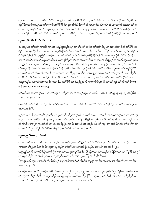ယ္ပၤသၢၵၤတၵၤအစ့ါ်န္ဉာ်လီၤ.တၫ်ခံမံၤတမံၤန္ဉာ်ပကကွ႑်အပှၤဟိဉ်ခိဉ်ဖိအက္႑်အရီၤဒီးစံးကတိၤသကိႏဘဉ်ထွဲဒီးအတ႑်ရုလိာ်ဘဉ် ထွဲလိ်ာအသးဒီးအယွာအက့်ရအရီးဒီးပှာဟိဉ်<sup>8</sup>ဉ်<sup>8</sup>အနေဆ႑ာ်ဒ်လဲဉ်အစ့်ရနဉ်လီၤ.တ<sup>ရ</sup>သင်္ဂမာဟံရနဉ်ပကတဲဘဉ်ဃးဒီးအတ<sup>ရ</sup>ဖုံး တၫ်မၤအစ့ၫ်တမ့ၫ်ထဲအတ႑်သးခုကစိဉ်အတၫ်ဖံးတ႑်မၤလၢဟိဉ်ခိဉ်ဘဉ်.မ့မ့ၫ်တခ်ိဖဲလၢအတ႑်မၤလၢဟိဉ်ခိဉ်ဝံၤအခါဒဉ်လဲဉ်လီၤ. ပကစးထိိဉ်မၤလိဆိကစၫ်ခရံဉ်ဒ်အမ့ၢ်ကစၢ်ယွၤတၵၤအသိးဒ်ပုၤတၢ်မၢဖိတဖဉ်အတၢ်စူၫ်တၢ်နှာ်တၢ်ကွဲးအိဉ်ဖျဲဝဲအသိးနှဉ်တက့႑်.

## လွှာအက်ုအရီး DIVINITY

ဖဲပတဲယွၤအက့်္ကအရိုၤလၢအိဉ်လၢကစ႑်ယ့ဉ်ရူူးခရံှာအပူၤမ့တမ့္ခ်ကစဉ်ခရံှာအက့်သမီးဒ်ယွၤတရာအသိုးအခါနှဉ်တ႑်နို<sup>ု</sup>နို<sup>ု</sup>တ နွိမ့်ၢတ႑်ဟိဖျ်ထိဉ်အီၤလၢအဝဲမ့်၊ကစၤ်ယွၤနိုၤနိုးနှဉ်လီၤ.ပတဲစ့ၤ်ကီးလၢလံာ်စီဆုံအသိတကတြူၤ်စံးကတိၤလၢအစ့ၤ်ဒ်အဝဲမ့္ပ်ပျ ဒ်လဲဉ်ဒ်လဲဉ်နဉ်လီၤ.ပှၤညီန<sup>ှ</sup>တဲဘဉ်ပှၤလၢကစါခရံဉ်မ့ါယွာဒီးမ့ါစ့ါကီးပှၤဟိဉ်<sup>ဌ</sup>ဉ်ဖိနဉ်လီၤ.ဖဲလၢပထုးကွံာ်တါ်ခံမံၤအံၤနှဉ်က စ<sup>ျ</sup>ခရံာ်တအိဉ်လπဘဉ်ကျဲထဲတဘိလၢပကတဲဖျဲထိဉ်ကစ<sup>ျ</sup>ခရံာအက္ခ<sup>ု်</sup>အရီးဒ်ယွာတရာအသိးနဉ်မှ<sup>ြ</sup>ဒဉ်ဒ်လံာ်စိဆုံစံးဘဉ်ပှာအ သိးနဉ်လီၤ.ပုၤတဲပုၤလၢအဝဲမ့်ၫယ္ပၤလၢအမူဝဲတၵၤအဖိခွါန္ဉာ်လီၤ.အဝဲအံၤမ့္ပ်တ႑်စ့ၤ်လၢအရှုဒိဉ်တခါလၢတ႑်အိဉ်ဖိုဉ်လၢဟိဉ်နိဉ် အံၤအပူၤစံဉ်တဲၤတဲလီၤဝဲလၢအစ့ၫ်န္ဉဴလီၤ.ဒ်န္ဉဴအသိးတ႑်မၫဖိစီၤ၀ိလူးကွဲးစ့ၫ်ကီးဝဲလၢလံာ်ကလီးစဲအပူၤလၢအစံးဝဲပနၥ်နိ<sup>ု</sup>နိ႑ လၫကစၫ်ခရံာ်အိဉ်ဒီးတၫ်စိတ႑်ကမီၤလ႑တ႑်ခဲလ႑ာ်အဖိခိဉ်နဉ်လီၤ.ဒီးလ႑အပူၤန္ဝိတ႑်ခဲလ႑ာဘဉ်တ႑်တဲ့အီၤလီၤ.အဝဲအိဉ်ဒီး တၫိစိတၫ်ကမိၤခဲလ႑ာ်လ႑အခ်ိဉ်အဖိလာ်လိၤ.အဝဲအံၤတဲဖျါဘဉ်ဃးကစၢ်ယွၤအရူၫ်အသဲးနဉ်လိၤ.ပမ့ၢ်ထုးထိဉ်ကွဲာ်အိၤနှဉ်တ႑် သးခုကစိဉ်လၢပကတဲအိၤတအိဉ်လπဘဉ် ပတအိဉ်ဒီးကစ်္ဂါယ့ဉ်ရှူးခရံဉ်လπဘဉ်ဒီးပှၤခရံဉ်ဖိအတၫ်ဘူဉ်တၫ်ဘါတအိဉ်လπ  $\infty$ <sup>5</sup>.(Dr.R.Albert Mohler,Jr.)

တၫ်မၢၒိတၒဉ်အတၫ်စူၫ်တၫ်နဉ်အတၫ်ကွဲးယπထိဉ်ကစၫ်ခရံဉ်ဒ်အမှၤ်ယွၤတ၈ၤအသိး *ယနဉ်ကစ႑်ယှဉ်ရှူးခရံဉ်ယွၤအဖိခွါထဲတ* ดา&เงารวยุโบกาอโ.

yၤခရံဉ်ဖိတဖဉ်ထိဘိယπထိဉ်တၫ်ကတိၤဒ်အမ့<sup>၎</sup>''ခရံဉ်''''ယွၤအဖိချွ''ဒိး''ကစၫိ''ဒ်သိးဒီးကဟ်ဖျထိဉ်ကစၢ်ခရံှာ်ဒ်အမ့ၢ်ယွၤတ ာ<br>စာအသီးနဉ်လီး.

မ့မ့်ၢ်လၢပှၤတခ်ိန္ဉာ်ပတၫ်တိ9်မ့်ၫ်ဒ်သိးပကကွှၤ်ထံဆိကမိဉ်တ႑်စ့ၫ်ခံခါလၢအအိဉ်လၢပှၤတ႑်မၢဖိတဖဉ်အတ႑်စူၫ်တ႑်နှာ်အတ႑်ကွဲး အပူၤလၫအဟ်ဖျ်ထိဉ်ကစၫ်ခရံဉ်အယွာအက္ခၤ်အစိာနဉ်လီၤ.လၫကျဲတဘိနဉ်ပကကွ<sup>်</sup>၊ဃုမာလိကစၫ်ခရံဉ်ဒ်အမှ်၊ယွာအဖိခွါအသီး နှဉ်လီၤ.ဒီးလၢကျဲအရာတဘိနဉ်ပကဃိထံသ့ဉ်ညါလၢဘဉ်မနုၤအဃိကစၢ်ခရံဉ်မှၤ်ပကစၤ်လဲဉ်ႉပကစးထိဉ်မာလိသက်ိးတၤ်ကတိၤ လၢအမ့<sup>၎ ''</sup>ယွၤအဖိခွါ'' ဒ်လံာ်စိဆုံပာ်ဖျထိဉ်ကစၢ်ခရံာ်အစ့ၢ်အသိးနဉ်တက့¶.

## ယ္ဇာအဖိခွါ Son of God

တၫ်တၢတမံၤန္ဉာ်ပကမၤနိႆဉ်တၫ်ကတိၤကျိဉ်လၢအမ့<sup>ရ</sup>''ယွၤအဖိခွါ''နဉ်လီၤ.ထိဘိလံာ်စိဆုံသူဝဲတၫ်ကတိၤအံၤဒီးတဲဘဉ်ဃးတၫ် လၢအတမ့်ၫယွၤဘဉ်ႉအဒိန္ဉာ်ကလူးတဖဉ်ဘဉ်တၫ်ကိးအိၤလၢယွၤအဖိခွါတဖဉ်လၢလံာ်ယိၤဘး ၁း၆ ဒီး ၂း၁ အပူးနဉ်လီး ဒီးလၢလံာ်စီဆုံအတၫ်ကွဲးလၢစိၤခဲအံၤအပူၤတနိၤနိၤန္ဉာ်လံာ်စိဆုံအဆၢ၀ဲအံၤဘဉ်တၫ်ကျိာ်ထံအိၤလၢ ''မူခိဉ်ကလူး'' လၫယ္မၤအဖိခွါတဖဉ်အလိႝၤ်နှဉ်လီၤႉ ဘဉ်ဆဉ်ဒီးလၢလံာ်ယိၤဘးအပူၤဇ့ၤဘြီၤအကျိာ်နိ<sup>ု</sup>နိ<sup>ုင်္</sup>းဝဲ ''ဘံၤန္ဟဟဲၤလိဟ့မ်''လၢအခ်ိဳပညီလိၤလိၤမ့ၢ်၀ဲယ္ပၤအဖိခွါတဖဉ်န္ဉာ်လီၤ.ဒီးပထံဉ်န္႑်လံာ်စီဆုံအဆ႑လ႑အလီၤပလိဉ်လ႑လံာ်စီဆုံ အ၈ၤအပူၤန္Sလီၤ.

ပှၤအံဉ်စရလးအပှၤ<sup>ရွ</sup>ာ်များကိုက်မှုအားလာယွာအဖိခွါလၢ၂မိၤရှငှး၂၂ဒီးဝံဟိၤရှ၁၁း၁အပူၤန္ဉာ်လီၤ.ဒီးပှၤအံဉ်စရလးအစီၤပၤတ .<br>ဖဉ်ဘဉ်တ<sup>ှ</sup>က်ိဳးစ့<sup>ရ</sup>ကီးအီၤလၢယ္ပၤအဖိခွါလၢ၂ရှမူၤအ့လး ၇း၁၄ဒီးစံးထိဉ်ပတြ π၂း၇အ ပူၤနဉ်လီၤ.စီၤအာၤဒဉ်ဒ် ပှၤဟိဉ်နိဉ်ဖိအ ဆိကတၫ်ာတရာဘဉ်တဉ်ကိုးအိၤလာယွာအဖိခွါလၢလံာ်လူာကဉ်၃း၃၈အပူၤလီး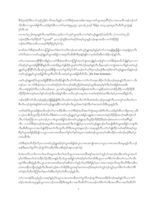ဒီးဒ်ပှၤခရံာ်<sup>8</sup>ခဲလၫာ်သှဉ်ညါန<sup>ှ</sup>ု၊ ဂြဲအသိးနဉ်လၢလံာ်စီဆုံအဆၢအါဆၢအပူၤကစၢ်ယွၤအပှၤ<sup>8ွ</sup>၊မှၢ်လၢအသးတိတဖဉ်ဘဉ်တ႑် ကိးအီၤလၢယ္ပၤအဖိခွါလီၤႉပထံဉ်န1်အီၤလၢလံာ်မးသဲ၅း၉,၄၅; လူၤကဉ်၂၀း၃၆ ဒီးရိမ္၊ ၈း၁၄,၁၉အပူၤလီၤႉစီၤပီလူးကွဲးဖျါ စ်႕ယွး ၄၇

ကလာတံ၃း၂၆အပူာနှဉ်လီၤ.အစ့<sup>၎</sup>ဒ်အံၤ,သုဝဲခဲလၫာ်သုမ့<sup>၎</sup>ယွာအဖိလ႑တ႑်နာ်ယ့ဉ်ရှူးခရံာ်အဃိလီၤ. (ကလာတံ၃း၂၆) ဘဉ်ဆဉ်ဒီးတ<sup>ရ</sup>စ့်<sup>ရ</sup>ခိဉ်တိ ''ယွၤအ<sup>8</sup>'' မ့တဘဉ်ထွဲဒီးကစ<sup>ျ</sup>ခရံာ်ဒ်အမ့်္ဂယွၤနဉ်ဘဉ်မနုၤအဃိလၢတၤ်အိဉ်ဖိုဉ် ဘဉ်ရဲ¤လိ်ာစီးကတိၤလၢအစ္န1်ဒိဉ်ဒိဉ်မှ1်မှ1်လဲဉ်.

ဖဲပဃိထံလံာ်စိဆှံအသိတကတြူ၊်အတ<sup>ှ</sup>စံးတ<sup>ှ</sup>ကတိၤဘဉ်ဃးကစ<sup>ှ</sup>ယ့ဉ်ရှူးအစ့<sup>ှ</sup>နှဉ်မ့ှ်တှလာအဖျိရှဲရှဲပိုပြီုလာအဒုးနဲ့ဉ်ပှၤလီၤ ာ<br>တံ၊လီၤဆဲးလၫကစ၊်ယှဉ်ရှူးမ့၊်ယွာအဖိခွါလၫအဒုးလီၤဆီအီၤဒီးဒုးနဲဉ်ဖျဲဝဲလၫပှာဒ်သိးအီၤတအိဉ်ဘဉ်နဉ်လီၤ

တ<sup>ှ</sup>လၫအမၤအသးနိ<sup>ု</sup>နိ<sup>ု</sup>တခ်ိနဉ်လၢလံာ်စိဆုံအသိတကတြူၫ်အတ႑်ကွဲးအကျိနဉ်ပထံဉ်နှၤ်လၢလံာ်စိဆုံအသိဟ်ဖျိန္<sup>၎</sup>ပှၤလၢက စၢိခရံဉ်မ့<sup>ရ</sup>ယ္ပၤအဖိခွါနိ<sup>ရန္ရ</sup>န်နဉ်လိၤအဝဲအိဉ်မူဟ်ဖျံထိဉ်ယွၤမ့ၢ်တၢ်ဒ်လဲဉ်အစ့ၫန်ဉ်လီၤ.ဒီးမ့တမ့ၢ်လၢကျဲအစၤတဘိနဉ်ကစၢိယ့ဉ် ၡူးမ့<sup>ရဲ</sup>ယွာနိ<sup>ုင္ခြ</sup>ိုလီၤ.ဒီးပမ့္ပ်ယွာအဖိခ်ိဳဖိုလ<sup>ှ</sup>ပတ႑ရလိွ်မှာလိွပတဉ်တ႑လုပြပ္ပာတဉ်ဆဉ်ဒီးတမ့္ခ်ကစ႑်ယှဉ်ရှူးအသိးနဉ်ဘဉ်ႉ ၮၜၫၯၣၡူးမ့ၫၯၟၤအဖိခွါလီၤထူလီၤယိ5လီၤႉအဝဲမ့ၫယွၤအဖိခွါထီဘိလီၤႉ (Dr.Tom Schreiner)

ကစါယှဉ်ရှူးခရံာ်ဒ်ယွာအဖိခွါနိ<sup>ု</sup>နိ<sup>ု</sup>အသိးအိဉ်ဖျိဝဲလီာတံၢ်လီာဆဲးလၢလံာ်တၢ်သးခုကစိဉ်လံာ်ယိာဟဉ်အပူာနှဉ်လီားဖဲလၢ ယိာ တဉ်၁း၁–၁၈ လံာ်စိဆုံတဲပှၤလၢကစ<sup>႑</sup>ခရံာမ့်၊တ႑်ကလု႑်အခ်ဳပညီမ့<sup>၎</sup>ဝဲအဝဲမ့<sup>၎</sup>ယွၤဒီးအဝဲမ့<sup>၎</sup>စ့႑်ကိုးပ႑်အဖိခွါထဲတရာဖြဲၤ .<br>လီၤ.ပထံဉ်န<sup>ှ</sup>စ့<sup>ရ</sup>ကီးလၫယ်ၤဟဉ်၈း၁၈–၂၃ကစ<sup>ရ</sup>ယ့ဉ်ရှူးစံးဝဲဒ်ပ<sup>ြ</sup>အဖိခွါအဝဲဟဲလီၤလၫမူခိဉ်အဝဲတဟဲအိဉ်ထိဉ်လၫဟိဉ်ခိဉ်ဒီး 

ဘဉ်ဆဉ်ဒီးလံာ်ယိၤဟဉ်ဒုးနဲဉ်ပှၤဖိုဖြိုဖျိဖျိဖိစီၤယိၤဟဉ်တဲဘဉ်ပှၤလီၤတံ်ၤလီၤဆဲးဖဲယိၤဟဉ်၅း၁၈နဉ်လီၤႉပကကွ ်သကိးတၤ်လၤ 

ကစါခရံာ်ဒ်ယွာအဖိခွါအသိးဘဉ်တါယ႑ာထိဉ်အိာလ႑လံာ်စိဆုံအသိအတါကွဲးအပူၤအါတီၤလီၤ.ပထံဉ်နှါအိၤလ႑ရိမ္ၤာႏ၃–၄ဒီး ၈–၃ဖဲလ<sup>ျ</sup>စီ၊ ဗီလူးသိဉ်လိသီလိတ<sup>ရန္</sup>းစံလၤကစၫ်ယှဉ်ၡူးမ့ၫ်ယွၤအဖိခွါတချူးဒီးလ<sup>ု</sup>အဝဲဟဲဟံးနဂ်ဟိဉ်ခိဉ်အက္ဂၤအစီၤဒဉ်လဲ၁် လီၤႉလံာ်ငှာဘြီၤ၁း၁–၃တဲဘဉ်ပှၤလၢဒ်ယွာအဖိခွါအသိးကစါယ့ဉ်ရှူးတဲ့လီၤမူနဉ်ဟိဉ်နိဉ်ဒီးမ့ှ်ာချာ်စးတရာလၢပါအရိဂ်နဉ် လီၤ. လၢလံာ်စိဆုံတဖဉ်အံၤအပူၤဒီးလၢအရာအရာစှါကိုးပာ်ဖျန်ှြပှာလၢကစါယ့ဉ်ရှူးဘဉ်တါမာဖျံအိၤဒ်ယွာအဖိခွါလၢကျဲလီၤ ဒီးမ့္ပ်က္လၤအဖြံ့ခြဲအို ရျပားသူ၊ သာရာတရားယိုအတ္ပါရုပ်တ္ပါန**်**အပူ၊ လ ၊အစုံးဝဲဒဉ်ယွာ၊ အက္ခ္အါအမွာ အသုံးခြဲဆည်အောင်း တၵၤဃီလီၤ.

လံာ်စိဆုံအသိသိဉ်လိပှၤလၢကစၢိယ့ဉ်ရှူးခရံာ်မ့<sup>၎</sup>ယွၤအဖိခွါမ့<sup>၎</sup>ယွၤသၢၵၤအကျါတၵၤလၢယွၤသၢၵၤတၵၤဃိအပူၤန္ဉာ်လီၤ.ဘဉ် ဆဉ်ဒီးအတ<sup>၎</sup>ရလိာ်ဘဉ်တွဲလိာ်သးဒီးပ<sup>ြ</sup>ီးသးစီဆုံမှ<sup>ြ</sup>မနၤတဖဉ်လဲဉ်.

ဒ်ပစံးကတိၤသကိႏလၫတ<sup>ု</sup>မၤလိအပူၤအသိးတ<sup>ျ</sup>မၤလိယ္ပၤသၢၵၤတၵၤဃိိအရု<sup>႖</sup>အသဲးဟ်သူဉ်ဟ်သးဘဉ်ဃးဒီးကစ<sup>၎</sup>ယွၤအတ<sup>၎</sup> မ့်ၢတၢိဒီးအတၤ်ဟဲကဲထိဉ်လိဉ်ထိဉ်သးနဉ်လီၤ.ဒ်ယွၤအဖိခွါကစၢ်ခရံဉ်မ့ှ်တ႑်ထဲသိးဒီးယွၤလၢတၫ်စိတ႑်ကမီၤတ႑်လၤတ႑်ကဗီၤ ႜ<br>ႍႍ<br>ရာပါဒီးသးစိဆုံနဉ်လီၤ.ယွၤသၢ၈ၤတ၈ၤဃိအက္ခၤ်အ၈ိၤခဲလၫာ်နဉ်ဟ်ဃုာ်ဒီးဖိခွါမ့ှ်ပှၤလၢအလၢအပှဲၤလီၤထူလီၤယိာဒီးတဆိတ ႜ<br>လဲအသးနိတဘျီဘဉ်နဉ်လီၤ.ဒီးအဝဲသ့ဉ်ခဲလาာ်အိဉ်ဒီးယွာအရု<sup>ံ</sup>အသဲးတဖဉ်ဒ်အမှ<sup>်</sup>တา်ကူဉ်ဘဉ်ကူဉ်သ့တ<sup>်</sup>စိတา်ကမီၤတၢ်စိ တ<sup>ှ</sup>ဆုံတ<sup>ှ</sup>တိတ<sup>ှ</sup>တြှက်တှကော်ဝါဒီးတှမှ်ာတှကိတဖဉ်နဉ်လီး

တၫ်လၢပအဲဉ်ဒိးသ့ဉ်ညါလၢအစ့ၢိန္ဉာမ့်ဂဲလ္ငၤသၢ၈ၤတ၈ၤဃီအတၫ်ရလိာ်ဘဉ်ထွဲလိာ်အသးအိဉ်ဒ်လဲဉ်အစ့ၢ်နှဉ်လီၤ.လၢတ႑် ထံဉ်တမံၤအံၤအပူၤန္ဉာ်ယွၤတ၈ၤဘဉ်တ၈ၤအိဉ်ဒီးအမူဒါလၢအလီၤဆီလိ်ာသးတဖဉ်တၫ်စိတၤ်ကမီၤအပတိၤ်လၢအလီၤဆီလိ်ာ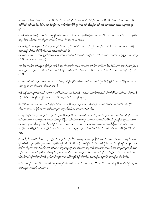အသးတဖဉ်ဒီးတၫ်ဖံးတၫ်မၤလၢအလီၤဆီလိ>်သးတဖဉ်နဉ်လီၤ.အဒိကစၫ်ခရံာ်မ့ၫ်ပၫ်အဖိခွါထီဘိဒိးလီၤအးလီၤအသးလၢပၫ်အ .<br>တၫစိတၫ်ကမီၤအဖီလာ်လီၤ.ကစၫ်ခရံာ်စံးဝဲဖဲ လံာ်ယိၤဟဉ်၆း၃၈ ဖဲအဝဲတဲဖျါထိဉ်အတၫ်ဟ္ဉ်လီၤအးလီၤသးလၤယွၤအစုပူၤ  $500.$ 

အစုၢိဒ်အံၤတမ့ၢ်ဘဉ်ယဟဲလီၤလၢမူခိဉ်ဒ်သိးယကမၤဖဲဒဉ်ယသးဘဉ်မ့ၢ်ဖဲဒဉ်ပှၤလၢအမၢလီၤယၤတ၈ၤအသးလီၤ.  $(\omega$ ı ဟဉ် ၆း၃၈) ဒီးအဝဲယၤၤထိဉ်တၫ်တမံၤဃိအံၤဖဲ ယိၤဟဉ်၈း၂၈ အပူား

မာသးဒ်နဉ်ဒီးယှဉ်ရူးစံးဘဉ်အိာတုာသုယှဉ်ထိဉ်ပုာကညီဖိခွါအံာဒီး သုကသ့ဉ်ညါလာယမ့်ာတ်နဉ်ဒီးလာယတမာဒဉ်ယတ်နိ တမံၤဘဉ်.မ့<sup>၎ဌ</sup>ယပ<sup>ု</sup>သိဉ်လိယၤအသိးယကတိၤတ<sup>၎ဌိ</sup>း

ပုၤလၢအမၢလီၤယၤတ၈ၤန္)်အိဉ်ဒီးယၤလီၤ.တဟးသဒဉ်ဘဉ်ယၤဘဉ်ႉ အစ့<sup>၎</sup>ဒ်အံၤတ<sup>၎</sup>လၢအဘဉ်အသးတဖဉ်နဉ်ယမၤတထံဉ် ဃီလီး. (ယိၤဟဉ်ၵး၂၈–၂၉)

လံာ်စီဆုံအသီအတၫ်ကွဲးပာ်ဖျါထိဉ်ဝဲလၢဖိခွါဟ့ဉ်လီၤအးလီၤအသးလၢပၢ်အတၫ်စိတၫ်ကမီၤအဖိလာ်လီၤႉတၫ်သဘံဉ်သဘုဉ်လၢ အဝဲသုဉ်အဘၫဉ်စπတအိဉ်ဘဉ်ႉမ့<sup>ရ</sup>လၢပ<sup>ြရွှေ့</sup>ဖိခွါသးလိၤပလိဉ်လိဉ်အသးထိဘိလီၤ.ဘဉ်ဆဉ်ဒီးတ<sup>ရ</sup>လိ<sup>ရ</sup>လၢအထိနှဉ်ဘဉ်ဃးဒီး  $o$ h $\mathcal{S}_1$ .

လၢတၫ်တမံၤဃီအပူၤန္ဉာိယ္မွၤသၢၵၤတၵၤဃီအပူၤႇဖိခွါအိဉ်ဒီးတၫ်စိတၫ်ကမီၤလၢသးစိဆုံအဖိခိဉ်န္ဉာ်လီၤႉပကထံဉ်န္ၫ်အဒိဖဲကစ႑် ယ့ဉ်ရှူးခရံဉ်ကတိၤတ<sup>၎</sup>ဖဲ ယိၤဟဉ်၁၅း၂၆

ဘဉ်ဆဉ်ဒီးတုၤပုၤမၤစ πတၫ်လၢယကမၢလိၤအိၤလၢယပၢ်အအိဉ် ,သးလၢအဘဉ်ဃးဒီးတၫ်မှၫ်တၫ်တိလၢအဟဲလၢပၢ်အအိဉ် န5ုဟဲဝဲဒီး, အဝဲဒဉ်ကအုဉ်အသးလၫယစ့<sup>၎</sup>ယကျိုၤလီၤ.(ယိၤဟဉ်၁၅း၁၆)

ဒီးလံာ်စိဆုံအဆၢအရာတဆၢဟ်ဖျစ့်ၫက်ိဳးဝဲဖဲ ရိမ္နာရး၉ဒီး ၁ပူးတရုး၁း၁၁ သးစိဆုံနဉ်ဘဉ်တၫ်ကိုးအီၤလၢ ''ခရံာ်သးစိဆုံ'' လီၤႉ အဝဲအံၤဟ်ဖျါထိဉ်ဝဲလၢသးစိဆုံဘဉ်တၫ်ဆှၫလီၤအီၤလၢကစၢ်ခရံဉ်နဉ်လီၤႉ

တၫ်ရှုလိ႒်မှာ်လိာ်သူဉ်တဖဉ်အံၤဘဉ်တ႑်ကူၤဟ်ဖိုဉ်ကူၤအီၤဖဲလၢပမၤလိဖိခွါအတ႑်မှၤ်တ႑်ဒ်ယွၤသၢၵၤတၵၤဃီအသိးန္ဉာ်လီၤ.အ дမ့<sup>ရ</sup>ပှၤခံ၈ၤတ၈ၤလၢယ္ပၤသၢ၈ၤတ၈ၤဃိိအပူၤခီဖျိလၢအဝဲလိၤစ႑ာလၢပှၤတၢတ၈ၤလၢအမ့<sup>၎</sup>ပၫ်ဒီးအဝဲဒုးအိဉ်ထိဉ်ပှၤသၢ၈ၤတ ၈ၤလၫအမ့<sup>ှ</sup>ဝဲသးစိဆုံနဉ်လီၤ.ဒီးအဝဲမ့<sup>ှ</sup>ဝဲပှၤခံ၈ၤတ၈ၤလၢယ္ပၤသၢ၈ၤတ၈ၤဃီအတၫ်ဖံးတၫ်မၤအပူ၊ခ်ီဖျိလၢအဝဲအိဉ်လၢတ႑် ဘၫှာ်စπအဃိနဉ်လိၤ.အဝဲဟ့ဉ်လီၤအးလီၤအသးလၢပါအစုပူၤဘဉ်ဆဉ်ဒီးအဝဲအိဉ်ဒီးတ<sup>ှ</sup>စိတ်ကမီၤလၢသးစိဆုံအ<sup>88</sup>ဉ်နဉ်  $\mathcal{S}_1$ 

ဖဲတၫ်အိဉ်ဖိုဉ်စးထိဉ်သိသိလၢပျπနှဉ်တၫ်အၫဉ်လီၤတူၫ်လိဉ်ကစၫ်ခရံဉ်ဒ်အမှၤ်ယွၤနိ<sup>႖န္ဓ</sup>ါမ့ၫ်တၫ်သံကွၤ်ဖးဒိဉ်လၢပုၤခရံဉ်ဖိအတ႑် စူၫ်တၫ်နှာ်အပူၤန္ဉာလီၤႉပုၤလၢအအၫဉ်လီၤတူၫ်လိာ်တ႑်မၢဖိတဖဉ်အတ႑်စူၫ်တ႑်နှာ်အတ႑်ကွဲးဖဲလၢအဝဲသူဉ်ဒိုးစူၫ်ဒိုးဘျ၊အသး အခါတလိဉ်လၢကဘဉ်မၤလိၤတံၤ်တၤ်နၤ်ပၢၤ်ထူစ့ၤ်ယွၤစ့ၤ်ခဲလၢာ်လၢအဘဉ်ထွဲဒီးယွၤသၢ၈ၤတ၈ၤဃိအစ့ၤ်ဘဉ်.ဘဉ်ဆဉ်ဒီးအဝဲ သ့ဉ်ကိႏၵၤကဘဉ်တဲဖျ်ထိဉ်ကစ<sup>႑</sup>ခရံာ်ဒ်ယွၤတ၈ၤအသိႏလၢအတအိဉ်ဒီးတ<sup>၎</sup>သးသုဉ်ဘဉ်နဉ်လီၤ.ဒ်နဉ်အသိးလၢမုၢိမဆါတနံၤ အံၤန္ဉာ်ပတၫ်နှၤ်ပၫ်ကစၫ်ယှဉ်ရှူးဒ်အမ့ၢ်ယွၤလၢအတိဒီးယွၤနိ<sup>႖န္ဓ</sup>ြမ့ၢ်တ႑်လၢအရှ<sup>ဌ</sup>ဉ်လၢပှၤခရံာ်ဖိတဖဉ်အ<sup>စ္စ</sup>ါနှဉ်လီၤ*.* 

ခဲအံၤပကကွ<sup>ှ</sup>တ႑်ကတိၤလၢအမ့<sup>၎ ''</sup>ယွၤအဖိခွါ'' ဒီးမၤလိသကိႏတ႑်စ့<sup>၎</sup>လၢအမ့<sup>၎</sup> ''ကစ<sup>၎''</sup> လၢအပာ်ဖျထိဉ်ကစၢ်ခရံာအရှု၊အ သဲးဒ်ယ္ဇၤတၵၤအသိးနဉ်တက့¶.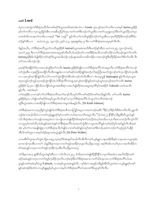### ကစ**်** Lord

ဖဲပုၤလၢအကွဲးလံာ်စီဆုံအသိကိႏကစၫ်ခရံှာ်ဒ်ယွၤအသိးအဝဲအံၤဟဲလၢ Greek ဟ္ၤလ့ဉ်အတ႑်ကတိၤလၢအမ့႑် kurios ခူရံဖိုဉ် မ့<sup>်</sup>တၫ်ကတိၤလၢပှၤသူညီန<sup>ှ</sup>ဒြားလၢအခ်ဳပညီမ့်ၫ်ဝဲပှၤပၢတၫ်ကစၫ်ဒီးဘဉ်တၫ်သူအီၤလၢတၫ်သညူးသပှ<sup>၎</sup>ဒီးတၫ်ယူးယိဉ်ပးကဲပှၤ တ၈ၤဒ်ကိးလၤအတ<sup>၎</sup>ကတိၤလၢအမ့<sup>၎</sup> ''Sir သရဉ်'' နဉ်လီၤ.တ<sup>၎</sup>ကတိၤခူရံ<sup>၉</sup>ဉ်ဘဉ်တ<sup>၎</sup>သူအီၤလၢပှၤဟိဉ်<sup>8ွ</sup>ဉ်ဖိတဖဉ်အရိ<sup>၎ဌ်</sup>ပ ထံဉ်န5်အီၤလၢ မးသဲ၁၀း၂၄, လူၤကဉ်၁၂း၃၆–၄၇, အူးဖူးစူး၆း၅–၉ ဒီးလၢလံာ်စီဆုံအ၈ၤအပူၤစ့ၢ်ကီးလီၤ.

ဒ်နဉ်အသိး, လံာ်စီဆုံအသိသူတၢ်ကတိၤခူရံ<sup>၉</sup>ဉ်စ် kuriosဒ်ယွာအမံၤအသိးဒီးပထံဉ်နှၤ်အီၤဖဲ မးသဲ၁၁း၂၅, လူာကဉ်ား၁၆, မၤတ<sup>ြ</sup>၂း၃၉ ဒီးလၫလံာ်စိဆုံအဆၤအရာအပူၤစ့<sup>၎</sup>ကီးလီၤႉဒ်ပထံဉ်တ့ၤ်လၤအ<sup>88</sup>ဉ်အသိးပကဆိကမိဉ်သက်ိးဘဉ်မနုၤတၤ်ကတိၤ kuriosခူရံ<sup>၉</sup>ဉ်စ်ဟ်ဖျ်ထိဉ်ကစ<sup>ု</sup>ခရံာ်ဒ်ယွာအသိးလဲဉ်ႉဘဉ်မနာအဃိပတဆိကမိဉ်လၢအဘဉ်ထွဲဒီးဟိဉ်ခိဉ်အတ<sup>ှ</sup>စိတ်ကမီး ဒီး တ<sup>ှ</sup>လၤကပီၤဘဉ်လဲဉ်.

ပုၤခရံာ်ဖိအနိဉ်ဝံာ်ခံလၢအဘဉ်ထွဲဒီးတၫ်ကတိၤkurios ခူရံံဖို့ဉ်စ်ဖျါဝဲလၢလံာစီဆုံအလိၤ်လံၤအပူၤလီၤလံာစိဆုံအလိၤ်လံၤဘဉ် တၫ်ကွဲးအိၤလၢဇ့ာဘြိၤအကျိဉ်လိၤ.ဒီးတချုးဒံးလၢကစၫ်ခရံဉ်ဟဲအိဉ်ဖျဲဉ်ဒံးဘဉ်လံာ်ဇ့ာဘြိၤအတ႑်ကွဲးဘဉ်တ႑်က္ၤကျိဉ်ထံက္ၤအိၤ လၢ ဟူးလှဉ်အကျိဉ်နဉ်လီၤ.လံဉ်လၢတၫ်ကွဲးကျိဉ်ထံအီၤအံၤဘဉ်တၫ်ကိုးအီၤလၢ စဲးပထူက္ခန် Septuagint နဉ်လီၤ.ဖဲပှၤယူဒၤ အပှၤကူဉ်ဘဉ်ကူဉ်သ့တဖဉ်ကွဲးကျိာ်ထံလံာ်စီဆုံလိ်<sup>ရ</sup>လံၤဆူဟူးလ့ဉ်အကျိာ်နှဉ်အဝဲသ့ဉ်သူဝဲဟူးလ့ဉ်အတ<sup>၎</sup>ကတိၤ kurios ခူရံ<sup>ဇွ</sup>ဉ်စ် ၆,၇၀၀ ဘိုဒ်သိးကကိုဉ်ထံယွၤအမံၤစိဆှံလၢအဟ်ဖျ်ထိဉ်အသးဆူအပှၤရိ်္ဂမှ်၊အအိဉ်ဒ် Yahweh ယၤဝဲၤအသိး နဉ်လီၤ. အဝဲအံၤမ္โ

တၫ်အရှ3်ဉ်လၢပကနှၤ်ပၢၤ်လံာ်စီဆုံအသိအတ႑်အၫဉ်လီၤတူာ်လိာ်ကစၢ်ခရံာ်ဒ်ကစၢ်အသိးနဉ်လီၤ. တ႑်ကတိၤ kurios ခူရံဖိဉ်စ်မှတ ဟ်ဖျါကစါ်ခရံဉ်ဒ်အမှါယွာလိာလိာနဉ်သက့လံဉ်စီဆုံအလိါလံာသူတါကတိာဝဲအံာဘဉ် တွဲဒီးယွာအမံာလာအအိဉ်ဖျိလာလံာ်စီဆုံအဆာအပူာအါမးနဉ်လီာ. (Dr Keith Johnson)

လံာ်စီဆုံအဆၢလၢပှၤညီန<sup>ှ</sup>သူဝဲဖျါဝဲဖဲလံာ်စီဆုံအသိတကတြူ<sup>ရ</sup>အပူၤလၢအတဲဘဉ်ဃးဒီး ''ဒိဉ်လ့<sup>ရ</sup>ခိဉ်ကိုးခီဒဲးကတိၤလိၤ,ပျၤကိး ဘ့ဉ်ဒဲးကအၫဉ်လီၤဝဲလၫကစၫ်ယ့ဉ်ရူူးခရံဉ်မ့<sup>၎</sup>ပကစၫ်လၫပၫ်အလၤကပိၤအပူၤလီၤ.''(ဖံလံးပံး၂) နိ<sup>ု</sup>နိ<sup>ု</sup>တခ်ိန္ဉ်စိၤပီလူးဟံးန<sup>ှ</sup> လံာ် စီဆုံအံၤလၢဝံယရှါယၤအပူၤဖဲလၢ ဝံယရှါယၤဟ်ဖျ်ထိဉ်ဝဲဒ်အမ့္ပ်ာတၤ်သးဝံဉ်အယုၤ်အသိးလၢပှၤကိုး၈ၤကအၢဉ်လီၤတူၤ်လိာ် လၫယ္မွၤမ့ၢ်ကစၫ်လိၤႉဖဲအံၤန္ဉာ်အဝဲဟံးန႑်လံာစိဆုံအလိၤ်လံၤအတၤ်ကွဲးဒီးလ႑ယ္မွၤအလိၤ်နဉ်ကစၫ်ခရံာ်မ့ၢ်ကစၫ်နဉ်လိၤႉဒီးအဝဲ အံၤ မ့ါ်တ<sup>ရ</sup>လၢအဖျိဝဲရှဲရှဲလၢလံာ်စိဆုံအသိဟ်ဖျိဝဲလၢကစါ်ခရံာ်နဉ်တမ့ါ်ထဲကစါ<sup>ဇွ</sup>ၤဘဉ်ႉအဝဲကဘဉ်တါသ့ဉ်ညါဟ်ပနိဉ် အီၤဒ်ကစါယွπလၢအမ့ါ်အဲဉ်စရလးအယွπနဉ်လီၤ.(Dr.Peter Walker)

ပကဖးစီၤပိလူးအတ<sup>၎</sup>ကွဲးဖဲ ရိမ္ၤ၁၀း၉,၁၃အစ့<sup>၎ဌ</sup>အံၤနမ့<sup>၎</sup>အၫဉ်လီၤအိလီၤကစၫ်ယ့ဉ်ရှူးလၢနထး<sup>g</sup>ဉ်ဒီးနာ်လၢနသးလၢယွၤဒုး၈ဲၤ ဆၢထၢဉ်က္πအိၤလၢတ႑် သံန္ဉာ်ဒီးနကတုၤလၢတၫ်အုဉ်က္πခ်ိဳဉ်က္πနၤလိၤ.(ရိမ္π၁၀း၉) အစ့ၢ်ဒ်အံၤကယဲ႑်ပုၤလၢအက်ိဴးထိဉ်က စ<sup>႑</sup>အမံၤန္ဉာိကတုၤလၫတ<sup>၎</sup>အုဉ်က္၊ဒီဉ်က္၊အီၤလီၤ.(ရိမ္၊၁၀း၁၃)

လံာ်ရိမ္ၤာ၀း၁၃ နဉ်စီၤပီလူးဟံးန5်းအီၤလ႑ လံာ်ယိၤဘး၂း၃၂ ဒ်သိးအကတဲဖျါထိဉ်နိ5်နိ5်လ႑ပှၤကိးၵၤဒဲးလ႑အကိးထိဉ်ကစ5် ခရံာ်အမံၤန္ဉာ်ကတုၤလၢတၫ်အုဉ်က္ၤခ်ိဉ်က္ၤလိၤႉဘဉ်ဆဉ်ဒီးလံာ်စိဆုံအဆၢလၢလံာ်ယိၤအ့လးလၢလံာ်စိဆုံအလိၤ်လံၤအ ပူးနှဉ်ကစ<sup>႖</sup>အမံၤမ့<sup>၎</sup>ဝဲယွၤ**Yahweh,** လၢအမ့<sup>၎</sup>ယွၤအမံၤန္ဉာ်လီၤႉ ပမ့<sup>၎</sup>စံးလၢအဖုဉ်တခ်ိန္ဉာ်ဖဲစီၤပီလူးတဲဝဲလၢယ့ဉ်ရူးမ့<sup>၎</sup>ကစ<sup>၎</sup> နဉ်အဝဲအဲဉ်ဒိးတဲဝဲလၢယ့ဉ်ရူးနဉ်မှါယွπလၢအမှါလံာ်စီဆုံအလိါလံπအကစါဒီးယွπစ့ါကီးလီπ.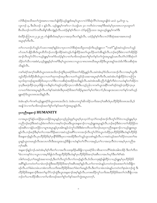လံာ်စိဆုံအသိအတၫ်ကွဲးအရာလၫအဟ်ဖျ်ထိဉ်ယှဉ်ရှူးဒ်အမှှၤ်ယွၤလၫလံာ်စိဆုံလိံၤလံၤအပူၤဖျ်ဝဲဖဲ မးသဲ ၃,မ႑်ကူး ၁, လူၤကဉ် ၃, ဒီးယိၤဟဉ် ၁ နဉ်လီၤ. ယ့ဉ်ရှူးမ့<sup>၎</sup>ကစါလ႑ဝံယရှါယၤ ၄၀ ကတိၤဝဲလၢအစ့<sup>၎</sup>ဒီးအဝဲမ့<sup>၎</sup>ပှၤတ၈ၤလၢပှၤဘျာတ<sup>၎</sup> စီၤယိၤဟဉ်ကတဲာ်ကတိၤဆိန1်အိၤကျဲနဉ်လီၤ.ပထံဉ်န1်စ့1်ကီးလၢ လံာ်ဇူးဘြိၤား၁၀ အပူၤယ့ဉ်ရှူးမ့1်ကစ1်ဒီး

စံးထိဉ်ပတြ π၁၀၂း၂၄း၂၅ ပာ်ဖျံအိၤဒ်အမ့ါ်ပှၤလၢအတဲ့လိၤတၫ်နဉ်လိၤႉ ပထံဉ်နှၤ်စ့ၤ်ကီးလၢလံာ်စီဆုံအဆၢအ၈ၤတဖဉ် .<br>အပူၤစ့<sup>၎</sup>ကီးလီၤ

တၫိလၢပဘဉ်ဟ်သူဉ်ဟ်သးလၢအစ့ၢ်နှဉ်ဖဲလၢပုၤလၢလံာ်စိဆုံအသိပူၤတဖဉ်ကိးယ့ဉ်ရူးလၢ ''ကစ<sup>႑'</sup>'နဉ်အဝဲသ့ဉ်တဟ်သူဉ် ဟ်သးဟ်ပနိဉ်အီၤဒ်ယွၤထိဘိဘဉ်ႉတဘျီတခ်ိဉ်အဝဲသ့ဉ်ဟ်ဖျ်ထိဉ်အတၤ်ယူးယိဉ်ပးကဲအီၤနဉ်လီၤ.ဘဉ်ဆဉ်ဒီးဖဲလၢတၤ်အိဉ်ဖှိဉ် အၫဉ်လီၤတုဉ်လိဉ်လ႑ယ္ဉ်ရှူးမ့<sup>၎</sup>ကစ<sup>၎</sup>ဒ်ပထံဉ်န<်ါလ႑တ႑်မ႑ဖိတဖဉ်အတ႑်စူ႑်တ႑်နှဉ်တ႑်ကွဲးအပူၤန္ဉာ်ပမၤလီၤတံ႑်လံဉ်စီဆုံတ႑် သိဉ်တၫ်သီလၢအစံးဝဲႇယ့ဉ်ၡူးနဉ်မ့ၢ်ကစၢ်ဒီးမ့ၢ်ယွၤတ၈ၤလၢယွၤသၢ၈ၤတ၈ၤဃီအပူၤအိဉ်ဒီးယွၤအရှု၊်အသဲးဒ်ပၢိဒီးသးစိဆုံအ S: 5681.

ကစါ်ခရံာ်အက့ါ်အစီၤဒ်ယွၤတ၈ၤအသိးဘဉ်ထွဲဒီးပှၤခရံာ်ဖိအတၤ်အိဉ်မူနဉ်လီၤ.အဝဲအံၤမ့ါ်ဒ်သိးပကအၢဉ်လီၤလၢအမ့ါ်ယွၤဒီး ဘူဉ်ထိဉ်ဘါထိဉ်အီၤဒ်ယွၤလၢပတၫ်ထုကဖဉ်အပူၤဒီးလၢပတၫ်သူဉ်ဝံဉ်သးဆၢအပူၤစ့ၢ်ကီးလီၤ.အဝဲအံၤဟ်ဖျါထိဉ်ဝဲလၢပကြၢး ဃ့်ဘါထုကဖဉ်ဆူအအိဉ်ဒ်ပဃ့လၢပါ်ဒီးလၢသးစိဆုံအအိဉ်အသိးနဉ်လီၤ.အဝဲအံၤအခ်ီပညီဟ်ဖျစ့ါ်ကီးဝဲလၤပဟံးနှါတ<sup>ြ</sup>အိဉ်က ဒုသ္ဒီးမၤဖှံထိဉ်က္ၤပှၤဒိဖျိလၤပဒိးန1်တ1်အုဉ်က္ၤဒိဉ်က္ၤလၢအိၤဒိးပသ္ဉ်ညါလၤကစ1်ယွၤအနိ<sup>႖်</sup>ကစ1်ဒဉ်ဝဲအုဉ်က္ၤဒိဉ်က္ၤပှၤ လၢပတၫ်ဒဲးဘးအပူၤန္ဉာ်လီၤႉတၫ်နာ်အဝဲအံၤဒီးပုၤခရံာ်ဖိအတ႑်အိဉ်မူအတ႑်မ့ှ်တ႑်ခဲလ႑ာ်,ဒိုးသန္ၤအသးလၢတ႑်နာ်ကစ႑်ယှဉ် ရူးခရံာ်ဒ်ယွာတရာအသိးနဉ်လီး.

ခဲအံၤပန<sup>ှ</sup>ပၫ်ကစၫ်ယှဉ်ရှူးခရံာ်ဒ်ယွၤတၵၤအသိးလံႉ ခဲအံၤပကကွၢ်ဆိကမိဉ်သကိးအက့ၢ်အရိၤဒ်ပှၤဟိဉ်<sup>ဌ</sup>ဉ်ဖိတၵၤအသိးႇဒ် အဖျိ ဝဲလၢတၫ်မၢဖိတဖဉ်အတၫ်စူၫ်တၫ်နာ်အတၫ်ကွဲးအပူၤန္ဉာ်လီၤ

# ပုၤကညီအန္**ဆၫှ**S HUMANITY

လၢအပူၤက္ပံာ်နံဉိယၤဖြိဉ်စှၤယၤဖြိဉ်အပူၤန္နဉ်ပှၤသ့ဉ်ညါထူစ့<sup>၎</sup>ယွၤစ့<sup>၎</sup>ပှၤသ့လံာ်သ့လဲ<sup>၎</sup>တဖဉ်အၢဉ်လီၤတူၤ်လိာ်ဝဲလၢယ့ဉ်ရှူးမ့<sup>၎</sup>ပှၤ ကညီဘဉ်ဆဉ်ဒီးအဝဲသ့ဉ်စံးကတိၤဝဲလၢအစ့ၢ်ဘဉ်ဃးဒီးယွၤအနုဆၢဉ်လၢယ့ဉ်ရှူးအပူၤန္ဉာလိၤ.ဘဉ်ဆဉ်ဒီးဖဲလၢတၫ်အိဉ်ဖှိဉ်တ ဖဉ်အစိၤလၫနံဉိယၤဖိုဉ်လၫပျ႑ာအပူၤန္ဉဉိပုၤအါ၈ၤန္ဉာိသံကွ<sup>ြ</sup>သံဒိးဒီးစံးကတိၤသက်ိးဘဉိဃးပှၤကညီအနဆ႑ာဉ်လ႑ယ့ဉ်ရူးအပူၤ န္ဉာ်လီၤ.ဘဉ်ဆဉ်ဒီးမ့္ပ်ာက်လၢအက်ိဒိဉ်မးလၢအဝဲသ့ဉ်အရိ်္ဂလၢကအၢဉ်လီၤတူ်လိ်ာဝဲယွၤကဲထိဉ်ပုၤဟိဉ်ခိဉ်ဖိဒီးဟံးန္ ်ဟိဉ်ခိဉ် ဖိအန္**ဆၫ**ဉ်နဉ်လီၤ.ပှၤဟိဉ်<sup>႙ွ</sup>ဉ်ဖိမ့<sup>ရ</sup>ပှၤနိ<sup>ရဌဖွ</sup>ဒီးပှၤလၢအအိဉ်ဒီးတၫ်သူဉ်ဟူးသး၈ဲၤန္ဉာ်လီၤ.လၢအဝဲသ့ဉ်အတၫ်ထိဉ်တယးတၫ်အ ပူးနဉ်ယွၤတမၤဖုဉ်လီၤအလၤကပီၤဒီးအသူးအသ့ဉ်ခီဖြိုလၢဟံးန5်တ5်လိ5်လၢအဖုဉ်,တ5်လၢအတဲ့လီၤဝဲလၢအမ့5်ပှၤကညီအ က့်လာရွိၤ

အနဆၫာ်နဉ်ဘဉ် အဝဲအံၤမ့<sup>ရ</sup>စ့်၊ကီးတ႑်လၢအလိၤသးအုးဒိဉ်မးခီဖြိုလၢပှၤခရံဉ်ဖိလၢစိၤဆၢကတိႝၤ်ခဲအံၤအါ၈ၤအိဉ် ဒီးတ႑်ကိတ <sup>ြ</sup>ခဲလၫကန>်ဝဲလ႑ယ္မွၤလ႑အမ္<sup>ရ</sup>ဖိခွါဟဲလီၤဆူဟီဉ်<sup>ဌ</sup>ဉ်ဒိုးဟီးနှ<sup>ိ</sup>ရပ္႑ဟိဉ်နိဉ်ဖိအက္ခ<sup>ရ</sup>အရီၤလ႑အဟ်ဃုာ်ဒီးတ႑်ရံံဆီး ဘါစၫ်တဖဉ်ႇတၫ်အဒူဉ်အဆၢတဖဉ်ႇဒီးတ႑်လီၤတုဉ်လီၤကဉ်တဖဉ်နှဉ်လီၤႉဒ်သိးပကဒုးနဲဉ်ဖျါထိဉ်လၢယူဉ်ရူးမ့ှၤ်ပုၤဟိဉ်နိဉ်ဖိ အရိ<sup>ု</sup>နဉ်ပကတဲတ<sup>၎</sup>သၢမံၤဘဉ်ထွဲဒီးအဟိဉ်<sup>ဌ</sup>ဉ်ဖိအက့ౕါအရိၤအစ့ౕါနှဉ်လီၤႉတၢ်တၢတမံၤန္ဉာ်ပကတဲဘဉ်ဃးအတၤ်လဲၤခီဖျိတ ဖဉ်လီၤႉတၫ်ခံမံၤတမံၤပကစံးကတိၤသကိးအဟိဉ်ခိဉ်ဖိအတ႑်ဖံးတ႑်မၤန္ဉာလီၤႉဒီးတ႑်သၢမံၤတမံၤန္ဉာ်ပကတဲတ႑်စုၤမံၤဘဉ်ထွဲ ဒီး ၯႝၣၲ<sup>႙</sup>ၒႝအန္**ဆၫၣဒိီးအတၫ်ရလိ**ာ်ဘဉ်ထွဲဒီးယွာအန္**ဆၫ**ဉ်အၵ့ၫ်နဉ်လီၤႉပကစးထိဉ်ကွ<sup>၎</sup>သကိႏအဟိဉ်နိဉ်ဖိအတ႑်လဲၤနီဖျိလၢအ ာဉ်တ<sup>ှ</sup>ယπထိဉ်အီၤလၢတ<sup>ှ</sup>မၢဖိတဖဉ်အတ<sup>ှ</sup>ရု<sup>ှ</sup>တှ်နဉ်အတှကွဲးအပူၤတက့ှ<sup>ငှ</sup>.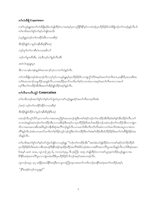### တ<sup>ှ</sup>လဲၤနီဖြို Experience

ကစါယ့ဉ်ရူးအတၤ်လဲၤဒီဖျိအါမံၤတဲဖျါထိဉ်ဝဲလၢအဝဲမ့ါပုၤကညီနို<sup>ု</sup>နှိ<sup>ု့မှ</sup>ါလၢထဲဒဉ်ပုၤဟိဉ်ခိဉ်ဖိလဲၤဒီဖျိဘဉ်တၤ်တဖဉ်နဉ်လီၤ.ဒ် .<br>တ႑မၢဖိအတ႑်စူ႑်တ႑်နဉ်ပာ်ဖျါဝဲအသိး

(ယူဉ်ရှူး)ဘဉ်တ႑်ဒၢထိဉ်အီၤလၢသးစီဆုံ *ဒီးဒ3်ာဖျဲဉ်လၤမှဉ်ကနိၤစိဆုံနိ<sup>1</sup>မၤရံ* ဘဉ်တူ ်တ႑်လၫစီၤပံၤလးအဗီလာ် ဘဉ်တ ်ပျံ ထိအီး ,သံ ,ဒီးဘဉ်တ ရှဉ်လီး အီး အဝဲလဲၤဆူပျူပူၤ -<br>ဒီးလၢသၢနံၤတနံၤန္နာSဂဲၤဆၢထ႑ာ်က္ၤလၢတ<sup>႐ွ</sup>သံန္နာလိၤ.

တၫ်လဲၤခီဖျိတဖဉ်အံၤအၫဉ်လီၤသၦၢၲၦၢိလၢယ္ဉ်ၡူးမ့ၢၲၦၤဟိဉ်ိခ်ိဉ်ဖိလၢကျဲလွံၤ်ဘိဒ်အမ့ၤ်အတ႑်ဟဲလီၤစ႑ာ အနီၤိခ်ိႇအသးဒီးအ ာ<br>တြရဲအောက်သမ္ပတ္တိုက္ခ်က္ခ်က္ေတာ့ အေဆာင္သည္ အသက္တာတိုက္ခ်က္ေတာ့ အသက္သာတာ အတြက္ ဃှာ်ဒီးတ<sup>ရ</sup>ဒၢထိဉ်အီၤဒီးအတ<sup>ြ</sup>အိဉ်ဖျဲဉ်ထိဉ်အစ့်<sup>ရ</sup>နဉ်လီၤ*.* 

# တၤ်လီးစ $\pi$ လီးသွဲ $\beta$  Generation

တ<sup>ျ</sup>မၢဖိတဖဉ်အတ<sup>ု</sup>စူ<sup>ရ</sup>တၫ်နှာ်တၫ်ကွဲးတဲပှၤကစၢိယ့ဉ်ရှူးခရံာ်အတၫ်လီၤစ႑ာမှ<sup>ု</sup>ဒ်အံၤ

(အဝဲ) ဘဉ်တ႑်ဒၢထိဉ်အိဉ်လ႑သးစိဆုံ

# ဒီးအိဉ်ဖျဲ့ဉ်ထိဉ်လၢမှဉ်ကနီၤစီဆုံနိ1်မၤရုံ

ပအၫဉ်လိၤတု<sup>၎</sup>လိဉ်သ့လၢတ<sup>၎</sup>လၢအတမၤညိန<sup>ှ</sup>အသးဘဉ်ထွဲဒီးကစ<sup>႑</sup>ခရံဉ်ဘဉ်တ႑်ဒၢထိဉ်အိၤဒီးဆံးစ<sup>႑</sup>န္<sup>ဌ</sup>အိၤအိဉ်ဝဲလီၤ.တ႑် တၢတမံ၊ နဉ်အဝဲဘဉ်တ1်ဒาထိဉ်အီၤလၢသးစိဆုံဒီးတမ့1်လၢပှၤဟိဉ်နိဉ်<sup>ဖြဲ့</sup>အပ<sup>1်</sup>အအိဉ်ဘဉ် အဝဲဘဉ်တ1်ဒาထိဉ်အီၤလၢကျဲတ တိႝ႞နဉ်လီၤႉခဲအံၤပကမၤလိသက်ိးတ႑်စ့႞ခိဉ်သူဉ်ဘဉ်ထွဲဒီးတ႑်ဒၢထိဉ်ဒီးတ႑်ဆံးစ႑်ထိဉ်အိၤဒ်ဟိဉ်ခိဉ်ဖိအတ႑်လဲၤခ်ိဳဖျိအိဉ်ဝဲအ သိးနဉ်လီး.

တၫ်မၢဖိအတၫ်စူၫ်တၫ်နှာ်တၫ်ကွဲးပာ်ဖျါဝဲလၢယ့ဉ်ရှူး ''ဘဉ်တၫ်ဒၢထိဉ်အီၤ''အဝဲအံၤပာ်ဖျါထိဉ်ဝဲလၢကစၫ်ခရံာ်ဟဲလိဉ်ထိဉ်ဒ် ဒ်အမ့်၊ မးသဲ ၁း၁၈, လူၤကဉ်၂း၅–၆, ကလၤတံ၄း၄, ဒီး ဇ့ၤဘြံၤ ၁၀း၅ တဲဖျါထိဉ်ဝဲလၢကစၫ်ယွၤဒုးကဲထိဉ်ယူဉ်ရှူးလၢအ ာ<br>အိန္ဒိုမာရံအဒၢလိ<sup>ု</sup>ပူာလာကျဲတမံၤဃိဒီးပှာဟိဉ်8်ဉ်<sup>8</sup> ဖိသဉ်အက်အကတဖဉ်လီး

လူၤကဉ်၁း၃၄–၃၇ မၤနိဉ်မၤဃါနိ<sup>၎</sup>မၤရံဒီးကလူးကၤဘြၤအ့လးအတ<sup>၎</sup>ကတိၤဘဉ်ဃးနိ<sup>၎</sup>မၤရံအတ<sup>၎</sup>ဒၢထိဉ်အစ့ၫ်**.** 

'' နိ<sup>5</sup>မၤ*ရံစံးဘဉ်ကလူးနဉ်''*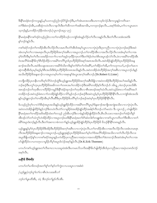တၫ်ဒိးစံးဘဉ်အိၤႇသးစိဆုံကဟဲလိၤလၢနလိၤဒိးတ႑်ထိကတ႑ာအစိအကမိၤႇကကဒုဘဉ်နၤလိၤ…အစ့ၫ်ဒ်အံၤႇတ႑်လၢယွၤမၤတ သ့ဘဉ်နဉ်,တအိဉ်ဘဉ်နီတမံၤဘဉ်.(လူၤကဉ်၁း၃၄–၃၇)

နိ1်မၤရံအနိ1်ကစ1်ဒဉ်ဝဲသူဉ်ညါဝဲလ႑တ1်ဒ႑ထိဉ်ဖိသဉ်လ႑ကျဲဒ်အံၤန္ဥလိဉ်တ႑်လီးလးနှဉ်လီၤ.ဒီးတ႑်လီၤလးအံၤအဝဲဒိး နှ်ကဉ်ဝဲနဉ်လီး.

ကစါ်ခရံာ်ဘဉ်တါဒၢထိဉ်အီၤလီၤလိဉ်လီၤလးမၤလီၤတံါအီၤဒ်အမဲ့ါယွၤလၢလၢပှဲၤပုံၤဒီးပုၤကညီလၢလၢပှဲၤပုဲၤဘဉ်ဆဉ်ဒီးအဝဲ အံၤတမ့်ၢ်တၤ်လၢအမၤစှၤလီၤပှၤဟိဉ်ိန်ဉိဖိအက့်ၢအရိၤလၢအပူၤဘဉ်ႉတၤ်ဒၢထိဉ်အီၤလၢအလီၤလိဉ်လီၤလးအံၤမ့ါတၤ်လၢအ မ့်ၢ်ဝဲတီဝဲဒီးမ့်ၢ်တၫ်လီၤလးအဒိဉ်ကတ႑ာ်လၢတ႑်အုဉ်က္ၤခ်ိဳဉ်က္ၤတ႑်ဒီးတ႑်စံဉ်တဲၤတဲစိၤအပူၤဒဉ်လဲာ်လီၤ.ဖဲလၢအမိၤ်ဒၢထိဉ်အီၤ ဝံၤအလိႝၤ်ခံအနီ<sup>႖</sup>ခိက့<sup>႖</sup>ဂ္ဂီၤဒိဉ်ထိဉ်လၢအမိါဒၢလိႝႃပူၤဒ်ပှၤဟိဉ်ခိဉ်ဖိအရာ်အရာအသိးလိၤအဝဲအိဉ်ဖျဲဉ်ထိဉ်ဒ်ပှၤဟိဉ်ခိဉ်ဖိအန္ ဆၫှာ်အသိးလီၤ.အဝဲဒိးသန္ၤအသးလၢအမိါဒ်သိးကဒိးန္ ါတ႑်ရံၢတ႑်ဘါအရီ ၊,တ႑်အိဉ်တ႑်အိ,တ႑်ကဟုကယဉ်,ဘဉ်တ႑်မၤက ဆှဲကဆိုအီၤဒ်ပှၤမုၢိဆ့ဉ်မုၢိရိၤအသိးဒီးဒ်ပှၤဟိဉ်ခိဉ်ဖိတၵၤအသိးနဉ်လီၤ.အဝဲတအိဉ်ထဲဟိဉ်ခိဉ်အက့ၢ်အရီၤလၢအပူၤဘဉ်ႉဒ်နဉ် အသိးဟိဉ် $8$ ဉ် $8$ အန္ $\infty$ ၫဉ်လၢအပူၤတမ့ါတါလၢအစှၤန္နါဒံးယွၤအက့ါအစီၤဘဉ် $\cdot$ (Dr.Robert  $\operatorname{G.Lister})$ 

တဘျီတခ်ိဉ်ပှၤတန်ီၤကတိၤစ့်၊လိ5်ဝဲဘဉ်ထွဲဒီးယ့ဉ်ရျုးအဟိဉ်ခိဉ်ဖိအက့်၊အစီၤခ်ီဖျိလၢအဝဲတအိဉ်ဒီးဟိဉ်ခိဉ်အပါအဃိန္ဉာ်လီၤ ဘဉ်ဆဉ်ဒီးပကွ်က္ၤပှၤဟိဉ်ခိဉ်ဖိအဆိကတၫ်တ၈ၤအပါတအိဉ်ဘဉ်ဒီးအမိါတအိဉ်စ့ါကီးဘဉ်.ဒ် ၁မိၤရ္၂ စံးဘဉ်ပှၤအသိးစီၤ အာဒဉ်ဘဉ်တ<sup>ရ</sup>တ့အိၤလၢဟိဉ်<sup>8</sup>ဉ်ကမူဉ်ဒီးနိ<sup>ု</sup>ဒာံဉ်အုဘဉ်တၢ်တဲ့အိၤလၢစိၤအာဒဉ်အစုဉ်ဃံလီၤ.အဝဲသ့ဉ်ခံ၈ၤလၢာ်အမိ်ါအပ<sup>ြ</sup> တအိဉ်ဘဉ်ႉအဝဲသ့ဉ်ခံ၈ၤလၫာ်တအိဉ်ဖျဲဉ်ထိဉ်လၫ<sup>႘</sup>ာ်မှဉ်ဘဉ်ႉဘဉ်ဆဉ်ဒီးအဝဲသ့ဉ်မ့<sup>ရဲ</sup>ပှၤဟိဉ်<sup>ပွ</sup>ဉ်<sup>8ွ</sup>န်<sup>ရန်ရှ</sup>လီၤ.လၫကျဲဒ်အံၤအသိး နှဉ်ယှဉ်ရူးဘဉ်တၫ်ဒၢထိဉ်အိၤမ့ၢ်လီၤဆီဒီးပုၤဟိဉ်ခိဉ်ဖိပတိၢ်မှာ်ဘဉ်ဆဉ်အဝဲမ့၊်ပုၤဟိဉ်ခိဉ်ဖိနှီၤနိၤလီၤ

ဒ်ပသ္၃်ညါတ့်၊လၢလံာ်စီဆုံအပူ၊အသိးန္၁်ယ့ဉ်ရူးဒိဉ်ထိဉ်လၢအမိါဒၢလိိ၊ပူးမ့ါဒ်န္ေဆာ့်အကျို၊အကျဲအသိးလၢလၢပုံပုံ၊လိၤ အဝဲတဟဲအိဉ်ဖျ်ထိဉ်ဒ်နဉ်ဘဉ်ဒီးတဟဲလ်ၤတဲဉ်လျမှုနိဉ်ဖဲအအိဉ်ဖျဲဉ်ထိဉ်အခါစ့¶ကိုးဘဉ် လံဉ်မးသဲ၁ ဒီး လူၤကဉ်၂ တဲဖျ်ထိဉ်ဝဲ -<br>နိ<sup>ု</sup>မာရံအတ<sup>ရား</sup>ထိဉ်အဖိအခိဉ်ထံးတ<sup>ရ</sup>တသ့ဉ် ညါအီၤဘဉ်ဒီးလၢခံနဉ်အိဉ်ဖျ်ထိဉ်ဝဲလီၤ.စီၤယိၤသးလၢအဘဉ်တ<sup>ရ</sup>အဲဉ်တိန<sup>ှ</sup> အီၤဒဉ်လဲာ်တၫ်သံကွၢ်ဟဲအိဉ်ထိဉ်လၢအပူၤဘဉ်ဃးဒီးနိံုမၤရံအတ႑်ရံံဆံးဘါစ႑်တချုးဒံးလၢကစ႑်ယွၤကတိၤတ႑်ဒီးအီၤလၢတ႑် မံမိ်ါအပူၤဒံးဘဉ်နဉ်လီၤ.ဒိးတౕါအစၢလၢခံကတၢၢိန္ဉာယ္ဉ်ၡူးအိဉ်ဖျဲဉ်ထိဉ်ဒ်ၦၤဟိဉ်ခိဉ်ဖိ ဖိသဉ်နိႝၤနိ်ါတၵၤန္ဉာ်လီၤ.

ယ့ဉ်ၡူးနဉ်မ့ၢိဝဲပှၤဟိဉ်<sup>8</sup>ဉ်ဖိဒိုးအိဉ်ဒီးဟိဉ်<sup>8</sup>ဉ်ဖိအက့်ၫအစီၤလၢလၢပှဲၤပှဲၤလီၤ.တၫ်ဒၢထိဉ်အီၤလၢအလီၤလိဉ်လီၤလးအံၤတမၤစှၤ လီၤအဟိဉ်<sup>႙ွ</sup>ဉ်ဖိအန္**ဆၫ**ဉ်လၫအပူၤဘဉ်ႉယ့ဉ်ၡူးဒုးနဲဉ်ပှၤဟိဉ်နိဉ်ဖိအတ<sup>ြ</sup>မ့်ၫတ<sup>ြ</sup>ဒ်အလိ<sup>ု</sup>အိဉ်ဝဲအသိးလၫတၫ်လီၤလိဉ်လီၤလး အပူ၊ဒီဖျိပထံဉ်နှါလၢကစါခရံာ်အပူ၊နှဉ်ပကဲထိဉ်ပု၊ကညီအလၢအပုံ၊လၢအတအိဉ်ဒီးတၢ်ဒဲးဘးဘဉ်.ဒီးအဝဲအံၤမ့ါတ1်လၢအ 

ပကဟ်ကစၫ်ယှဉ်ရူုးအတၫ်လီၤစ႑ာလၢပသးပူၤခဲအံၤဒီးပကမၤလိသက်ိးအနိ<sup>႖</sup>ၶိဟ်ဖျ်ထိဉ်အီၤဒ်ပုၤကညီအလၢအပှဲၤတ၈ၤဒ်လဲဉ် အင့်္ဂလီၤ.

# အနီ<sup>ရ</sup>န္တ Body

ပကဟ်တၫ်မၢဖိတဖဉ်အတၫ်စူၫ်တၫ်နဉ်တ႑်ကွဲးလၢပသးပူၤလၢအစံးဝဲ

```
(ယူဉ်ရှူး)ဘဉ်တူ႑်တ႑်လၢစီၤပံၤလးအဇိလဉ်
ဘဉ်တ႑်ပျာထိအီး, သံ, ဒီးဘဉ်တ႑်ခွဉ်လီးအီး.
```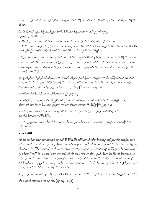တၫ်ကတိၤသ့ဉ်တဖဉ်အံၤန္ဉာိပာ်ဖျါထိဉ်ဝဲလၢယ့ဉ်ရှူးအတၫ်လဲၤဒီဖျိတဖဉ်အံၤကဲထိဉ်လိဉ်ထိဉ်သဲ့ဝဲထဲလၢအဝဲမ့<sup>၎</sup>ပှၤကညီနိ<sup>ု</sup>နိ<sup>ု</sup>  $\delta$ 

## ဒ်လံာ်စီဆုံအတၫ်ကွဲးဘဉ်ထွဲဒီးယှဉ်ရှူးဘဉ်တၫ်ဖိဉ်အီးဒီးတၫ်ပျာထီအီၤလၢ မးသဲ၂၇, မၫ်ကူး၁၅, လူၤကဉ်၂၃, ဒီး ယိၤဟဉ်၁၈–၁၉

အသိးယ့ဉ်ရှူးတုိက်လာပဒိဉ်စီးပံၤလးအဖိလာ်အါမံၤလီၤ.အဝဲဘဉ်တၫ်တိႝၤ်အီၤ,တ႑်မၢဆူဉ်အီၤလၢအ ကဖျိဉ်<sup>ဌ</sup>ဉ်သလုးတၤဆျဉ်,တ<sup>၎</sup>ထူးပှဲာ်အိၤ,တ<sup>၎</sup>ဒုဉ်ဒွဲဉ်အိၤ,ဘဉ်တၫ်တိ<sup>၎</sup>အခိဉ်ခဲအံၤခဲအံၤလၢနိဉ်ထိးဘိဒီးတ႑်မၢဆူဉ်အယိးအနိ<sup>၎</sup> <br>ကစ<sup>ှ</sup>ထူဉ်စုညါလၫကျဲဒီဘိဃဉ်ဃဉ်ဖဲတ႑်လဲၤဆူတ႑်လိႝၤ်လၫတ႑်ကပျၤထိအိၤအ<sup>ရွ</sup>်နဉ်လိၤႉ

ယ့ဉ်ၡူးအတၫ်နးတၫ်ဖှိဉ်လၢအမ့ၢ်တၫ်ပျာထိအိၤႇအတ႑်သံဒီးတ႑်ခူဉ်လီၤအီၤဟ်ဖျါထိဉ်ဝဲလၢအဝဲမ့ၢ်ပှၤဟိဉ်8်ဉ်ဖိနိ<sup>၎</sup>နိုၤ်တ၈ၤႇပှၤ တ၈ၤလၢတၫ်တိႝၫအိၤသ့ႇပှၤတ၈ၤလၢအသွံဉ်ယွၤလိၤသ့ႇပှၤတ၈ၤလၢပှၤသုးဖိတဖဉ်စံးအၢစံးသိမၤတရိတပါအိၤႇပှၤတ၈ၤလၢ လီးဃံးခ်ီဖိုလၫတၫ်မၤဆါအီးနးနးအဃိႇပှၤမၤသံအီးသ့ဒီးပှၤတ၈ၤလၢပှၤခူဉ်လီးအီးလၫတ႑်ပူးသ့ဝဲဖဲလၫအသးသမူတအိဉ် .<br>လπဘဉ်အကတိႝ<sup>ု</sup>နဉ်လီၤ.

ယှဉ်ရှူးအိဉ်ဒီးပှၤဟိဉ်<sup>8</sup>ဉ်<sup>8</sup>အနိ<sup>ရ</sup>နိအံၤမ့်္ဂတ႑်လၢအလိၤ်အိဉ်သပှၤ်ပုၤ်နိဖျိလၢကစၤ်ယွၤအတၤ်တိတၤ်တြၤ်လိဉ်ဘဉ်ပှၤဟိဉ်နိဉ် ဖြံအမှn်အတိဘဉ်တူဂ်ယွၤအတၫ်စံဉ်ညိဉ်လၫန်ိ<sup>ရ</sup>န်ဒိဒ်သိးဒီးကလုၫ်ထိဉ်အသးလၫပှၤဟိဉ်နိဉ်ဖိလ႑အမှn်ပှၤတၫ်ဒဲးဘးဖိတဖဉ်အ ရွိန်၃လွိၤႚပထ္၃န္႕အွၤတၪ ၀ွႝၐၨာပဲႏဲပဲႚ ယတ္မႈစ္)းါ၁–ါါ န္မႈ ဇံ၊သြ္၊၁၀း၁၀ အပ်၊ ၨပွ>ပ္မွာ

လၢတၫ်ဟံးန၂တ႑အဒိထဲတခါ&ၤအရိၤ်ပကဖး ဇူးဘြီၤ၂း၁၄–၁၇

မၤသးဒ်နဉ်ဒီး,ဖိတဖဉ်ဘဉ်ဃးဒီးတၫ်ညဉ်ဒီးတၫ်သွံဉ်သတးဒီး,အဝဲဒဉ်အကစၫ်ပှ<sup>၎ဌ</sup>းနှၤ်စ့ၢ်ကိုးတၢ်တဖဉ်ဒ်နဉ်အသိး,ဒ် သိးလၢတၫ်သံအစိအကမ်း…ကမၤပူးဖျဲးတၫ်လၢပှၤကညီအတၫ်ဒဲးဘးအရိ $S$ လ်ံၤ.(ဇူးဘြံၤ၂း၁၄–၁၇)

ဒ်လံာ်စီဆုံတဆၢအံၤစံးဘဉ်ပှၤအသိးယ့ဉ်ရှူးအိဉ်ဒီးတၫ်ဖံးတ႑်ညဉ်ဒီးတ႑်သွံဉ်ပှၤဟိဉ်ခိဉ်ဖိအနိ<sup>၎ဌ</sup>နိ<sup>၎ဌ</sup>န် ကလု<sup>ရှ</sup>တိုက်သားလာပ<sup>ရွ</sup>်နဉ်လီၤ.

ပကပာ်ယှဉ်ရှူးအတ<sup>ှ</sup>လီၤစπဒိီးအနိ<sup>၎ဌ</sup>လၢပသးပူၤဒီးပကကွ<sup>ှ</sup>သကိႏအသးလၢအဒုးနဲဉ်ဝဲလၢအဝဲမ့<sup>၎</sup>ပှၤဟိဉ်<sup>ဌ</sup>ဉ်ပိနိ<sup>၎ဇွ</sup>ြဒ လဲဉ်အစ္စ္ပါတက္ခါ.

### အသ**: Soul**

လံာ်စီဆုံကတိၤတၫ်ဒီးပုၤခဲအံၤခဲအံၤစံးဝဲလ႑ပုၤဟိဉ်ခိဉ်ဖိအနိုၫ်ခိက္၂်စီၤအံၤမ့္ပ်တ႑်ဘဉ်ဃးဒီးပုၤကညီဒီးမ့မ့္ပ်ာအသးန္ဉာသံတသ့ ဘဉ်•တ<sup>ရ</sup>ကတိၤသးအဝဲအံၤဘဉ်တၫ်သူအီၤလၫတ်ၫကတိၤအဖျာဉ်လၫအလီၤဆီလိာ်အသးဘဉ်ဆဉ်ဒီးတၫ်ကတိၤလၢပညီန႑်သူ အီးနဉ်မ့ါဝဲ ''သး''ဒိး ''သးသမူ''နဉ်လီး.ပှၤလၢအဟံးဃာ်တၢ်စု၊်တၢ်နာ်လၢပျπတဖဉ်ဟံးန5်၊ ဇ့ၤဘြီၤ၄း၁၂ ဒိး ၁သူးစၤလနံ ၅း၂၃ဒီးစံးဝဲ ''သး'' ဒီး ''သးသမူ''မ့<sup>1</sup>တ်လၫအလီၤဆီလိာ်အသးလၫပှၤကညီအ ပူၤန္ဉာ်လီၤ.ဘဉ်ဆဉ်ဒီးလံာ်စိဆုံအဆ႑၂၀၀ ဃဉ်ဃဉ်ယπထိိဉ်တ<sup>၎</sup>ကတိၤဝဲအံၤတဖျာဉ်မ့တမ့<sup>၎</sup>လၢအၵၤတဖျာဉ်ဒ်သိးဒီးကဟ်ဖျ်ထိဉ်တ<sup>၎</sup>အိဉ်လၢပကံ်ျပလဲလၢအတမ့်<sup>၎</sup>ပ နိ<sup>ု</sup>38ြို့ ရှိသေရာဘဉ်နဉ်လီၤ.လၢတ<sup>ှ</sup>နဉ်အဃိလၢခံကတၫ်နဉ်ပကစံးလၢ ''သး'' ဒီး ''သးသမူ''ခံခါလၫာ်ဟ်ဖျါထိဉ်ဝဲလၢပှၤက .<br>ညီအပူ၊နဉ်အိဉ်ဒီးတၫ်ခံမံ၊ လၢအမှ<sup>၎ဇွှ</sup>်ဒိဒီးသးနဉ်လီ၊

ဖဲ လူၤကဉ်၂၃း၄၆ နဉ်ယှဉ်ရှူးကတိၤဘဉ်ဃးဒီးအနိ<sup>၎</sup>ကစ<sup>၎</sup>အ ''သး'' ဒီး ''သးသမူ''ဖဲအကသံအဆၢကတိႝနဉ်လီၤ.အဝဲစံးဝဲဒဉ် ပါော ယဟ့ဉ်လီးယသးလၢနစုပူးလီး. (လူးကဉ် ၂၃း၄၆)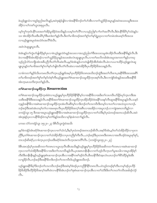.<br>ဖဲယ့ဉ်ရူးသံလၫထူဉ်စုညါအလိၤန္ဉ**်**,အဝဲဒုးနဲ့ဉ်ဖျိဝဲလၫဖဲအနိ<sup>၎</sup>ခ်ိဘဉ်တ႑်ဟ်အီၤလၫတ႑်သွဉ်ခိဉ်အပူၤန္ဉာ်အဝဲအသးသမူဒီးအသး ာ<br>အိဉိလၢပါကစါယွာအစုပူာလီး

ပမ့ါ်ကွါ်ကူၤဒ်ပနိ<sup>ု</sup>သးအတ<sup>ရ</sup>အိဉ်မူအိဉ်ဝဲအသိးနဉ်ပသးမ့ါတ<sup>ရ</sup>လိ<sup>ု</sup>လ႑ပသ္ဝှည်ခြရ်ပ႑ါတ႑်အလိိ<sup>ရ</sup>လီၤ.ဒိးဖဲပနိ<sup>ု</sup>ဒ်မိရိပုါသံဝဲနဉ်ပ ား အီၤအိဉ်လီၤဖးဒီးပမိ1်ပှ<sup>ရ</sup>ဒီးမၤဒီးတ႑်နဉ်လီၤ.ဒီးတ႑်မၢဖိတဖဉ်အတ႑်စု႞တ႑်နှာရဲပွဲးပှၤလၢတ႑်တမံၤအံၤမၤစ့႞ကီးအသး လၢယ့ဉ်ရှူးအပူၤဖဲအသံဝံၤအလိ<sup>ရ</sup>ခံလိၤ.

### အဝဲလဲၤဆူပျုၤပူၤလီၤ.

ဖဲအံၤန္ဉာ်တၫ်ကွဲးဟ်ဖျါထိဉ်န္ ၊်ပှၤလၢဖဲယ့ဉ်ၡူးသံဝံၤန္ဉာ်အသးလၢအသ္ဉာ်ညါတၫ်ဒီးအသးသမူအံၤအိဉ်လိၤဖးဒီးအနိ<sup>၎</sup>ခ်ိန္ဉာလီၤ.ဒီး ဖဲလၫအနိ<sup>ရ</sup>ခ်ိအားအိဉ်ဒဉ်လၫတၫ်သွဉ်ခိဉ်ပူ၊နှဉ်အသးအံၤလဲၤဆူပျုံပူ၊ လိၤႇလ႑တ႑်မၤလိတခါအံၤအပူၤအကတၫၢိန္ဉဉ်ပကၰ သည်သင်္ဘြလား အားအရွံ့သည် အသင်္ဘြလား မိန်းသည် အသင်္ဘြလား အသင်္ဘြလား မိန်းသည် အသင်္ဘြလား အသင်္ ပျုၤပူၤန္>်တၫ်မၢဖိအတ႑်စူၫ်တ႑်နှာ်ပာ်ဖျါဝဲလီၤတံ႑်လီၤဆဲးလၢအဝဲအိဉ်ဒီးပှၤဟိဉ်ခိဉ်ဖိအသးန္ဉာ်လီၤ

လၢခံကတၫ်နဉ်ဒ်သိးပကမၤလီၤတံ်က္ၤယ့ဉ်ၡူးဒ်အမ့်္ျပာဟိဉ်ခိဉ်ဖိတ၈ၤအသိးဘဉ်ထွဲဒီးအတၤ်လီၤစπ,အနီ်ုခိဒီးအသးအရိ တၫ်မၢဖိတဖဉ်အတၫ်စူၫ်တၫ်နှာ်တဲ့စ့ၫ်ကီးယ့ဉ်ရျုးအတ႑်ဲကဆ႑တ႑ာ်သမူထိဉ်က္πအစ့ၫ်လိၤ.ဒီးလ႑ကျဲဒ်အံၤန္ဉာ်အသးဒီးအနိ<sup>႖</sup>ၶိ .<br>အဲၤက္ၤမၤသက်ိးက္ၤတ<sup>၎</sup>နဉ်လီၤ

### တ<sup>ှ</sup>ကဲဆောထာဉ်သမှုထိဉ်က္**း Resurrection**

တၫၳ၈ဲးဆၫထၫဉ်သမူထိဉ်က္ၤစံးဝဲလၫယ္ဉ်ၡူးမ့ၢ်ပှၤဟိဉ်ခိဉ်ဖိနိ<sup>႖</sup>နိ႑မ့ၫ်လၫအနိ<sup>႖</sup>ခိလၫအဒိးတ႑်လၤကပိၤဟ်ဖိုဉ်ဃှာ်က္ၤကဒီးအ သးဒီးအနိ<sup>ု</sup>ခ်ဒီးအသးနဉ်လိၤ.အနိ<sup>ု</sup>ခြိအတ<sup>ှ</sup>ကဲၤဆၢထၢဉ်သမှုထိဉ်က္πအိဉ်ထိဉ်၀ဲဖဲအနိ<sup>ု</sup>သးနဉ်လီၤဆူအနိ<sup>ု</sup>ခြိအပူၤန္ဉာလီၤ.သနဉ် က္နန္)အနီ<sup>ရ</sup>ခ်ိလၢအဂဲၤဆၢထၢဉ်သမူထိဉ်ကၤအံၤလီၤဆီဝဲမ့<sup>ရ်</sup>လၢဒိႏဘဉ်တၫ်လၤကပီၤဒီးတမ့္ပ်ာလπတၤ်လၢအသံသွလπဘဉ်. ဘဉ်ဆဉ်ဒီးအဝဲအံၤတမ့ါတ1်လၢအမၤစုၤလိၤပှၤဟိဉ်<sup>ဌ</sup>ဉ်ဖိအက့ါအရီၤလၢအအိဉ်လၢအပူၤဘဉ်ႉလၢကျဲအရာတဘိန္နဉ်လၢ ၁ကရံဉ်သူး ၁၅ ဒီတဆၢအပူၤယ့ဉ်ရှူးအနီ<sup>ရှ</sup>ဒိလၢအ၈ဲၤဆၢထၢဉ်သမူထိဉ်က္ၤလၢတ<sup>ရ</sup>သံဒီးမ့<sup>ရ</sup>ပှၤမံတဖဉ်အတၤသဉ်ဆိလီၤ.အဝဲ အံၤဒုးနဲ့ဉ်ပုၤလၢပနိ<sup>၎ဌ</sup>ဒဉ်ဝဲကမ့<sup>၎</sup>တ႑်ဒ်နဉ်အသိးလၢမှါနံၤခံကတၢါနဉ်လီၤ*.* 

```
ပကဖး လံာ်၁ကရံဉ်သူး ၁၅း၂၀–၂၃ ဒ်စီၤပီလူးကွဲးဝဲအသိး
```
မ့မှါခဲကနံဉ်အံၤခရံာ်ရဲၤဆၢထၢဉ်က္ၤလၢတၫ်သံလံႇဒီးမ့ၢ်ပှၤမံတဖဉ်အတၤသဉ်ဆိလီၤႉအစ့ၢ်ဒ်အံၤႇမ့ၢ်တၫ်သံအိဉ်ထိဉ်လၢပှၤက .<br>ညီဒီး,တၫ်၈ဲၤဆၢထၢဉ်က္ၤလၢတၫ်သံအိဉ်ထိဉ်လၢပှၤကညီစ့ၫ်ကီးလီၤ…ဘဉ်ဆဉ်ဒီးပှၤတ၈ၤဒီးတ၈ၤလၢအတိၤဒဉ်ဝဲအပူၤစု႒်စု႒်, တၤသဉ်ဆိခရံဉ်,လၢခံက္ၤပှၤဘဉ်ဃးဒီးခရံဉ်ဖဲအဟဲလီၤက္ၤအကတိႝၤ်လီၤႉ (၁ကရံဉ်သူး၁၅း၂၀–၂၃)

ဒ်စီၤအၤဒဉ်မ့<sup>ှ</sup>ပှၤအဆိကတၫ်တ၈ၤလၢယွၤတ့လီၤအီၤအသိးနဉ်ယှဉ်ရှူးမ့<sup>၎</sup>ပှၤဟိဉ်<sup>ဌ</sup>ဉ်ဖိအဆိကတၫ်တ၈ၤလၢအ၈ဲၤဆၢထၢဉ် က္ၤလၢတၫ်သံအိဉ်ဒီးအနိ<sup>႖</sup>§လၢအဒိးတၫ်လၤကပိၤန္ဉာ်လိၤ.ပှၤအၵၤတနိၤနိၤလၢတၫ်ဟ့ဉ်လိၤက္ၤတၢ်မူအသါလၢအပူၤအိဉ်စ့<sup>၎</sup> ကိုးဝဲဒီးတနိၤနိၤနဉ်ယှဉ်ရှူးဒုးဂဲၤဆၢထၢဉ်ကၤအိၤလၢအနိ<sup>႖</sup>ကစၢ်ဒဉ်ဝဲလီၤ.စီၤဃနိဉ်ဒီးဝံအၤလံၤယၤဘဉ်တ႑်စိဉ်ထိဉ်မှုဒံးအိၤ .<br>လၫမှုခိဉ်လီၤ.ဘဉ်ဆဉ်ဒီးအနိ<sup>႖</sup>နိၥတိုးဘဉ်တ႑်လၤကပီၤဒ်ယှဉ်ရှူးအသိးဘဉ်.

ယှဉ်ရူူးအနိ<sup>ု</sup>ဒ်မိ<sup>ုဒြ</sup>ီးဘဉ်တ<sup>၎</sup>လၤကပီၤဘဉ်ဆဉ်ဒီးအဝဲမ့<sup>၎</sup>ဒံးဒဉ်ပှၤကညီနိ<sup>ု</sup>နိ<sup>ု</sup>တ၈ၤလီၤႉပဝဲသ့ဉ်တဖဉ်စ့<sup>၎</sup>ကိီးပကမ့<sup>၎</sup>ဒဉ်ပှၤဟိဉ် ာ<br>အိုဒ်အိန်ဒီးဟိန်ခိန်ဖြားကိုးအဂါပဲလျှပန် မြို့ဆုံးတန်တို့အုံးဆုံးထုံးကြေးအိုးလျတ်သိမ်းမိုးတက်လက်ကပ် အခါဒန်လဲန်  $\mathcal{C}_{\text{L}}^{\text{S}}$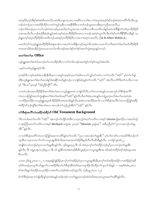အဝဲမ့<sup>၎</sup>ဖိသဉ်အိန<sup>ှ</sup>ဆံးဆံးဖိတ၈ၤလိၤႉအဝဲဒိးသနၤအသးလၢအမိ်ါလၢတၫ်ခဲလၫာ်အပူၤဖဲအမ့<sup>၎</sup>ဒံးဖိသဉ်ဆံးအကတိႝၤလီၤႉစီၤလူၤ ာဉ်တၫိစံးဘဉ်ပှၤလၢတၫ်သဉ်ဝံၤအသးဒ်ပှၤအသိးတၫ်သူအသးလၢထံဒီးလၢကီၤလၤကီၤသါနဉ်အဝဲလဲၤဒီဖျိတၫ်သံဒ်ပှၤဟိဉ်နိဉ်ဖိ တ၈ၤအသိးလီၤ.ဘဉ်ဆဉ်ဒီးခဲအံၤန္ဉာအဝဲတမ့်ၫထဲပုၤဟိဉ်ခိဉ်ဖိတ၈ၤလ πဘဉ်.အဝဲမ့်ၫယ္လၤလီၤ.ဒီးတ႑်မ့္ပ်ာတ႑်တိန္ဒိြန္ ြတ္ခန္န ဉ်ၡူးတမ့်ါထဲပှၤဟိဉ်ခိဉ်ဖိတၵၤ၆ၤဘဉ်ႉအဝဲမ့္ပ်ပှၤဟိဉ်ခိဉ်ဖိလၢအလၢအပှဲၤတၵၤလီၤ. (Dr.R.Albert Mohler,Jr.)

ပမၤလိတ့ၫ်လံယ့ဉ်ရှူးအဟိဉ်ခိဉ်ဖိအနဆၫဉ်လၫအတ႑်လဲၤခီဖျိတဖဉ်အပူၤလီၤ.ခဲအံၤပကမၤလိသကိႏအတ႑်ဖီးတ႑်မၤဒ်ဟိဉ်ခိဉ်ဖိ တ၈ၤအသိးဒ်အအိဉ်ကွဲးအသးလၢတၫ်မၢဖိတဖဉ်အတၫ်စူၫ်တၫ်နှာ်အတၫ်ကွဲးအပူၤန္ဉာ်တက့ၫ်.

#### အတSဖုံးတSမn Office

ယ့ဉ်ရူုးအတၫ်ဖီးတၫ်မာဘဉ်တၫ်ယπထိဉ်အီာလၢတၫ်မၢဖိတဖဉ်အတၫ်စူၫ်တၫ်နဉ်အပူာဒ်အံၤလီၤ.

# ယနဉ်ကစ<sup>႑</sup>ယှဉ်ရှူးခရံဉ်လီး.

ပှာခရံာ်<sup>8</sup>လာမှ<sup>ရ</sup>မဆါအံာတနိုာနိုာဒီးပှာလာအစူ<sup>ရ</sup>က္ခာနာ်ကွာတ<sup>ရ</sup>အါရာတဟ်သူဉ်ဟ်သးဝဲလာတက်တတ် ''ခရံဉ်'' မှရတ်ဟ်ဖျ ထိဉ်ယှဉ်ရှူးအတ<sup>ှ</sup>ဖံးတ<sup>ှ</sup>မာအါနှၤ်ဒံးအနိ<sup>ု</sup>ကစ<sup>ှ</sup>နဉ်ဘဉ် လၢကျဲဒ်အံၤနှဉ်တၤ်ကတိၤ ''ခရံဉ်'' အံၤလီၤပလိ်ာဒီးတၤ်ကတိၤလၢအ မှ<sup>င္</sup> "စီးပၤ''မဲ့တမ့<sup>င္</sup> "စံဉ်ညီဉ်ကွီ<sup>င</sup>်" လီး.

ပကတဲဘဉ်ဃးပှၤဟိဉ်<sup>ဌ</sup>ဉ်ဖိအတၫ်ဖံးတၫ်မၤလၢယ့ဉ်ရှူးမၤဝဲလၢကျဲခံဘိလိၤႉတၫ်တၢတမံၤန္ဉာ်ပကက္ၤကွ<sup>၎</sup>လံာ်စိဆုံအလိၤ် လံၤတကတြူၫ်အတၫ်ကွဲးဖျါအတၫ်ဖံးတၫ်မၤဒ်အမှ<sup>႖ '</sup>ခရံာ်''နဉ်လီၤ.ဒီးတၫ်ခံမံၤတမံၤန္ဉာ်ပကၡဲပွးက္ၤတၫ်ဖံးတၫ်မၤအဝဲအံၤ လၫထိဉ်ပှဲၤထိဉ်လၫယ္ဝှ်ရှူူးအပူၤဒ်ဟိဉ်နိဉ်ဖိတၐၤအသိးနဉ်လိၤႉခဲအံၤပကစးထိဉ်မၤလိလၤလႆာ်စီဆုံအလိ်ၤလံၤတကတြူၫ်အနိဉ် ထံးခိဉ်ဘိဘဉ်ထွဲဒီးတၫ်ဖံးတၫ်မၤလၢအဘဉ်တၫ်သ့ဉ်ညါအီၤဒ် ''ခရံဉ်'' နဉ်လီၤ

# လံာ်စီဆုံအလိ်၊လံၤအခ်ီဉ်ထံးခ်ီဉ်ဘိ Old Testament Background

ကိၤလၤ၀ါအတၫ်ကတိၤ ''ခရံဉ်'' အံၤဘဉ်တၫ်ကျိာ်ထံအီၤလၢဟူးလှဉ်အတၫ်ကတိၤလၢအမ့<sup>၎</sup> christos ခြံးစတိဉ်လၢအဟဲဝဲဒဉ် လၫင့္၊ဘြဲၤအတၫ်ကတိၤလၢအမ့<sup>၎</sup> Meshiach မၤရုံအၤ မ့တမ့<sup>၎</sup> ''Messiah မ့ၤရုံအၤ'' အခ်ီပညီမ့<sup>၎</sup>ဝဲ''ပုၤလၢအဘဉ်တၫ်ဖှူ 31" \$5091.

လၢလံာ်စိဆုံအလိ်ၤလံၤတကတြူ၊်အဆၢကတိ်၊နဉ်တ႑်ကတိၤ ''ပုၤလၢအဘဉ်တ႑်ဖျုအိၤ'' မ့ှ်တ႑်ကတိၤလၢအယိာ်ဒီးဘဉ်တ႑် သူအီၤလၢပုၤတ၈ၤလၫ်လၫယ္မွာျဖနားခ်သီးအကမာအတ႑်အိဉ်ဒီးမူဒါလီၤလီၤဆီဆီနဉ်လီၤႉ ၁ကရံဉ်သူး၁၆း၂၂ တဲဖျဲဝဲလၢဝံတဖဉ်မ့ှ်ပှၤလၢတ∫ဖှူအိၤန္ဉာ်လီၤႉ ၃မိၤရှငွး၃,၅ ဒီး ၁၆ စံးဝဲပှၤလှ်ုတဉ်အဒိဉ်တဖဉ်မ့ှ်ပှၤလၢဘဉ်တဉ်ဖှူအိၤ နှဉ်လီၤ. ဒီး ၁ရှမူၤအ့လး၂၆း၉,၁၁ ဒီး ၁၆ နဉ်စီၤဒၤဝံးစံးဝဲဒဉ်စီၤစီလူးမ့<sup>၎</sup>ပှၤလၢယွၤဖှူအီၤအ ဃိအဝဲကဲထိဉ်ဘဉ်အံဉ်စရလးအ อ็บบา0บ.

ပကဖး ၃မိၤၡ၂၁း၁၀–၁၂ လၫအဒုးနဲဉ်ဖျါထိဉ်ပှၤလုၤ်တၤ်အဒိဉ်မ့ၤ်ပှၤလ႑ယ္ပၤဖျုအီၤဒီးပှၤလုၤ်တၤ်အဒိဉ်အခိဉ်လၫအဒိဉ်နှၤ်အဒိ ပုါဝဲဲါတဖဉ်ပှၤလူလီၤသိဖှူတၤ်လၢအခိဉ်ဒီးတၤ်ဟ်စီဆုံအီၤဒ်သိးအကကူထိဉ်သိးထိဉ်တၤ်ကူတၤ်သိးနဉ်–––အစ့ၤ်ဒ်အံၤႇအက စ<sup>ှ</sup>အသိဖှူတ<sup>ရ</sup>အခိဉ်သလုးအိဉ်လၫအလိၤႇယဲဒဉ်အံၤယမ့<sup>၎</sup>ယွၤလီၤႉ (၃မိၢရ္၂၁း၁၀–၁၂)

ဒ်လံာ်စီဆုံအဆၢဟ်ဖျါထိဉ်နှ\ပှာဖဲအံာနှဉ်ပထံဉ်ဘဉ်လၢတ\ဖှူပှာတဖဉ်အံာဒ်သိးအကမာယွာအတ\အဂိ်္ဂနဉ်လီာ.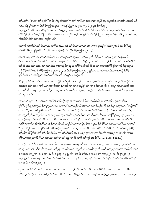တၫ်ကတိၤ ''ပှၤလၢတၢိဖှူအိၤ''ဘဉိတၫ်သူအိၤအအါကတၫၫ်လၢစီၤအဝံးအစπအသွဲဉ်ဒ်အံဉ်စရလးဒီးယူအအစီၤပၤအသိးနဉ် လီၤ.ပထံဉ်န1်အီၤလၢ စံးထိဉ်ပတြπရား၃၈, စံးထိဉ်ပတြπ၁၃၂း၁၀,၁၇, ဒီး၂ကွဲးနိဉ်တ1်၆း၄၂

အပူးနဉ်လီး.ဖဲစီးအဝံးအိဉ်မူ ဒံးအဆၢကတိႝနဉ်ယွာမာတၫ်အၫဉ်လီးအီလီးဒီးစီးပာအငံးဒီးကစၫ်ယွာအၫဉ်လီၤ၀ဲလၢကသူဉ် .<br>ထိြပ်တိြန်နိဉ်အဘိအမု<sup>ရှ</sup>ဒိဖျိုလၫစီၤပၤဒၤဝံးအစπအသွဲဉ်အကျိတ်ရာနဉ်လီၤ…စံးထိဉ်ပတြπရား၃−၄တဲဖျိကစၫ်ယွၤအတၫ်အၫဉ် လီၤအီလီၤဒီးစီၤပၤဒၤ၀ံးလၢကျဲဒ်အံၤလီၤ.

ယအၫဉ်လီၤအီလီၤတ<sup>၎</sup>ဒီးယၦၤဃုထၢဖိတ၈ၤႇယဆိဉ်တ<sup>၎ဒွိႏ</sup>ယခ့ယၦၤစီၤအပံံႏႇယကဒုးအိဉ်၈ၫ်ဆိးကျπနချံနသဉ်လီၤထူ လီၤယိ9်,ဒီးဒုးအိဉ်နလိႝၤဖိ႒်အစိၤစိၤအဃဉ်ဃဉ်လီၤ. (စံးထိဉ်ပတြ ။၈၉း၃–၄)

အဝဲအံၤတမ့ါတါကမၢကမဉ်အလိိၤလၢပကသံကွါကစါယွၤမ့ါမၤတါအၫဉ်လီၤဒီးစီၤပၤဒၤဝံးဒ်အံၤန္ဉာိဘဉ်မနုၤအဃိ စီၤပၤဒၤဝံးအဖိခွါအဘိအမုၢဴလိၤမၢ်ကွံာ်လၢအစုပူၤလဲဉ်ႉတၢ်စံးဆၢတခ်ိန္ဉာ်ယွπအတၢ်ဆိဉ်စုၤဆိဉ်၀ါလၢအတၤ်အၢဉ်လီၤအီလီၤ အ<sup>88</sup>ဉ်<sup>8</sup>းသနၤအသးလၢစီၤပာအဝံးအစπအသွဲဉ်တဖဉ်အတ<sup>ရ</sup>ဒိကနဉ်အ<sup>88</sup>ဉ်နဉ်လီၤ.အဝဲအံၤအိဉ်ဖျိလၢလံာ်စိဆုံအပူၤဖဲ ၂ကွဲးနိ5ုတ<sup>၎</sup>၆း၁၆, စံးထိဉ်ပတြπ ရ၉း၃၀–၃၂, ဒီး စံးထိဉ်ပတြπ၁၃၂း၁၂ နဉ်လီၤ.ဖဲလၫစီၤပၤဒၤဝံးအစπအသွဲဉ်အိဉ် မူထိဒါကစါယွπအခါနဉ်အဝဲသ့ဉ်အဘိအမုၢိလိၤမၢ်ကွံ၁်လၢအစုပူၤလိၤ

နံဉ် ၉၂၂ **BC** ဖဲလၫစီၤပၤဒၤဝံးအစ႑ာအသွဲဉ်အလ<mark>ံၫ</mark>ွှစိၤရဃၤဘဉ်ပ႑တ႑်အစိၤပှၤအံဉ်စရလးအဒူဉ်တဆံထုးလီၤဖးကွဲဉ်အ ု၊<br>သးဒီးဒိးပၢလိၤအသးလၫစီၤယၤရာဘဉ်အတ႑်ပၢအဖိလ႒်လီၤႉပထံဉ်န႑်အီၤလ႑ ၁စီၤပၤ၁၁ ဒီး ၁၂ အပူၤလီၤ.ပှၤအဒူဉ်တဆံ လၫအပိ>်စီၤယၤရၤဘဉ်အခံကဲထိဉ်အံဉ်စရလးအဘိအမုၢိဒီးပှၤအံဉ်စရလးခံဒူဉ်လၫအပိ>်စီၤရဃၤဘဉ်အခံကဲထိဉ်ယူဒၤအ ဘိအမှ1်နဉ်လီၤ.

လၢခံဖဲနံဉ် ၅၈၇ **BC** နဉ်ယူၤဒၤအဘိအမုၢိလိၤပိုၢ်ကွံာ်ဝဲဖဲလၢအလံၤခွါစီၤပၤယဟိၤယါခံဉ်ပၢတၢ်အစိၤယူဒၤအဘိအ မု်လီၤကွံာ်ဆူဘၤဘူၤလိဉ်အစုပူၤလီၤ.ဖဲအဆၢကတိ်ၢဝဲအံၤန္ဉ်ဝံအါ၈ၤကတိၤဆိတၫ်ဘဉ်ဃးဒီးကစၢ်ယွၤကဆုၢလီၤ ''မ့ၤရုံအၤ'' မ့တမ့<sup>၎</sup> ''ပုၤလၢတၫ်ဖုူအီၤတ၈ၤ''လၢဆၢကတိႝၤ်လၢအကဟဲနဉ်လီၤ.အဝဲကကဲထိဉ်စီၤပၤအဒိဉ်,လီၤစ႑ာလၢစီၤပၤအဝံံႏႇအ ဝဲကသူဉ်ထိဉ်ဒီးမၤဘဉ်လိ5်က္ၤအံဉ်စရလးဒီးယူဒၤအဘိအမုၢိန္ဉာ်လီၤႉလၢလံာ်စိဆုံအလိၢ်လံၤတကတြူၫ်အပူၤန္ဉာ်ပှၤလၢအ မ့်)မှာရှံအာနဉ်မ့ါ်စီာပာဒီးလီာ စπလာစီာပာအဝံံးအစπအသွဲဉ်နဉ်လီာ.ကစါယွာဟ့ဉ်လီာစီာပာအဝံံးလာတါအာဉ်လီာအိ လီၤဒီးလၢတၫ်အၫဉ်လီၤအိလီၤဝဲနဉ်အပူၤန္ဉာ်အဝဲအၫဉ်လီၤဝဲလၢတနံၤန္ဉာ်အကဒုးအိဉ်ထိဉ်စီၤပၤတၐၤလၢအလီၤဆီလၢအမ့႑် ''ယွၤအဖိခွါ'' လၢအအိဉ်ဒီးတၫ်ရ လိာ်ဘဉ်ထွဲဒီးယွၤဒ်ဖိအသိႏႇအဝဲကပၢစီၤအငံးအလိၤ်ဖစ်ာလီၤစီၤထီႇအဝဲကသူဉ်ထိဉ် တၫ်တိတၫ်တြၫ်ဒီးတၫ်တိတ႑်လိၤနဉ်လိၤႉ လၢတ႑်နဉ်အဃိဖဲလၢပတဲမှၤရုံအၤလၢလံာ်စိဆုံလိႝၤလံၤအပူၤန္ဉာ်ပတဲအိၤလၢအ မ့<sup>၎</sup>ဗီၤပၤအထူအယိ9်ႇစီၤပၤတၵၤလၢကဟဲစိ9်တ<sup>၎</sup>အုဉ်က္ၤဒိႆဉ်က္ၤဒီးတ<sup>၎</sup>ထူဉ်ဖျံးနှဉ်လီၤ.  $(Dr.Mark Strauss)$ 

ဝံတဖဉ်လၢလံာ်စိဆုံအလိ<sup>ရ</sup>လံၤအပူၤအါ၈ၤတဲမ့ၤရုံအၤမ့တမ့<sup>ရ</sup>ခရံာ်ဒ်စိၤပၤဒၤဝံးအစ႑ာအသွဲဉ်လၢအကဆှၢက္ၤပှၤဘဉ်ကဲကု<sup>ရ</sup>တ ဖဉ်ဆူကိ်<sup>ရ</sup>တၫ်စံးပာ်ဒီးဟဲစိာ်ယွာအတ႑်ဆိဉ်စှာလၢကိ်<sup>ရ</sup>လၢအသူဉ်ထိဉ်ကွာဝဲအ<sup>ရွ</sup>်ရနဉ်လီားအဒိ,ပထံဉ်နှၤ်ဝံအတ႑်ကတိာဆိတဖဉ် ဖဲ ဝံယံးရမံယၤ၂၅း၅–၈, ၃၀း၈–၉, ဒီး ၃၃း၁၄–၁၇ နဉ်လီၤ.ပထံဉ်စ့ၢ်ကီးလၢ ဝံယဃ့စက္ဝား၃၄း၂၀–၃၁ ဒီး ၃၇း၂၁–၂၈ အပူးနဉ်လီး.ဝံစကာရယာစ့<sup>ရ</sup>ကီးကတိၤဝဲဖျ်ဖဲ ဝံစကာရယာ၁၂ ဒီး ၁၃ အပူးနှဉ်လီး.လၢတ<sup>ရ</sup>ဟံးနှ<sup>ရ</sup>တ<sup>ရ</sup>အဒိထဲတခါ<sup>ဇွ</sup>ာအိ<sup>ရ</sup>နဉ် ပကၒး ဝံယံးရမံယၤု၃း၅–၆

ကွ်ကွ်လွှာစံးဝဲဒဉ်, မု)်နံးတဖဉ်ဟဲလၢယကဒုးဂဲၤဆၢထၢဉ်တၫ်အဒ္ဝာိလၢစိၤဒာပံံးအရိ<sup>ု</sup>ဒိုးစီးပၤတ၈ၤလၢကပၢတၫ်ဒိုးက ဘိဉ်ထိဉ်ညီထိဉ်,ဒီးကမၤတၫ်စံဉ်ညီဉ်ဒီးတၫ်တိတၫ်လိၤလၢကိႝနဉ်လီၤ.တၫ်လၢအမှၫ်နံၤတဖဉ်နဉ်ယူဒၤကတုၤလၢတၫ်အုဉ်ကူၤ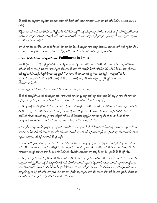ိခ််က္၊ဒီးအံဉ်စရူလးကအိဉ်ဒီးတၫ်သန္၊အသးအလိံ<sup>ရ</sup>ဒီးတၫ်ကက်းအမံၤလၢအအံၢႇယ္ပၤပတၫ်တိတၫ်လိၤလိၤ. (ဝံယံးရမံယၤ၂၃း  $9 - 6$ 

ခ်ီဖြိုလၢဝံအတၫ်စီးဟ်တဖဉ်ဒ်အံၤအဃိန္ဉာလံာ်စိဆုံလိံၤလံုပွာဉ်ဂံၫ်ဟ္ဥာ်ဘါယွၤအပုၤရိႆာမှ႑်လၤကအိဉ်ခ်ိးကွ႑်လ႑်မ္းရုံအၤစီၤပၤအ ငံးအစπအသွဲဉ်လၫအဘဉ်တၫ်ဖှူအီၤဒ်သိးအကမπထူဉ်ဖျံးအီၤလၫအတၫ်တူၫ်ဘဉ်ခိဉ်ဘဉ်အပူၤဒီးဟ့ဉ်လီၤအဝဲသုဉ်လ႑ယွၤအ တ<sup>ှ</sup>ဆိဉ်စုၤဆိဉ်ဝါတဖဉ်လီၤ.

ပကဟ်လံာ်စီဆုံအလိ်ၤလံၤတကတြူၫ်အတၫ်ဒိတ႑်တဲာ်ဘဉ်ဃးဒီးမှၤရုံအၤလၢပသးပူၤဒီးခဲအံၤပကမၤလိသကိႏယ့ဉ်ရူးဒ်အမ့ၢ်ပှၤ လၫအဘဉ်တၫ်ဖှူအီၤတၐၤလၢအဟဲမၤလၢထိဉ်ပှဲၤထိဉ်ဝံအတၫ်စံးဟ်တဖဉ်အံၤဒ်လဲဉ်အစ့ၫ်နဉ်လီၤႉ

### တၫ်လၫထိိဉ်ပှဲကတိုင်လ႑ယ္ဝိရှူးခရံာ်အပူာ Fulfillment in Jesus

လံာ်စိဆုံအသိယπထိဉ်ယ့ဉ်ရှူးဒ်ခရံာ်အသိးအါန်းဒံး ၅၀၀ ဘိုလၢတၤ်လိၤ်လၢအလီၤဆီလိာ်သးအပူၤလီၤႉလၢပှၤခရံာ်ဖိအ တၫ်ထံဉ်တခ်ိနဉ်အဝဲမှ<sup>ု</sup>မှု၊ရှံအၤလၫအဒိဉ်အထိလ႑လံာ်စီဆုံအလိၤ်လံၤအိဉ်ခိုးကွ<sup>ှ</sup>လ႑အိၤနဉ်လိၤ.ဒ်သိးဒီးပသးသုတဒ့ဒိတစ္၊ အရိ<sup>ု</sup>နဉ်လံာ်ယိၤဟဉ်ဟ်ဖျံထိဉ်ဝဲလၢယ့ဉ်ရှူးမ့<sup>၎</sup> ''မ့ၤရှံအၤ''ဒီးဖဲစီၤယိၤဟဉ်ရဲပွးဝဲလၢအစ့<sup>၎</sup>နဉ် ''မ့ၤရုံအၤ''အခီပ .<br>ညီမ့<sup>ှ</sup>တ∫တမံၤဃီဒီး ''ခရံဉ်''နဉ်လီၤႉပထံဉ်န်ၤ်အီၤလၢ ယိၤဟဉ် ၁း၄၁ ဒီး ယိၤဟဉ်၄း၂၅−၂၆ နဉ်လီၤႉပကဖး ာ<br>အီၤထဲတဆၢဇိၤလိၤ*.* 

ပကဒိကနဉ်သကိ<sup>းဖွဲ</sup>ကစ<sup>႖</sup>ခရံာ်ကတိၤတ<sup>႖ဒ္ဌိ</sup>းပိာ်မုဉ်တ၈ၤလၢထံပူၤကပၤတက္်ၤ

တိမှဉ်နဉ်စံးဘဉ်အီၤယသ့ဉ်ညါမှၤရုံအၤဟဲဝဲ $(\infty$ ၢပုၤကိးဝဲလၢခရံဉ်နဉ်)တုၤအဟဲတုၤဝဲဒီးကစံးဘဉ်တဲဘဉ်ပုၤလၢတၫ်ခဲလၫာ်လီၤ $.$ ယ့ဉ်ရှူးစံးဘဉ်အိၤပှၤလၢအကတိၤတ<sup>၎</sup>ဒိးနၤယၤအံၤမ့<sup>၎</sup>အဝဲဒဉ်နဉ်လိၤ. (ယိၤဟဉ်၄း၂၅–၂၆)

ကစါခရံဉ်အနိ<sup>ု</sup>ကစါဒဉ်ဝဲအၫဉ်လီၤဝဲလၢအမ့ါမှၤရှံအၤလၢဝံတဖဉ်ကတိၤဆိလၢအစ့ါလၢလံဉ်စီဆုံအလိါလံၤအပူၤန္ဉဉ်လီၤ.ဒီး စီၤယိၤဟဉ်ရဲပွးတ<sup>၎</sup>ကတိၤ ''မ့ၤရုံအၤ''လၢဟူးလ့ဉ်အကျိဉ်မှ1၀ဲ ''ခြံးစတိဉ် <mark>christos''</mark> ဒီးဘဉ်တ<sup>၎</sup>ကျိဉ်ထံအိၤဒ် ''ခရံဉ်'' အသိးနၵ်လိၤၗအဝဲအံၤတဲဘဉ်ပှၤလၢတဘျီလၢ်လၢ်ဖဲပလံာ်စီဆုံအဆၢဒုးနဲဉ်ပှၤလၢယ့ဉ်ရှူးမ့ၢ်ခရံာ်နဉ်ပဘဉ်သ့ဉ်ညါလၢ အဝဲမ့်၊မ့ၤရုံအၤလၢဝံတဖဉ်ကတိၤဆိလၢအစ့်၊လၢလံာ်စီဆုံအလိိၤလံၤအပူၤန္ဉာ်လီၤ.

ဘဉ်ဆဉ်ဒီးယှဉ်ရှူးအမူဒါဒ်မှၤရုံအၤမ့တမ့်၊်ခရံဉ်တဲဖျံထိဉ်လၢအဝဲမ့်၊ပှၤဟိဉ်ခိဉ်ဖိနိ<sup>၎</sup>နို<sup>၎</sup>ဒ်လဲဉ် $?$ ဘဉ်မနုၤအဃိကစါယွၤအနိႝၤ်က စ<sup>ျ</sup>ဒဉ်ဝဲဟဲလီၤအိဉ်ဒီးအစိကမိၤကဟုကညိႝၤ်ဒ်သိးကအုဉ်က္ၤခ်ိဴဉ်က္ၤအပှၤ<sup>ရွ</sup>်မု<sup>ှ</sup>တသ့လဲဉ် $?$ မ့တမ့ါဘဉ်မနုၤအဝဲတဆုၢလီၤအက လူးလၫကဆုၫအပှၤ<sup>8</sup>ဂ်မှ<sup>ရ</sup>လၫအအဲဉ်ဝဲနဉ်လဲဉ် $?$ 

ဒ်လဲဉ်စုၤဒ်လဲဉ်စုၤန္ဉာ်ဒ်ဝံတဖဉ်အတ<sup>ှ</sup>စံးဟ်လၢလံာ်စီဆုံအလိ<sup>ု</sup>လံၤအပူၤန္ဉာ်မ့ၤရှံအၤကဘဉ်မ့<sup>၎</sup>ပှၤလၢဟိဉ်ခိဉ်ဖိမ့<sup>၎</sup>လၢအဝဲက ဘဉ်မှS်စီၤပၤဒၤဝံးအစ႑ာအသွဲဉ်အဃိနဉ်လီၤ.ဒီးပထံဉ်ဘဉ်လ႑ကစါယွာမၤတၫ်အ႑ာ်လီၤအီလီၤဒီးစီၤပာဒာဝံးလီၤတံၤ်လီၤဆဲး လၢအစπအသွဲဉ်တ၈ၤကပၢအံဉ်စရူလးလီၤစိၤလီၤထီလီၤ.ဒီးစီၤပၤဒၤ၀ံးအစπအသွဲဉ်ခဲလၢာ်မ့ၢ်ပုၤဟိဉ်3ဉ်0နိုၤနိုၤလီၤ.

ကစါယွာုဒုးအိဉ်ထိဉ်အတၫ်ရှလိ႒်မှာ်လိ႒်ဒီးပုာတၫ်ဒဲးဘးဖိခံဖြိုလ႑တၫ်အ႑ာ်လီၤအီလီၤန္ဉာ်လီၤ.အဝဲမာဝဲလ႑တ႑်မှာ်သးမာကလိ အပူၤလီၤ.တၫ်တြိအိၤတအိဉ်စ့ၫ်ကီးနီတမံၤဘဉ်.အဝဲအံၤမ့ၢ်အဝဲအတ႑်သုံးတ႑်ကျဲၤခဲလ႑ာလီၤ.အဝဲအံၤမ့၊်ယွၤလၢအဒိဉ်အထိ တၵၤအတၫ်ဃုထၢမၤတၫ်အၫဉ်လီၤဒီးပှၤဒီးပျဲအဖိခွါထဲတၵၤလၢကကဲထိဉ်ခ႑ာ်စးလၢပ၈ိႝနှဉ်လီၤ.ဖဲလၢကစၫ်ယွၤစးထိဉ်မၤတ႑် အၫဉ်လီၤန္ဉာ်အဝဲမ့<sup>၎</sup>တၫ်ရၫ်တၫ်ကျπႇတၫ်မၤတံာ်တာ်မ့<sup>၎</sup>အိဉ်ဘဉ်ဆဉ်လၢတၫ်ဆိဉ်စ့ၤမ့တမ့ၢ်တၫ်အိဉ်အၫအပူၤဒဉ်လဲာ်အဝဲတ မာဟးရိႆာအတ်အားဉ်လီာဘဉ်.  $(Dr.Derek W.H.Thomas)$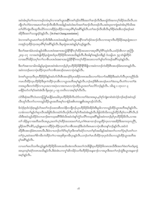အဝဲအံၤမ့<sup>၎</sup>တၫ်ကမၢကမဉ်တမံၤမ့<sup>၎</sup>လၢကစၫ်ယွၤအနိ<sup>႖</sup>ကစၫ်ဒဉ်ဝဲတိဒီးအတၫ်အၫဉ်လီၤဒီးမၤထွဲဝဲဒ်အကလုၢ်အိဉ်အသိးလီၤ.တ ဘိုလၤ်လၤ်ဖဲလၤအမၤတၤ်အၤဉ်လီၤအိလီၤအခါနဉ်အဝဲဟံးဃာ်အတၤ်အၤဉ်လီၤတဖဉ်လီၤ.အဝဲဃုထၤကျဲအဝဲအံၤမ့ၤ်ဒ်သိးအ အိဉ်ဒီးအတ<sup>ှ</sup>သဘျဒဉ်ဝဲနဉ်လီၤ.  $(Dr.Paul \ Chang, translation)$ 

ဖဲလၢကစ<sup>ျ</sup>ယ္ပၤမၤတ<sup>၎</sup>အၫဉ်လီၤဒီးစီၤပၤဒၤဝံးအခါနဉ်ကစ<sup>႑</sup>ယ္ပၤအနိ<sup>၎</sup>ကစ<sup>၎</sup>ဒဉ်ဝဲအၫဉ်လီၤလၢကဆုၢလီၤဟိဉ်<sup>႙ွ</sup>ဉ်အမ္ၤရုံအၤလၢ ကအုဉ်က္ $\mathfrak{1}$ ခိုင်္ကာအပှ $\mathfrak{1}$ ဂိၢိမှ $\mathfrak{1}$ အဂိ $\mathfrak{2}$ လိ $\mathfrak{1}$ .ဒီးမ့ $\mathfrak{1}$ ရုအာအဝဲန $\mathfrak{2}$ မှ $\mathfrak{1}$ ယ္ဝိ၅ူးလီ $\mathfrak{1}$ .

ဒီးတ<sup>ရ</sup>အစၢခံမံၤတမံၤန္ဉာိထဲစီၤပၤဒၤဝံးအစ႑ာအသွဲဉ်နိ<sup>၎</sup>နိ<sup>႖</sup>လုၫ်ထိဉ်အသးလၢအပှၤ<sup>ရွ</sup>႑မုၢိရိၫ်သ့ဝဲလီၤႉပထံဉ်အီၤလ႑ ဇူာဘြီၤ ၂း၁၄–၁၇ လၫအတဲဖျံထိဉ်မှၤရုံအာဒ်ပှၤဟိဉ်<sup>8</sup>ဉ်<sup>8</sup>တရာအသိးနဉ်လီၤ.ဒီးအါန<sup>ှ</sup>ိအနဉ်တခ်ိနဉ် ဝံယရှါယာ ၅၃ တဲဖျံထိဉ်ဝဲ ္<br>လၫအလိ်ဳጘအိဉ်သၦၢိတ႑ာလာစီၤပၤဒၤဝီးအစ႑ာအသွဲဉ်နိ<sup>၎ဇ္ဓ</sup>ိကလုၫ်ထိဉ်အသးလၫတ႑်ပျာတ႑်ကမဉ်အဂိၢိသ္ဝဲနဉ်လီၤ

-<br>ဒီးတၫ်အစၫသၢခါတခါနဉ်မှၤရုံအၤအဝဲအံၤကဘဉ်မ့ှ်ပှၤဟိဉ်ခိဉ်ဖိနိ<sup>ု</sup>နို<sup>ရ</sup>ဒိဖျိလၫအဝဲကဘဉ်ကဲထိဉ်စီၤအၤဒဉ်ခံ၈ၤတ၈ၤနှဉ်လီၤ*န* အဝဲကဘဉ်မၤလၢပုံၤထိဉ်က္ၤတၤ်လၢစီၤအာၤဒဉ်တမၤလၢပုံၤဝဲနဉ်လီၤ.

ဖဲကစါယွာတဲ့လီာပှာဟိိုန်ဒိုန်မိန်ဉ်အဝဲဟ်လီာစီာအာဒဉ်ဒ်ပှာအခိဉ်တရာအသိးလာတါခဲလာာ်အဖိခိဉ်ဒီးအဝဲဟ်လီာပှာကညီဒ်သိး .<br>ကမၤသိထိဉ်က္ၤဟိဉ်ခိဉ်ဒီးဒုးကဲထိဉ်က္ၤအီၤလၢယ္ပၤအဘိအမုၢိန္ဉာလီၤ.ဘဉ်ဆဉ်ဒီးစီၤအၤဒဉ်မၤတၫ်ဒဲးဘး,လီၤတဲာ်လၢတၫ်ဒဲး ဘးအပူ၊ဒီးတကဲထိဉ်လπပှၤအလၢအပှဲၤလၢအကမၤလၢပှဲၤထိဉ်ယွၤအတၤ်မၤလိာ်ဘဉ်နဉ်လီၤႉ ၁မိၤရှ ၁ တုၤလၢ ၃ မာနိဉ်ဃာ်တၫ်ရာ်အဝဲအံၤဒီး ရိမ့္ခား၁၂–၁၉ ကတိၤလၢအစ့ၢ်စ့ၫ်ကီးလီၤ

လံာ်စီဆုံအလိ<sup>ရှ</sup>လံၤတကတြူ်ျမာနိုဉ်မာဃါဝဲပှာဟိဉ်ခိဉ်ဖိလိၤတဲဉ်လၢတ<sup>ရ</sup>ဒဲးဘးအပူၤႇမ့<sup>ရ</sup>ရာ်ကျံးစၢးဝဲထဲလဲဉ်ဘဉ်ဆဉ်အဝဲသ့ဉ် လီၤတူ၁်လီၤကာ်လၢကသူဉ်ထိဉ်ယွၤအဘိအမုၢ်လၫနံဉ်အစိၤတဘျူးစိၤအပူၤဒဉ်လဲာ်လီၤ $\centerdot$ 

ဒ်လဲဉ်စုၤဒ်လဲဉ်စုၤန္ဉာိပ<sup>ှ</sup>အတ<sup>ှ</sup>ဘဉ်သးတဆိတလဲနိတဘျိဘဉ်ႇပှၤဟိဉ်<sup>႙ွ</sup>ဉ်ဖိအိဉ်ဒံးဒီးမူဒါလၫကသူဉ်ထိဉ်ယွၤအဘိအမုၢိန္ဉာ်လီၤႇ လၢခံကတၫ်နဉ်ပါဆုၫလီၤအဖိခွါဒ်သိးကဃဲာ်လီၤဘုါလီၤတၢ်စ့ၢ်ကိအဝဲအံၤန္ဉာ်လီၤ.ဖိခွါဟဲဒ်သိးကသူဉ်ထိဉ်ဘိမု၊်လ႑ပစိၢ်လီၤ.ဒ် သိးဒီးအဝဲသူဉ်ထိဉ်ဝဲလ႑ပခ႑ာ်စးကသ့အ<sup>ရွ</sup>်ဒီးဒ်သိးအဝဲဟံးန<sup>ှ</sup>က္ပံဉ်ပလိ်ၤကသ့အ<sup>ရွ</sup>်နှဉ်အဝဲကဘဉ်မ့္ပြပုဟိဉ်<sup>ဌ</sup>ဉ်ဖိလိၤႉလ႑အ တၫ် အိဉ်မူလၢအတိအလိၤအပူၤ,အတၫ်လုၤ်ထိဉ်အသးအတ႑်သံ,တ႑်၈ဲၤဆၢထ႑ဉ်သမူထိဉ်က္ၤလၢအအိဉ်ဒီးအကဟုကညီို, မူခိဉ်အလိ်<sup>ရ</sup>ပစိ9်,ယ့ဉ်ရှူးမၤလၢထိိဉ်ပှဲၤထိဉ်က္ၤတ<sup>ရ</sup>လၢစီၤအၤဒဉ်ဒီးပဝဲကိႏၵၤမၤလၢပှဲၤအီၤတန်ၤ်ဘဉ်နဉ်လီၤ.အဝဲကဲ ထိဉ်စီၤအၤဒဉ်ခံ၈ၤတ၈ၤလိၤ.ဒီးဖဲလၢပဘဉ်တၫ်ရံၫိဃှာ်ပုၤဒီးကစၢ်ခရံှာ်လၢပတ႑်နှာ်အဃိန္နဉ်အဝဲအတ႑်လၢတ႑်ပုဲၤမ့ၢ်ပတ႑်လၢ တ႑်ပုံၤႇအဝဲအတ႑်စိကမီၤကဲထိဉ်တ႑်လၢအဒုးစိဒုးကမီၤပုၤန္ဉာလီၤႉပဘဉ်တ႑်မၤသိထိဉ်က္ၤပုၤဒ်သိးပကသူဉ်ထိဉ်ယွၤအဘိအ မှ<sup>င်္</sup>အရိ<sup>ု</sup>နဉ်လီး.

လၢပတ<sup>၎</sup>မၤလိသကိႏယ့ဉ်ရှူးဒ်ဟိဉ်နိဉ်ဖိတ၈ၤအသိႏပစံးကတိၤအတၫ်လဲၤနီဖိုဒ်ပှၤဟိဉ်နိဉ်ဖိတ၈ၤအသိးဒီးအတၫ်ဖံးတၫ်မၤဒ်မှၤရှံ ာ<br>အာမ့တမ့<sup>ရ</sup>ခရံာ်တ၈ၤအသိးနဉ်လီၤ.ဒီးခဲအံၤပကကွ<sup>ရ</sup>ဆိကမိဉ်သကိးဟိဉ်မိဉ်အန္**ဆၫဉ်လၫအပူၤဒီးအတ**ၢ်ဘဉ်ထွဲဒီးယွၤအန္**ဆၫ**ဉ် အၵ့<sup>၎</sup>နဉ်လီၤ.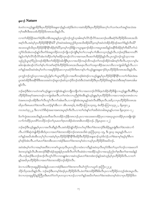### §ഞ⊦\$ Nature

ဖဲပတဲလၢယ့ဉ်ရှူးအိဉ်ဒီးပှၤဟိဉ်<sup>ဌ</sup>ဉ်ဖိအနဆၫှာန်ှဉ်ပအဲဉ်ဒိးတဲလၢအဝဲအိဉ်ဒီးပှၤဟိဉ်<sup>ဌ</sup>ဉ်ဖိအလုၤ်လၤ်သကဲးပတ်အရှု၊်အသဲးအ က္ခါအရီးဒီးအသးဒ်ဟိႆာ်ခ်ိန်ဒိတရာအသိးန္ဥလိုး

လၢတၫ်အိဉ်ဖှိဉ်အတၫ်စံဉ်စိၤတဲစိၤအပူၤန္ဉာိပှၤကူဉ်ဘဉ်ကူဉ်သ့အါ၈ၤစ့ၫ်လိ9်ဘိုလိ9်အသးဘဉ်ဃးဒီးခရံှာ်ဒ်ဟိဉ်နိဉ်ဖိတ၈ၤအသိး အစ့<sup>၎</sup>လီၤ.အဝဲမ့<sup>၎</sup>ပှၤဟိဉ် $\,$ န်ာြန်ုင်ရှိ? မ့ှ်အဝဲအဖံးအညဉ်ဒ်ပှၤအသိးအိဉ်ဓါ $?$ မ့တမ့်၊အဝဲဟဲအိဉ်ထိဉ်အဉ်အတ<sup>ှ</sup>ဒ်နှဉ်လီၤဓါ $?$ အသးသမှဒ်သိးပုၤဟိဉ်3်ဉ်8နိ<sup>ုင်</sup>နှိုဒ်ဆိုင်စုံရှိ?မှတမ့်ရသည်ခီဖြိုလျယွာနဲ့ဆျာ်အိဉ်လျအပူၤအဃိန္ဉာအနိ<sup>ု</sup>ဒ်အိဉ်စ့<sup>၎</sup>ကီးပါ?တြသံ ကွ<sup>ှ</sup>ဒ်သိးအံၤတဖဉ်နဉ်လီၤ၈ာ်ဒ်အရှတဒိဉ်တဘဉ်ကျိၤဘဉ်ကျဲဒီးမ့<sup>ှ</sup>တ႑်လၢပန<sup>ှ</sup>ု၊ ညိဳအတသ့ဘဉ်နဉ်လီၤ.ဘဉ်ဆဉ်ဒီးဆၢကတိႝ ဖဲနဉ်တၫ်ရှၤ်လိ5်ဘိုလိ5်အံၤကဲထိဉ်တ႑်ရှၤ်ဖးဒိဉ်တုၤဒဉ်လဲ5်လ႑အကမၤလီၤဖးတ႑်အိဉ်ဖိုဉ်နှဉ်လီၤ.ပုၤကူဉ်ဘဉ်ကူဉ်သူလ႑အ သ့ဉ်ညါယွၤစ့်၊ပိညါတဖဉ်အိဉ်ဒီးတၤ်အိဉ်ဖှိဉ်အါဘိုဒီးပှၤလၢအသိဉ်ကမဉ်သိကမဉ်တၤ်တဖဉ်အိဉ်ဝဲအါရာစ့ၢ်ကီးလီၤ.တုၤလၢမု၊်မ ဆါတနံၤအံၤဒဉ်လဲာ်တၫ်နှၤ်ပၢါကစၢ်ခရံှာ်ဒ်ဟိဉ်နိဉ်ဖိတရာအသိးမၤစှၤလီၤတၤ်သးခုကစိဉ်အလၤကပိၤလၢကျဲအါဘိန္ဉဉ်လီၤ.လ႑ တ<sup>႖</sup>နဉ်အဃိအဝဲအံၤမ့<sup>၎</sup>တ႑်လၫအရဒိဉ်ဒိဉ်မးလၫပှၤခရံဉ်ဖိကိႏၵၤကန႑်ပ႑ါယ့ဉ်ၡူးအန္**ဆၫ**ဉ်ဒ်ပှၤဟိဉ်<sup>ဌ</sup>ဉ်ဖိတၵၤအသိးနဉ်လီၤ.

ပှၤကူဉ်ဘဉ်ကူဉ်သ့လၫအသ့ဉ်ညါန<sup>ှ</sup>ပြာလွှာစ့<sup>ရ</sup>ပိညါလၫအတိတဖဉ်စံးဝဲဒဉ်လၫယ့ဉ်ရှူးမ့<sup>ရ</sup>ပှၤဟိဉ်နိဉ်ဖိနိ<sup>ရ</sup>နိ<sup>ရ</sup>လၫတ<sup>ရ</sup>ကိုးမံၤဒဲးအ ပူးအဝဲအိဉ်ဒီးအနိ<sup>ု</sup>ခ်ဒီးအသးအဝဲဘဉ်ဆူးဘဉ်ဆါသ့ဘဉ်ဒိဘဉ်ထံးဒီးသံအဝဲအိဉ်ဒီးပှ<sup>ုတိ</sup>ဉ်ခိဉ်<sup>ဖြ</sup>အရှု<sup>ရ</sup>အသဲးဒီးအစုဉ်အဂၤအါမး  $50.$ 

ဘဉ်ဆဉ်ဒီးဖဲလ႑ပတဲကစ<sup>၎</sup>ယ့ဉ်ရှူးလ႑ကျဲဒ်အံၤန္ဉာတဘျီတဘျီတ႑်လ႑အတဘဉ်လိ5ဖိႏဒ့ဟဲအိဉ်ထိဉ်ဒီဖျိလ႑ယ့ဉ်ရှူးလီၤဆီဒီးပှၤ .<br>ဟိြ်ာနိဉ်ဖိအရာ်အရာတဖဉ်လာကျဲအါမႈလီၤ.တ<sup>ရဲ</sup>တမံၤလာပညီနု်စံးအီၤန္ဉာယှဉ်ရှူးမ့<sup>ရ</sup>ပှၤဟိဉ်နိဉ်ဖိလာအလာအပှဲၤတရာဖဲ့လာပ ဝဲအရာတဖဉ်ပအိဉ်ဒီးတၫ်လီၤတူာ်လီၤကာ်အါမးလီၤ.လၢကျဲဒ်အံၤအပူၤန္ဉာ်အဝဲလီၤဆီဒီးပှၤလီၤ.အဒိ,လၢပှၤဟိဉ်ခိဉ်ဖိတရာအ ဃိပုၤကိႏၵၤမၤတၫ်ဒဲးဘးလိၤႉပထံဉ်န႑်အီၤလၢ ၁စီၤပၤၵႏ၄၆, စံးထိဉ်ပတြ ၤ၁၃၀း၃, စံးထိဉ်ပတြ ၤ၁၄၃း၂ , ရိမ္ၤ၅း၁၂, ကလာတံ၃း၂၂, ဒီးလၫလံာ်စိဆုံအဆၫအၵၤအပူၤစ့ၫ်ကီးလီၤႉလၢတၫ်ဟံးနှၤ်တၫ်အဒိထဲတခါအပူၤန္ဉာပကဖး ရိမ့ၤ၃း၁၀–၁၂

ဒ်တ<sup>၎</sup>ကွဲးအသးအသိးနဉ်ပှၤအတိအလိၤတအိဉ်ဘဉ်နီတ၈ၤဘဉ်ႇပှၤလၢအသးဖးတအိဉ်ပှၤလၢအဃုယွၤတအိဉ်ပှၤဟးဖ<mark>ိုး</mark>ကျဲခဲ လၫာ်ကဲထိဉ်ပှၤတ<sup>္ဌ</sup>ာ်တာဘိဉ်ဘဉ်တ<sup>ရ</sup>ပှၤမၤတ<sup>ရု</sup>စှာတ<sup>်အ</sup>ဉ်ထဲတ၈ၤဇိၤတအိဉ်ဘဉ်. (ရိမ္ၤ၃း၁၀–၁၂)

ဘဉ်ဆဉ်ဒီးယှဉ်ရှူးမ့<sup>၎</sup>ပှၤလၢအလီၤဆိန္ဉာ်လီၤ.အဝဲအိဉ်ဖျဲဉ်ထိဉ်တပာ်ဃှာ်ဒီးတ<sup>ှ</sup>ဒဲးဘးဘဉ်ဒီးအိဉ်မူပူၤဖျံးဒီးတ<sup>ှ</sup>ဒဲးဘးခဲလၫာ် လီၤ.လံာ်စီဆုံတဲဖျါထိဉ်အီၤဒ်ပုၤလၢအတၫ်ဒဲးဘးတအိဉ်ဘဉ်တ၈ၤအသိးဖဲ ဇူးဘြံၤ၄း၁၄–၁၅, ဒီး ၉း၁၄ အပူၤန္ဉာ်လီၤ.လၢ မ့်ၫဒဉ်ဒ်အံၤလီၤ.တ႑်မၤတ႑်ဒဲးဘးဒီးသးလၢအဲဉ်ဒိးမၤတ႑်ဒဲးဘးတမ့်ၫထဲလၢပမ့်ၫပုၤဟိဉ်ခိဉ်ဖိအဃိတဉ်.

အဝဲအံၤမ့<sup>၎</sup>တ႑်လၢအမ့<sup>၎</sup>အတိဖဲလၢကစ႑်ယွၤတ့လိၤပှၤကညီလၢထံးလၢသိန္ဉာ်အဝဲတ့လိၤဃုာ်ဝဲဒီးတ႑်သ့တ႑်ဘဉ်လၢအမၤတ႑် ဒဲးဘးသ့ဝဲနဉ်လိၤႉစိၤအၤဒဉ်ဒိးနိ<sup>ု</sup>အဉ်အုဒုးနဲဉ်ပှၤအဒိလိၤတိၤလိၤဆဲးဖဲလၢအအိဉ်သွဉ်လၢအသ့ဉ်ညါတ<sup>ု</sup>စုၤဒိးတၫ်အၢအခါနဉ် လီၤ.ဘဉ်ဆဉ်ဒီးပဘဉ်အၫဉ်လီၤတု႞လိ5်လၫတချုးဒံးလၢအဝဲသ့ဉ်မၤတၤ်ဒဲးဘးဒံးဘဉ်နဉ်အဝဲသ့ဉ်မ့ၢ်ပှၤဟိဉ်ခိဉ်ဖိလီၤ.လၢတၤ် နဉ်အဃိပုၤဟိဉ်<sup>ဌ</sup>ဉ်<sup>8</sup>လၫအတ<sup>ှ</sup>ဒဲးဘးတအိဉ်ဘဉ်အိဉ်ဝဲလီၤ**.** 

ဖဲလၢပသံဒီးက္ၤဆူမူခ်ိဉ်အခါန္ဉာိပသးလၢအဲဉ်ဒိးမၤတ<sup>၎</sup>ဒဲးဘးကလီၤမ<sup>ှ</sup>က္ပံာ်လၢပပူၤဒ် ဇ့ၤဘြီၤ၁၂း၂၃ .<br>သိဉ်လိပှၤအသိးနဉ်လီၤ. ဘဉ်ဆဉ်ဒီးပကမ့ါ်ဒီးဒဉ်ပှၤဟိဉ်<sup>8</sup>ဉ်<sup>8</sup>လီၤ.ဖဲတါ်ဒဲးဘးဒိဉ်စိဒီးဒိးလိၤပှၤလၤဟိဉ်ခိဉ်တဘ့ဉ်အံၤအပူၤလီၤ. ဖဲလၢပက္၊ဆူမူ<sup>8</sup>ဉ်နဉ်တြိဳပှၤဒီးမၤတံာ်တာ်ပှၤတသ့လπဘဉ် လၢတၫ်နဉ်အဃိတၢ်မၤတၢ်ဒဲးဘးအံၤတမ့ၢ်ထဲလၢပှၤဟိဉ်<sup>8</sup>ဉ်ဖိတ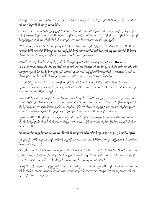ဖဉ်အရူါအသဲးအတၫ်ဖံးတၫ်မာခဲလၫာ်အပူၤဘဉ်ႉ လၢကျဲဒ်အံၤအဃိန္ဉာ်ပစံးလၢယ့ဉ်ရှူးအိဉ်ဒီးဟိဉ်ခိဉ်အနုဆ႑ာ်လၢအလီၤဆိ ျှ<br>လိ5်အသးဒီးပှၤဟိဉ်<sup>၌</sup>ဉ်<sup>8</sup>အရာ်အရာနဉ်လီၤ.

တၫ်အ၈ၤတမံၤလၢအဒုးလီၤဆီယ့ဉ်ရှူးနဉ်မှၫ်ဝဲအဝဲမ့ၢိပှၤထဲတ၈ၤ၆ၤလၢအအိဉ်ဒီးနဆၫဉ်ခံခါလၢအပူၤဒ်အမ့ၢ်ယွၤအနဆ႑ာဒိုဒီး ၯႝၣၲၶႝၣၲ<sup>ဨ</sup>အနုဆ႑ာ်နၣလီၤႉပှၤဟိၣၶႝၣၴၜႝအရာၥ်အရာအိဉ်ဒီးအနုဆ႑ာ်ထဲတခါဇိၤလၢအမ့ၢိပှၤဟိဉ်ခိဉ်ဖိအနုဆ႑ာ်နဉ်လီၤ.ဘဉ်ဆဉ် ႜ<br>ဒီးယှဉ်ၡူးနဉ်မ့ှလွှာဒီးပှၤကညီအိဉ်ဒီးဟိဉ်နိဉ်နဆ႑ာလၫလၫပှဲၤပှဲၤဒီးယွၤအနဆ႑ာ်လၫလၫပှဲၤပှဲၤနှဉ်လီၤ

လံာ်စီဆုံတတဲပှၤလီၤတံၤလီၤဆဲးလၢခရံာ်အနဆၫာ်ခံခါမၤသကိႏတၤ်လၢအပူၤဒ်လဲဉ်နဉ်ဘဉ်.ဒီးအဝဲအံၤမ့ၤ်တၤ်စ့ၤ်လိာ်ဘိုလိာ် လၫအအိဉ်ထိဉ်လၫတၫ်အိဉ်ဖှိဉ်အပူၤဖဲလၫတၫ်အိဉ်ဖှိဉ်အိဉ်သူဉ်လိၤသးသိသိအကတိၫ်လိၤတာဉ်ဆဉ်ဒီးလၫခံတၫ်အိဉ်ဖှိဉ်အၫဉ် လီၤတူၫ်လိ5ဝဲခရံာ်ဒ်အမှ1်ပှၤကညီဒီးအနဆၫဉ်ခံခါလၫအအိဉ်လၫအပူၤန္ ဉ်လီၤ*န* 

တၫ်ကတိၤလၢပသူအိၤဒ်သိးကတဲဖျါထိဉ်ပုၤဟိဉ်ခိဉ်ဖိဒီးယွာအန္ဒဆၫဉ်ခံခါလၢကစၫ်ခရံာ်အပူၤန္ဉာမ့်၊ဝဲ "Hypostatic Union"နဉ်လီၤ.အဝဲအံၤမ့မ့်โတၫ်လၢအလီၤဆီလၢပဝဲလၢစိၤဆၢကတိႝ်ရဲအံၤအရိါသနဉ်က္ခန္ဥပဘဉ်နှၤ်ပၢါအီၤလၢတၫ်သူအီၤ အကျိၤအကျဲတဖဉ်ဒ်တၫ်အိဉ်ဖှိဉ်လၢပျ႑ာသူတ့ၫ်အိၤအစ့ၫ်နှဉ်လီၤ.ဖဲတၫ်အိဉ်ဖှိဉ်စးထိဉ်သးသိသိန္<sup></sup>ဉ် ''Hypostatis''မ့<sup>၎</sup>တၤ်က တိၤတဖျာဉ်လာပှာညီန5်သူအီးလီးဆီဒဉ်တ်ဖြဲလာပယπထိဉ်ယွာသာ၈ာတ၈်းဃီအမံံးအခါနဉ်လီး

လၫနဉ်အမဲာ်ညါပကထံဉ်န<sup>ှ</sup>ါအီၤလၢအဆၢဒိဉ်၁၈ဘဉ်ထွဲဒီးသးစိဆုံအတၢ်မၤယၤဖှိဉ်၄ဖှိဉ်အတၢ်အိဉ်ဖှိဉ်အပ<sup>၎</sup> ဘၤစ့လ် သူတၫ်ကတိၤအံၤလၫကျဲဒ်အံၤယွၤအိဉ်ထဲတ၈ၤႇဖိခွါအိဉ်ထဲတ၈ၤဒီးသးစိဆုံအိဉ်ထဲတ၈ၤလိၤႉဒီးပတဲဖျါထိဉ်အဝဲသ့ဉ်တ၈ၤဘဉ် ာ<br>ကြီးများ ကျောင်းသည်။ ကျောင်းနည်း

ဘၤစ့လ်အဲဉ်ဒိးစံးဝဲလၢအဝဲအံၤမ့<sup>၎</sup>တ႑်တမံၤဃိဖဲပစံးလၢပစံးထိဉ်ရၤလိၤတဲဖျါထိဉ်အဝဲသုဉ်ဒဉ်ဝဲစုဉ်စုဉ်တၵၤဘဉ်တၵၤနှဉ်လီၤ*ႉ* တ<sup>ြ</sup>စု<sup>1</sup>တ်နှာ်ဘဉ်ဃးဒီးယွာတရာဘဉ်တရာအတ<sup>5</sup>ဘဉ်လိ5်ဖိးဒ့လိ5်သးလ<sup>ု</sup>ယွာသာရာတရာဃီအပူာဘဉ်ထွဲဒီးယွာအနုဆာဉ်ဒီး လၫအလီၤဆီခံခါ(ယွၤအနုဆ႑ာဒိုးဟိန်) မိအနုဆ႑ာ )ဒီးနဆ႑ာခံခါလ႑ာ်ဟာဖျထိဉ်အတ<sup>ို</sup>မှာတနာခုလီၤ.

ယ္ဂၤလၢအမ္Sဗွိခ္ပါထိဘိအိဉ်ဒီးယွာအန္ဒဆ႑ာ်လၫလၫပုံၤပုံၤဖဲလၢအဝဲအိဉ်ဒီးဟိဉ်ခ်ိဉ်အန္ဒဆ႑ာ်အခါဒဉ်လဲာ်လီၤ.ဖဲလၢအမိSဒၢ ထိဉ်အီၤဒီးအိဉ်ဈဲဉ်ထိဉ်အီၤဒ်ဟိဉ်နိဉ်ဖိတၵၤအသိးနဉ်မ့<sup>ိ</sup>ုတ႑်လၢအဟ်ဖျ်ထိဉ်ဝဲလၢအဝဲအိဉ်ဒီးအနိ<sup>ု</sup>န်ဒီဒီးသးသမူဒ်ဟိဉ်နိဉ်ဖိတ ာ<br>ကအသိးနဉ်လီး.

လံာ်စီဆုံအသိတကတြူၫ်ကတိၤဝဲယွာအနုဆၫှာ်ဒီးဟိဉ်ခိဉ်ဖိအနဆၫှာ်ခံခါအတၫ်ဘဉ်ထွဲလ႑ ဖံလံးပံး၂း၅–၇ ဖဲလၫစီၤပီလူးစံးဝဲ

ယှဉ်ၡူးခရံ>်…အိဉ်ဒီးယွာအနဆ႑ာ်…ဘဉ်ဆဉ်ဒီးညိက္ပံာ်အလာအကပိၤာဒီးလိဉ်ထိဉ်အသးလၢပှာကညီ,ဒီးဒိးန<်ကု်အက္်ာအ 

စီၤပီလူးစံးဘဉ်ပှၤလီၤတံၤ်လီၤဆဲးလၢယ့ဉ်ရှူးမ့ၤ်ယွπဒီးအိဉ်ဒီးယွπအက့ၤ်အစီၤလၢလၢပှဲၤပှဲၤလီၤ.ဒီးအဝဲဟဲလိဉ်ထိဉ်အသးလၢပှၤ ကညီဒီးဟံးန<sup>ှ</sup>ပှπဟိဉ်<sup>8</sup>ဉ်ဖိအက့်ာအစီးနှဉ်လီး ခဲအံးနှဉ်စီၤပီလူးစံးဝဲယ့ဉ်ရှူး ''တဟ်အနိ<sup>S</sup>ကစဉ်လၢတ<sup>ှ</sup>န်တ မံၤဘဉ်''မှတမှ<sup>ငှ</sup> ''အတ<sup>ှ</sup>တအိဉ်နီတမံၤဘဉ်ႉ'' တဘျိတခိဉ်ဒုးအိဉ်ထိဉ်တ<sup>ှ</sup>သးဒ့ဒိလၢပှၤခရံာ်ဖိတဖဉ်အရိ<sup>ု</sup>လီၤႉ

ပှၤတနိၤနိၤဆိမိဉ်ကမဉ်ဝဲလၢယ့ဉ်ရှူးညိက္ပံာ်အလၤကပိၤမ့တမ့<sup>၎</sup>ယွၤအနဆၤာ်လၢအပူၤန္ဉာ်လီၤ.ဘဉ်ဆဉ်ဒီးဒ်ပမၤလိတ့<sup>၎</sup>လံလၢ အဖိ<sup>8</sup>ဉ်အသိးနဉ်အဝဲအံၤမၤအသးတသ့ဘဉ်.ကစါယွၤအနဆၫဉ်ဟးရိႆၤတန်ၤ်ဘဉ်.ကစၤ်ယွၤတကွၤ်ကဟ်ကွံာ်အလၤကပိၤအ သူးအသုဉ်အန္**ဆၫ**ဉ်တဖဉ်ဘဉ်.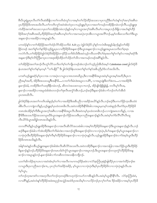စီၤ၀ီလူးရှဲပွးပှၤလီၤတံၤ်လီၤဆဲးခ်ီဖျိလၢတၤ်ကတိၤခံကူာ်လၢအမ့ၢ်တၤ်လိဉ်ထိဉ်အသးလၢပှၤကညီဒီးတၤ်ဟံးနှၤ်ကုၤ်အက့ၤ်အစိုၤဒ ကဲထိဉ်အကစၢ်အသးလၢပှၤတၢ်တအိဉ်နိတမံၤဘဉ်နှဉ်တမ့ၢ်လၢယွၤအက့ၢ်အစီၤလိၤမၢ်လၢအပူၤဘဉ်.ခီဖြိုလၢအဟီးနှၤ်ဟိဉ် ခိဉ်ဖိအက့်္ကအစီၤအဃိႇဟိဉ်ခိဉ်ဖိအက့်္ကအစီၤတမ့္ပ်တ႑်လၢအကမၤပှဲၤက္ၤအီၤလၢယ္ပၤအလိၤ်ဘဉ်ႇမ့မ့္ပ်တခ်ိမၤသကိႏတၤ်ဒီးယွၤ .<br>အန္**ဆၫ**ဉ်လၢအအိဉ်လၢအပူၤန္ဝ်ာလီၤ.

ပကထံဉ်နှၤ်လၢတၤ်အိဉ်ဖိုဉ်အတၤ်ထံဉ်လိာ်အိဉ်သကိဴးဖဲ A.D ၄၅၁ ဖဲခွါလ်စံဉ်ဒိ မှၤ်နာ်ကလံၤစိးအ့ရှဉ်မါန႑ာ်နှဉ်တၤ်အိဉ် .<br>ဖြဉ်တဖဉ် အတ<sup>ှ</sup>ရုာ်တြနဉ်ခိဉ်သူဉ်ရဲပွးပှၤလၢဟိဉ်ခိဉ်ဖိအနဆ႑ာဉ်ဒီးယွၤအနဆ႑ာ်လၢယူဉ်ရျူးအပူၤမၤသက်းတြရာရာ၊ ကလဲ>်လီၤႉတၫ်အိဉ်ဖှိဉ်ဖဲ့ခွါလ်စံဉ်ဒိအိဉ်ဖှိဉ်တ႑ာ်ပိဉ်သက်ိးဒ်သိးဒီးအဝဲသ့ဉ်ကဒိသဒၢမိ်၊ပၫ်ဖံဖုအတၫ်စူၫ်တၫ်န>်လၢအမ့ၢ်ခရံာဒိး အနဆၫဉ်ဒီးစ့်ၫလိ်ာတြိဆၢပုၤလၢအဒုးအိဉ်ထိဉ်တ႑်သိဉ်တ႑်သိလၢအကမဉ်တဖဉ်အရိ<sup>ု</sup>နှဉ်လီၤ

တ<sup>ှ</sup>အိဉ်ဖှိဉ်အတ<sup>ှ</sup>အၫဉ်လီၤတုှ်လိာ်သကိႏတှ်စ့ှ်တှကျိုးတဖဉ်အံၤဘဉ်တှ်သွဉ်ညါအီၤဒ်အမ<mark>့ှ် Caledonian creed</mark> ခွါလ်စံဉ်ဒိ နံယၤအတၫ်စု႞တ႑်န>်မ့တမ့႑် ''တ႑်ပနီဉ်'' ဒီး ချွှဲလ်စံဉ်ဒိနံယၤအတ႑်စူ႞တ႑်နဉ်အခ်ီပညီမ့∫ဒ်လာ်အသိးလီၤ.

ပကစၫ်ယှဉ်ရှူးခရံဉ်မ့ၢ်ပှၤလၢအ လၢအပှဲၤလၢယွၤသၢ၈ၤတ၈ၤဃိပူၤႇဒိိးလၢအနိ<sup>၎၌</sup>အပူၤအဝဲမ့ၢ်ယွၤအမ့ၢ်အတိႇဒိႆးပှၤက ညီအမ့္ပ်ာအတိ, အိဉ်ဒီးအသးသမူဒီးအနိ<sup>၎</sup>§….လၢတ႑်ကိႈမံၤဒဲးအပူၤလၢပ<sup>္ဂ</sup>ါ, လၢအပူၤဖျံးဒီးတ႑်ဒဲးဘး….လၢအအိဉ်ဒိး န္ေသာဉ်ခံခါ, တအိဉ်ဒီးတၫ်သးဒ့ဒိနိတမံၤဘဉ်, ဆီတလဲအသးတသ့လπဘဉ်, အိဉ်ဖျဲဝဲဖြိဖြိုဖျ်ဖျ, တလီၤမုၫ်လီၤဖး, နုဆၢဉ်လၢအအိဉ်လၢအပူၤခံခါအံၤတဘဉ်တၫ်ဒုးလီၤဖးကွံာ်အီၤဘဉ်ႇဘဉ်ဆဉ်ဒီးနဆၢဉ်ခံခါလၫာ်ဘဉ်တၫ်ဟ်အီၤဒ် ပုၤတၵၤဃီလီၤ.

ခွါလ်စံဉ်<sup>8</sup>နံယၤအတ<sup>၎</sup>ကတိၤအါဖျၫဉ်မ့<sup>၎</sup>တ႑်လၢအအိဉ်ဒီးအခ်ီပညီလၢအဒိဉ်အယိ9်နဉ်လီၤ.ဘဉ်ဆဉ်ဒီးပကဟ်ဖှိဉ်က္ၤအီၤထဲခံ ခါ&လီၤႉလၫကျဲတဘိန္ဉာဴႇယ့ဉ်ၡူးမ့<sup>၎</sup>ပှၤထဲတၵၤ&ၤလီၤႉအဝဲတအိဉ်ဒီးနိ<sup>၎ဌ</sup>ခံခါလၫအပူၤမ့တမ့<sup>၎</sup>သးခံဖျၫဉ်လီၤ၈ာ်ဒ်ပှၤဟိဉ်ခိဉ်ဖိ တ၈ၤအံၤအိဉ်စ့<်ကီးဒီးယွၤအက့်္ဂအရီးလၫအနီ်ုန်အပူၤလီၤ.ဒီးအဝဲတမ့္ပ်ဴပုၤထဲတ၈ၤဇိၤဘဉ်ႉလၫကျဲအ၈ၤတဘိနဉ်, လၫအ နိ<sup>ု</sup>ဒိဒီးအသးဟိဖိုဉ်အသးတပူးဃိဒ်ယွၤအနတောဉ်ဟ်ဖိုဉ်အသးဒီးပုၤကညီအနဆၫဉ်နဉ်လီၤ.အဝဲမ့<sup>ှ</sup>တၫ်ဒ်လိႝၤလိႝၤလိုၤထူ လီၤယိ5်ဒ်ယွာအဖိခွါတ၈ာအသိးန5်လီၤ.

တကတိႝၫဃိန္ဉာဴယ့ဉ်ရူူးအိဉ်ဒီးအနဆၫာ်လၫအလိၤဆီလိာ်အသးခံခါလၫအမ့ၢ်ဝဲဟိဉ်ခိဉ်ဖိအန္ဒဆ႑ာ်ဒီးယွၤအနဆ႑ာ်နှဉ်လိၤ.ဘဉ် ဆဉ်ဒီးနုဆ႑ာ်ခံခါလ႑ာ်အံၤအိဉ်ဒီးတ႑်ကိုးမံၤဒဲးလ႑အဘဉ်ထွဲဒီးအန္**ဆ႑ာ်ဒဉ်ဝဲလ႑လ႑ပုံၤပုံၤ,ဒ်ပ႑်အန္**ဆ႑ာ်မ္ ၊ိယ္ပၤအန္**ဆ႑ာ်လ**႑ လာပှဲၤပှဲၤဒီးဟိဉ်<sup>8</sup>ဉ်<sup>8</sup>အန္**ဆာဉ်စ့**ဂ်ကီးမ့<sup>ှ</sup>ဟိဉ်<sup>8</sup>ဉ်ဖိအနဆာဉ်လာလာပှဲၤပှဲၤနဉ်လီၤ.ယ့ဉ်ရှူးအိဉ်ဒီးနဆာဉ်ခဲလာ၁်ခဲဆ့ဒ်ယွၤဒီးဟိဉ် 8်ု 8တရားအသိးနဉ်လီး.

အါန1်အဝဲနဉ်တခ်ယှဉ်ရှူးအနဆၫဉ်ခံခါအံၤလီၤဆီလိာ်အသးလီၤ.အဝဲတအိဉ်ဒီးနဆၫဉ်လၢအကးပြါလၢအပာ်ဖိုဉ်ယွၤဒီးဟိဉ်ခိဉ် ဖိန္ောက်နည်ဘဉ်းဟိဉ်ခ်ိဉ်ဖိအနဆၫဉ်တမၤဟါမၫ်က္ပံဉ်ယွၤအနဆ႑ာ်လၢအပူၤဘဉ်းဒီးယွၤအနဆ႑ာ်တသုးက္ပံဉ်ဟိဉ်ခ်ိဉ်ဖိအန ဆၫှာ်လၢအပူၤန္၁်ာဘု်ႉနဆၫှာ်ခံခါလၫာ်တဆီတလဲအသးနီတဘိုဘ**ှ**.

ယတၫ်ဆိကမိဉ်ဆှၤယၤလၢအဝဲအံၤမ့ၢ်တ႑်လၢအလီၤကမ႑ကမဉ်ဒိဉ်မႈဖဲလၢလံာ်ဇူးဘြံၤဒုးနဲဉ်ဖျါထိဉ်ပှၤလၢအကဲထိဉ်ခ႑ာ်စး လၢယ္ဂၤဒီးပုၤကညီအဘၫဉ်စπ, ပှၤလုၤ်တၤ်အဒိဉ်အခိဉ်, မ့<sup>ျ</sup>ယ္ပၤလၤလၢပှဲၤပှဲၤဒီးမ့<sup>ျ</sup>ပှၤဟိဉ်ခ်ိဉ်ဖိလၤလၢပှဲၤပှဲၤန္ဉာလီၤ.အ defuxt,

တၫ်ဘဉ်တဲ့အကစၢိလၢအတဲ့လီၤတၫ်ဘဉ်တဲ့တဖဉ်ဒီးကဟုဘံဉ်ကယာ်ဘၢအိၱၤန္ဉာလီၤ.အဝဲမ့္ပ်ယ္ပၤန္ဂ်ီးနြိၤလီၤ. လံာ်ဇူးဘြံၤစံးဝဲ, လၢပ<sup>္ဂ</sup>ရိန္<mark>ဉ်,</mark>အဝဲဟံးန<sup>ှ</sup>ုဟိဉ်<sup>ဌ</sup>ဉ်အဖံးအညဉ်အသွံဉ်အထံဒ်ပှၤအသိးမ့<sup>၎</sup>လၢပလိဉ်ဘဉ်ပှၤလု<sup>၎</sup>တ<sup>၎</sup>အ ဒိဉ်အခိဉ်လၢအမ့<sup>၎</sup>ပှၤဟိဉ်ခိ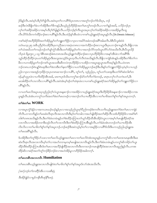ှာ်ဖိနဉ်လီၤ.အဝဲမှ ်ပဒိပု ်ဝဲ ရွှင်လီၤ.အဝဲဃ့တ႑်လၢပရိ်္ဂဒ်ပုၤတၵၤလၢအတူ ်ဘဉ်တ႑်ဒ်သိးပုၤ, ဘဉ် ဆဉ်ဒီးလဲၤနီဖျိတౕၢခဲလาာ်အိဉ်ဒီးတၤ်ဒိကနဉ်,ဒီးသ့ဉ်ညါဟိဉ်နိဉ်အတၤ်မၤကွၤ်တဖဉ်လီၤႉလၢတၤ်နဉ်အဃိ, ပလိဉ်ဘဉ်ပှၤ လုံတ<sup>ြ</sup>အဒိဉ်အခိဉ်လၢအမှု၊်ပဒီပု၊်ဝဲ၊်ခွါနဉ်လီၤ.ပလိဉ်ဘဉ်စ့၊်ကီးယွာအပှာလု၊်တ၊်အဒိဉ်အခိဉ်လၢအအိဉ်မူလီၤထူ လီၤယိ>်ဒ်သိးကကဲထိဉ်ခ႑ာ်စးလၢပ<sup>္ဂ</sup>ဂိန်ဉ်လီၤ.ဒီးပထံဉ်နှၤ်အီၤထဲလၤကစ<sup>်</sup>၊ယ့ဉ်ရှူးခရံဉ်အပူၤနှဉ်လီၤ.(Dr.Dennis Johnson)

ကစါ်ခရံှာ်အဟိဉ်ခိဉ်ဖိအတၤ်အိဉ်မူမှုါတၤ်ဘူူးတၤ်ဖိုဉ်လၤပုၤလၤအပိဉ်အခံတဖဉ်အရိါအါမးလီၤ.ဒ်စီၤပီလူးစံးဝဲဖဲ ၁တံၤမသူး၂း၅ အခ်ိဳပညီမှ1်ဝဲပအိဉ်ဒီးပှၤကညီအလၤအပှဲၤတၵၤလၤအကဲထိဉ်ခ႑ာ်စးလၤယ္ပၤဒီးပှၤပဘ႑ာ်စ႑ာနှဉ်လီၤ.ခ်ီဖျိလၤအ ၯ႞သံအဃိပတၫ်ကမဉ်ဘဉ်တၫ်ပျၫ်ကွႆာ်အီၤဒီးပတၫ်အိဉ်မူမ့ၫ်တၫ်လၫအဘဉ်လိဉ်ကူၤဒ်ယွၤတိဉ်ပာ်ဝဲအသိးလီၤ.စီၤပီလူးသိဉ် လိပုၤဖဲ ရိမ္း၅း၁၂−၁၉ ဒ်စီၤအာၤဒဉ်ခံ၈ၤတ၈ၤအသိးယ့ဉ်ၡူးကဲထိဉ်ခ႑ာ်စးလၤပှၤဟိဉ်ခ်ဉ်ဖိလၤအနဉ်အီၤခဲလၤာ်အ<sup>စ္ဂ</sup>ါဒီး သူဉ်ထိဉ်ဘိုထိဉ်က္ၤပတၫ်အိဉ်မူပှဲၤဒီးအသူးအသ့ဉ်ဒ်ယွၤတ့လီၤဟ်လီၤဝဲအသိးနှဉ်လီၤ.ခ်ိဖျိလၢကျဲဒ်အံၤန္ဉ်ပအိဉ်ဒီးတၫ်စိတၫ်က မီၤလၢပကအိဉ်မူတၫ်ဘဉ်ကစၫ်ယွၤအသးဒီးဆီတလဲက္ၤဟိဉ်ခိဉ်လၢပအိဉ်လၢအပူၤဆူယွၤအဘိအမုၢိန္ဉာ်လီၤႉပဝဲတၵၤ ဘဉ်တ၈ၤပဘဉ်၈ဲၤပျုၫ်၈ဲၤဆုးဒီးတၫ်ဒဲးဘးဒီးတ႑်နးတ႑်ဖှိဉ်လ႑ပတ႑်အိဉ်မူပူၤဘဉ်ဆဉ်ဒီးပဒိးန႑်တ႑်ဘျူးတ႑်ဖှိဉ်သ့ဝဲမ့႑်လ႑ပသ္ဉ ညါလၫပှၤလၫအအုဉ်က္ $\mathfrak{z}$ ဉ်က္ $\mathfrak{t}$ ပှၤတၐၤဆၫထၫဉ်လၢပ $\mathfrak{F}$ ၊, တူ်တၢိ, သ့ဉ်ညါပှၤ, တူ၊်ပတၢ်သးအုးဒီးပတၢ်ံရံာဆံးဘါစၢ်တ ဖဉ်ႇန<sup>ှ</sup>ပာူပုၤဖဲလၢပက်းထိဉ်အီၤအခါ, မာစπပှၤဒ်သိးပကကွ<sup>ှ</sup>ဆၫဉ်မဲာ်တၫ်ကိတၫ်ခဲတဖဉ်, မာစ့ာပလုၢ်လၢ်သကဲးပတ်,ဒီး မၤအါထိဉ်တ႑်လၤကပိၤလၢပရိႝာနှဉ်လီၤ.အဝဲအံၤမ့ါဒဉ်တ႑်ထဲစှၤမံၤလၢပကစ႑်ယှဉ်ရှူးခရံဉ်အတ႑်အိဉ်မူမ့ှါတ႑်ဘူူးတ႑်ဖှိဉ်လၢ ပ<sup>္ဂ</sup>ြိန္ဉ်လီၤ.

လၢပတ<sup>႖</sup>မၤလိအပူၤပဃုသ့ဉ်ညါတ့ၫ်လံယွၤအန္**ဆၫဉ်လၢအအိဉ်လၢယ့ဉ်ရှူးခရံ**ဉ်အပူၤဒီးဟိဉ်ခိဉ်ဖိအန္**ဆၫ**ဉ်လၢအအိဉ်လၢအ ျာနှဉ်လီၤ.ခဲအံၤပကကွ<sup>ရ</sup>သက်ိးအတ<sup>ရ</sup>ဖံးတ<sup>ရ</sup>မၤတဖဉ်လၢအဘဉ်တ<sup>ရ</sup>ယπထိဉ်အီၤလၢတ<sup>ရ</sup>မၢဖိအတ<sup>ရ</sup>ရာ်တရနဉ်အပူၤတက့<sup>၎</sup>၊

## တSဖီးတSမn WORK

လၢအပူၤကွံာ်နံဉ်လၢအကယၤဃဉ်ဃဉ်နဉ်ပှၤလၢအသ့ဉ်ညါယွၤစ့ၢ်ပိညါတဖဉ်စံးကတိၤသကိးယ့ဉ်ရှူးအတၫ်ဖံးတၫ်မၤလၢကျဲခံ ဘိလီၤ.တၢတဘိန္ဉာိတၫ်မၤဆံးလီၤစုၤလီၤအလၤကပိၤဒီးမ့ၫ်တၫ်တခါလၢအပာ်ဖျါထိဉ်အတ႑်ဆိဉ်လီၤသးဒ်ဟိဉ်ခိဉ်ဖိလၢအရံၤ်စ႑် ဘါစၫ်တ၈ၤအသိးန္ဉာ်လီၤ.ဒီးတၫ်ခံမံၤတမံၤန္ဉာ်တၫ်စံးထိဉ်ပတြ πတၫ်ယှာ်ထိဉ်ထိအီၤအိဉ်ဝဲယွၤလၢအမ့ၫ်ပၫ်မၤဖျါထိဉ်ခရံဉ်အ လၤကၒိၤလၢအအိဉ်တဒၢဒီးဟ့ဉ်လီၤတၫ်လၤကၒိၤဒီးတၫ်စီးထိဉ်ပတြπအိၤန္နဉ်လီၤႉတၫ်ခံမံၤအံၤတဘဉ်တ႑်ယπထိဉ်အိၤ လိၤလိၤလၢတၫ်မၢၒိတၫ်စူၫ်တ႑်နှာ်အပူၤဘဉ်ႉဘဉ်ဆဉ်ဒီးအဝဲသ့ဉ်မ့ၢ်တ႑်လၢအရှုဒိဉ်လၢပရိၢ်ဒ်သိးဒီးပကသ့ဉ်ညါယ့ဉ်ၡူးအ တ်မာအရိန်ခ်ုလိုး

ဒ်ပအိဉ်ဒီးတ<sup>၎</sup>တူ<sup>ရ</sup>ခိဉ်ပာ်သးလၢတ<sup>၎</sup>မာလိယ့ဉ်ရှူးအတၤ်မာလၢတၤ်မာလိဝဲအံာအပူာန္ဉာ်ပကကွၤ်ဆိလၢတၤ်မာအာမာနးအီာဒီးမာ ဆံးလီၤစှၤလီၤအလၤကပိၤမ့ါတ1်လၢအဟ်တဒၢမ့တမ့ါမၤဖျါအလၤကပိၤန္ဉာ်လီၤ.ဒီးတ1်ခံမံၤတမံၤန္ဉာ်ပကကွ1်ဆိကမိဉ်တ1်ယူး ထိဉ်ထိစံးထိဉ်ပတြ πအိၤဒ်တၫ်မၤလၢအလိဉ်ဖျ်ထိဉ်အလၤကပိၤဒိးတကးဘဉ်ကမၤဖျ်ထိဉ်ဒံးအလၤကပိၤဆူညါနဉ်လိၤ.ပကစး ထိဉ်ဆိလၢခရံှာ်အတၫ်တူၫ်ဘဉ်ခိဉ်ဘဉ်ဖဲလၢအဟဲအိဉ်မူလၢဟိဉ်ခိဉ်အခါတက္ခ¶

#### တ<sup>ှ</sup>မာဟးစီးအလာကပီး Humiliation

တၫိမၤဟးဂီးယှဉ်ရှူးအလၤကပီၤဖျါဝဲဖဲတ႑ိမၢဖိတ႑်စူၫ်တ႑်နဉ်အပူၤဒ်လာ်အံၤအသိးလီၤ.

(အဝဲ)ဘဉ်တ႑်ဒၢထိဉ်အီၤလၢသးစီဆုံ, ဒီးအိဉ်ဖျဲ့ဉ်လၢမှဉ်ကနီးစီးဆုံနိ1်မးရှံ.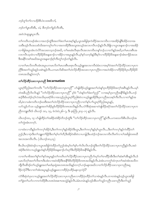```
ဘဉ်တူ ်တ႑်လ 1ပဒိဉ်စီၤပံၤလးအဇီလာ်,
```
ဘဉ်တ႑်ပျာထိအီး, သံ, ဒီးဘဉ်တ႑်ခုဉ်လီးအီး,

အဝဲလဲၤဆူပျူပူၤလီၤ.

တၫ်ကတိၤတဖဉ်အံၤလၢအဘဉ်ထွဲဒီးအတၫ်ဖံးတၫ်မၤအစ့ၫ်နဉ်,ယွၤအဖိခွါဒုးကဲထိဉ်အလၤကပိၤလၢအအိဉ်ဖျိဒီးအိဉ်တဒၢအ သးဒီးဟ္ဝ်လိၤအသးဒ်သိးအကတု<sup>ရ</sup>တ<sup>ရ</sup>လၢအတအိဉ်ဒီးအသူးအသုဉ်အလၤကပိၤဘဉ်နှဉ်လီၤ.နိဖျိလၢယွၤအနုဆၫာ်လၢအအိဉ် လၫဖြစ္ပါအပူၤအံၤလဲလိ်ာအသးတသ့ဘဉ်အဃိႇ တၫိမၤဆံးလိၤစုၤလီၤအလၤကပီၤတနၤ်ာဘ်ႉလ႑တၤ်နဉ်အဃိႇတ႑်မၤဟးရီၤအ လၤကပ်ိဳၤသဲ့ထဲလၤဟိဉ်<sup>ဌ</sup>ဉ်ဖိအနဆၫဉ်လၢအိဉ်လၢအပူ၊ နဉ်လိၤႇမ့<sup>၎</sup>နှာ်သက့ဒ်နဉ်ဒီးမ့<sup>ှ်</sup>လၤဟိဉ်ခိဉ်ဖိအနဆၫဉ်အံၤစၢဖိုဉ်အသး 

လၢတၫိမၤလိတတိၤအံၤအပူၤပကမၤလိတၫ်မၤဟးရိၤမၤစှၤလိၤယ့ဉ်ၡူးအလၤကပိၤခံမံၤလၢအမ့ၢ်ဝဲအတၫ်လိဉ်ထိဉ်သးလၢပှၤက ညီဒီးအတ1်သူဉ်ဆူဉ်သး၈ဲၤနှဉ်လီၤႉပကမၤလိဆိအတ1်ဟဲလိဉ်ထိဉ်အသးလၢပှၤကညီဖဲလၢအဟဲအိဉ်လၢဟိဉ်ခိဉ်ဒ်ပှၤဟိဉ်ခိန် —<br>တ၈ၤအသိးနဉ်တက့¶.

### တၫ်လိဉ်ထိဉ်သးလၫပှၤကညီ Incarnation

ယွာစ့်္ဂါဝိညါအတၤ်ကတိၤ ''တၤ်လိဉ်ထိဉ်သးလၢပှၤကညီ'' ဟ်ဖျ်ထိဉ်ယ့ဉ်ရှူးအတၤ်ဟံးနှၤ်ပှၤဟိဉ်ခိဉ်ဖိအက့ၤ်အရီးနှဉ်လီၤ.ပမ့ၤ် တဲအခ်ိပညီလိၤလိၤန္ဉ ''တၫ်လိဉ်ထိဉ်သးလၫပှၤကညီ'' မ့<sup>၎</sup>ဝဲ ''ဟံးန္႑်တၫ်ဖံးတ႑်ညဉ်'' လၢအမ့<sup>၎</sup>ပှၤကညီအနိ<sup>၎</sup>ခ်ိန္ဉာ်လီၤ.ဘဉ် ဃိႇဖဲလၢပစံးကတိၤဘဉ်ဃးဒီးအတ<sup>ျ</sup>ဟဲလိဉ်ထိဉ်သးလၢပှၤကညီလၢတ<sup>ၡ</sup>န1ပၢါယ္ပၤစ့<sup>၎</sup>ပိညါအပူၤန္**ဉ်**, ပဟ်သူဉ်ဟ်သး ယ့ဉ်ရှူးအတ<sup>၎</sup>အိဉ်မူဒ်ဟိဉ်နိဉ်ဖိတၐၤအသိးနည်လီၤ.လံာ်စီဆုံအဆၫတဲဖျ်ထိဉ်ခရာ်အတ႑်လိဉ်ထိဉ်သးလၫပုၤက  $\beta$ တဘျးတိၤဒ် ယိၤဟဉ် ၁း၁, ၁၄, ဖံလံးပံး၂း၆–၇, ဒီး ဇ့ၤဘြံၤ၂း၁၄–၁၇ န $\beta$ လိၤ.

ယိၤဟဉ်၁း၁, ၁၄ ပာ်ဖျ်ထိဉ်တၫ်အခိဉ်ထံးခိဉ်ဘိဘဉ်ထွဲဒီး ''တ႑်လိဉ်ထိဉ်သးလၢပုၤကညီ''နဉ်လီၤ.ပကဖးသကိုးစီၤယိၤဟဉ်အ တ<sup>၎</sup>ကွဲးအံၤတက္<mark>ဂါ</mark>.

လၢထံးလၢသိန္ဉာိတၫ်ကလုၫအိဉ်ဝဲႇဒီးတၫ်ကလုၫ်နဉ်အိဉ်ဝဲဒီးယွာႇဒီးတၫ်ကလုၫ်နဉ်မှၤ်ယွာလီၤ…ဒီးတ႑်ကလုၫ်နှဉ်ကဲထိဉ်တ႑် ညဉ်ႇဒီးလၫပှဲၤဒီးတၫ်ဘျူးတၫ်ဖှိဉ်ဒီးတၫ်မှၫ်တ႑်တီႇဒိးအိဉ်ဝဲဆိးဝဲလ႑ပကျါႇဒိီးပထံဉ်ဘဉ်အလၤကပီၤလိၤၵာ်လ႑ပၫ်အဖိခွါတၵၤဃိ —<br>အလၤအကပီၤလီၤ. (ယိၤဟဉ်**း**၁,၁၄)

စီၤယိၤဟဉ်စံးဝဲဒဉ်လၢယွၤအဖိခွါကဲထိဉ်တ႑်ညဉ်အံၤမ့္်ာတ႑်နှၤ်ပ႑်လိၤတဉ်ထွဲဒီးတ႑်လိဉ်ထိဉ်သးလၢပှၤကညီနှဉ်လီၤ.အဝဲ အဲဉိဒိးတဲဝဲလၢယ့ဉ်ရှူးဟီးန5်ဟိဉ်ိခိဉ်ဖိအနဆၫာ်ဟ်ဃုာ်ဒီးဟိဉ်ိခိဉ်ဖိအနိ<sup>႖</sup>ခိနဉ်လီၤ

လၢတၫ်မၢဖိအတၫ်စူၫ်တ႑်နှာ်အပူးနှဉ်တ႑်ကတိၤတ႑်လိဉ်ထိဉ်သးလၢပုၤကညီဟ်ဃှာ်တ႑်ဒၢထိဉ်အိၤဒီးတ႑်ဆီးစ႑်အိၤန္နဉ်လီၤ.ဒ် ပမၤလိတ့ౕါအတౕါလီၤစ πဒီးပစံးလၢအဝဲအိဉ်ဒီးအနိၲိုခ်ိဒ်ဟိဉ်ခိဉ်ဖိတ၈ၤအသိးန္ဉ်လီၤႉခဲအံၤပကကွ်ၢထံက္ၤတၤ်အဝဲအံၤအသိတ ာျီလီၤဆီဒဉ်တ<sup>၎</sup>ယ့ဉ်ရှူးအတ<sup>၎</sup>မၤဒ်မ့ၤရုံအၤတၐၤအသိးနဉ်တက့႑်.ဘဉ်မနၤအဃိလၢတ႑်လိဉ်ထိဉ်သးလၢပှၤကညီအရ္  $\beta$ ှာလဲ $\beta$ ?ဒီးလၢတၢ်အံၤအပူၤန္ $\beta$ ယ့ဉ်ၡူးမၤလၢထိဉ်ပဲ့ၤထိဉ်မနုၤသ့လဲဉ် $\Omega$ 

လံာ်စီဆုံတဲပှၤလၢယ့ဉ်ရှူးအတၫ်လိဉ်ထိဉ်သးလၢပှၤကညီမၤလၢထိဉ်ပှဲၤထိဉ်တၫ်သၢမံၤန္ဉာ်လီၤႉတၢတမံၤန္ဉာ်ဟွဉ်ယွၤအဖိခွါ တ<sup>ရ</sup>ခွဲးတ<sup>ရ</sup>ယာ်လၢကကဲထိဉ်စီးပာဒာဝံးအစπအသွဲဉ်နဉ်လီး ခံမံၤတမံ၊ နဉ်ဟဉ်အီၤတ<sup>ရ</sup>သူဉ်ကညီၤသးကညီၤဒီးတ<sup>ရ</sup>သူဉ်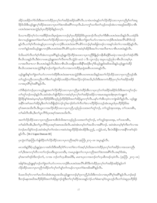အိဉ်သးအိဉ်တ<sup>၎</sup>ဒ်သိးဒီးအကကဲထိဉ်ပှၤလု<sup>၎</sup>တ<sup>၎</sup>အဒိဉ်အခိဉ်အစိ<sup>ု</sup>လီၤႉသၢမံၤတမံၤန္ဉာ်တ႑်လိဉ်ထိဉ်သးလၢပှၤကညီမ့<sup>၎</sup>တ႑်အရု ႜ<br>ဒိဉ်ဒ်သိးဒီးယ့ဉ်ရှူးလုၫထိဉ်အသးလ႑ပ္ပၤတ႑်ဒဲးဘးဖိအရိဂ်ကသ့လီၤႉမ်ပကကွ႑်သက်းတ႑်သွဉ်တဖဉ်အံၤလ႑အဖုဉ်စးထိဉ်လ႑စီၤ ပာဒာဝံးအစπအသွဲဉ်မ့<sup>ရ</sup>ပှာဟိဉ်<sup>8ွ</sup>ဉ်<sup>8</sup>နဉ်တက့<sup>ရှ</sup>.

ဒ်ပယπထိဉ်တ့<sup>၎</sup>လံလၢအဖိ<sup>8</sup>ဉ်အသိးမှၤရှံအၤကဘဉ်မ့<sup>၎</sup>ပှၤဟိဉ်<sup>8</sup>ဉ်ဖိဒ်ယွၤအၫဉ်လီၤတ့ၢ်တၤ်ဒီးစီၤပၤဒၤဝံးအသိးနဉ်လီၤ.ပအဲဉ်<sup>8</sup>ုး စံးလၢယ့ဉ်ရှူးအတ<sup>ရ</sup>ဖံးတ<sup>ရ</sup>မ၊တ<sup>ရ</sup>လိဉ်ထိဉ်သးလၢပှၤကညီဟ့ဉ်အီၤတ<sup>ရ</sup>ခွဲးတ<sup>ရ</sup>ယာ်လၢအကပၢဘဉ်စီၤအထီးအလိ<sup>ရ</sup>ပစိဉ်ဒ်လဲဉ် ္<br>နဉ်လီၤႉတၫ်စ့်ၫကိတမံၤန္ဉာပုၤလၫကန္ၤ်ပၫဘဉ်စီၤပၤဒၤဝံးအလိၤ်ပစိဉ်ကဘဉ်မ့ၤ်အဖိခွါတဖဉ်လၫအနၤ်သါတ႑်လၫအအိဉ်နဉ်လီၤႉ ှ<br>လၢတၫ်နဉ်အဃိယ့ဉ်ရှူးပၢဘဉ်စီၤပၤဒၤဝံးအလိံ၊ပစိဉ်သွထဲလၢအဝဲမ့<sup>၎</sup>အိဉ်ဒီးအပ<sup>ြ</sup>လၢအလီၤစπလၢစီၤပၤဒၤဝံးနဉ်လီၤ

ဒ်သိးပဃဲာ်လီၤတၫ်ရ့ၫ်ကိအံၤကသ့အဂ်ိါနဉ်ယှဉ်ရှူးလိဉ်ထိဉ်အသးလၢပှၤကညီခီဖျိမှဉ်ကနိၱၤစိဆုံနိံ်မၤရံလၢအဘဉ်တၫ်အဲဉ်တိဒီး .<br>စီးယိၤသးနဉ်လိၤ.ဒီးဖဲလၢပဖးယ့ဉ်ရှူးအတ<sup>ှ</sup>လီၤစ႑ာလီၤသွဲဉ်ဖဲ မးသဲ ၁ ဒီး လူၤကဉ်၃ အပူၤပသ့ဉ်ညါလၢစီၤယိၤသးမ့<sup>၎</sup>ပှၤ လၢအလီၤစπလၢ စိၤပာအငံးနဉ်လီၤ.ဒီးဖဲလၢစိၤယိၤသးဖျိအသးဒိးနိ<sup>၎</sup>မၤရံဒိးလုၢိဖိယ့ဉ်ရှူးဒ်အဖိအသိးနဉ်ယှဉ်ရှူးကဲထိဉ် 

ယ့ဉ်ၡူးဒိးန5်တ1်ခွဲးတ<sup>5</sup>ယာ်လ1ကကဲထိဉ်စီၤဒၤဝံးအစ႑ာအသွဲဉ်ဒ်စီၤပၤတ၈ၤအသိးန5်အတ5်လိဉ်ထိဉ်သးလ1ပှၤကညီဟ့ဉ်အိၤ တ<sup>ှ</sup>သူဉ်ကညီၤသးကညီၤတၫ်ဒီးတၫ်သူဉ်အိဉ်သးအိဉ်တၫ်ဒ်အလိဉ်ဘဉ်ဝဲအသိး,ဒ်သိးဒီးအကကဲထိဉ်ပုၤလှ<sup>၎</sup>တၫ်အဒိဉ်အခိဉ် လၫအပှၤ<sup>ဂၢို</sup>မို<sup>ရာ ရှ</sup>နဉ်လီၤ.

လံာ်စီဆုံတဲဘဉ်ပုၤလၢယ့ဉ်ရူူးအတ႑်လိဉ်ထိဉ်သးလၢပုၤကညီဒုးကဲထိဉ်အီၤလၢပုၤလှာ်တ႑်အဒိဉ်အခိဉ်ဒ်သိးဒီးအကတူ၂်ဘဉ်ပ တၫ်တူၫ်ဘဉ်တဖဉ်နှဉ်လီၤ.အဝဲအံၤဟ်ဖျါထိဉ်ဝဲလၢအဝဲမ့ၢ်ပှၤလုၤ်တၤ်အဒိဉ်အခိဉ်လၢအမၤအမူအဒါစုၤစုၤကဲဘျူးကဲ အနိ<sup>ု</sup>ကစၢိအတၢ်အိဉ်မူဒီးတၢိလဲၤခီဖျိဒဉ်ဝဲဘဉ်ကွ<sup>၎</sup>ဆၢဉ်မဲာ်တၢ်ကီတၢ်ခဲလၢဟိဉ်ခိဉ်တဘ့ဉ်အံၤအပူၤဒ်ပှၤဟိဉ်ခိဉ်ဖိအ စုာ်အစာအသိးလီၤ.ဒီးယွာလၢအလိဉ်ထိဉ်သးလၢပှၤကညီ,သ့ဉ်ညါပသးအတ<sup>ှ</sup>တု်ဘဉ်, တ<sup>ှ</sup>သူဉ်အုးသးအုး, တ<sup>ှ</sup>သးဟးစိၢ, တၫ်ဆါလီၤအိၤ,ဒီးတ႑်ပူၤလိၤ်ဒ်ပုၤအစုာ်အရာအသိးလီၤ.

အတၫ်လိဉ်ထိဉ်သးလၢပှၤကညီမၤစ႑ာအီၤဒ်သိးအကသ့ဉ်ညါပသးအတၫ်တူၫ်ဘဉ်, တ႑်သူဉ်အုးသးအုး, တ႑်သးဟးရိ $\rm{I},$ တၫ်ဆါလီၤအိၤႇဒိဴးတၫ်ပူၤလိႝၤ်ဒ်ပှၤအစုာ်အ၈ၤအသိးလီၤႉအဝဲအံၤတမ့ၤ်တ႑်အသိလၤအစိၤ်ဘဉ်ႉ အဝဲအံၤတမ့ၤ်စ့ၤ်ကိုးတ႑်လၤအ ဝဲဘဉ်မၤလိန္5ါဝဲဘဉ်ႉအဝဲအံၤမ့<sup>၎</sup>တ5်တမံၤလၢအဝဲဟဲဆူဟိဉ်ခိဉ်အံၤအိဉ်ဒီးပညဉ်, ပသွံဉ်ပထံ, ဒီးလဲၤခီဖျိဝဲလၢအနိ<sup>၎</sup>ကစ<sup>၎</sup>ဒဉ်ဝဲ  $\frac{1}{2}$   $\frac{1}{2}$   $\frac{1}{2}$   $\frac{1}{2}$   $\frac{1}{2}$   $\frac{1}{2}$   $\frac{1}{2}$   $\frac{1}{2}$   $\frac{1}{2}$   $\frac{1}{2}$   $\frac{1}{2}$   $\frac{1}{2}$   $\frac{1}{2}$   $\frac{1}{2}$   $\frac{1}{2}$   $\frac{1}{2}$   $\frac{1}{2}$   $\frac{1}{2}$   $\frac{1}{2}$   $\frac{1}{2}$   $\frac{1}{2}$   $\frac{1}{2}$ 

ပှၤကွဲးလံာ်ငှ၊ဘြံၤဟ်ဖျ်ထိဉ်တ႑်လိဉ်ထိဉ်သးလၢပှၤကညီအစ့<sup>ရ</sup>ဖဲ ငှ၊ဘြံၤ၂း၁၇–၁၈ အပူၤန္ဉာလီၤ.

မာသးဒ်နဉ်ဒီး(ယ့ဉ်ရှူး)စှာလာအဒ်သိးဒီးအဒီပုၫ်ဝဲ႑်လာတ႑်ခဲလာာ်အစ့႑်,ဒ်သိးအကကဲထိဉ်ပုၤလှၤ်တ႑်အဒိဉ်လာအသးကညီၤ တ1်,ဒီးအကလု၊်တိလၢတၫ်ဘဉ်ဃးဒီးယွၤသတးဒီး, ကမၤပူးဖျံးတ႑်လၢပှၤကညီအတ႑်ဒဲးဘးအရိၤ်လိၤ.အစ့ၤ်ဒ်အံၤ, မ့်)အကစ<sup>ု</sup>ဒဉ်ဝဲဒိးဘဉ်တ ်, လၢအ ဘဉ်တ ်လ့ပစီအဃိဒီး, မၤစ႑ာပုလၢအဘဉ်တ ်လ့ပစိတဖဉ်သဲ့ဝဲလီၤ. (ဇ့၊ဘြံၤ ၂း၁၇–၁၈)

အါန<sup>ှ</sup>်ဒီးယှဉ်ရှူးန<sup>ှ</sup>ြာဉ်တ<sup>ှ</sup>ခွဲးတ<sup>ှ</sup>ယာ်လၢကပၢဘဉ်စီၤပာဒာဝံံးအလိ်<sup>ရ</sup>ပစိဉ်ဒီးကဲထိဉ်ပုၤလု<sup>ရ</sup>တ<sup>ှ</sup>အဒိဉ်အခိဉ်နှဉ်တ<sup>ှ</sup> လိဉ်ထိဉ်သးလၫပှၤကညီကဲထိဉ်တ<sup>၎</sup>လုၤ်တ<sup>၎</sup>ပျာ်တ<sup>ြ</sup>ကမဉ်လၫပှၤတ<sup>၎</sup>ဒဲးဘးဖိအ<sup>ရွ</sup>်နှဉ်လီၤ<sup>့</sup>

ဒ်ပမာလိတ့<sup>၎</sup>လၫတၫ်မာလိတခါအံာအပူာအသိးယ့ဉ်ရှူးကဘဉ်မ့<sup>၎</sup>ပှာကညီ<sub>ာ</sub>ဒ်သိးဒီးကသံလၫအပှာ<sup>ရွ</sup>ိမု<sup>၎</sup>အရိ<sup>ု</sup>နဉ်လီာတည်ဆဉ် ဒီးဘဉ်မနုၤအဃိအဟိဉ်ခိဉ်ဖိအတၫ်အိဉ်မူဘဉ်ထွဲဒီးတ႑်လုၤ်ထိဉ်အသးနဉ်လဲဉ်ႉတၫ်စံးဆၢမ့ၢ်ဝဲယွၤဟ့ဉ်လီၤတ႑်သံဆူပှၤဟိဉ်ခိဉ်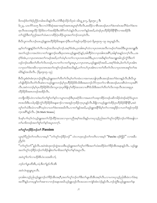ဖိတဖဉ်§တၫ်စံဉ်ညီဉ်တခါအသိးန5ုလီၤ.လံာ်စီဆုံသိဉ်လိပှၤဖဲ ၁မိၤၡ၂း၁၇, ရိမ့ၤ၅း၁၂ <sup>8</sup>ိုး

၆း၂၃, ယၤကိ>်၁း၁၅ ဒီးလၢလံ>်စီဆုံအဆၢအစုာ်အ၈ၤအပူၤစ့ၢ်ကီးလီၤ.စးထိဉ်လၢစိၤအာၤဒဉ်မၤတၢ်ဒဲးဘးဝံၤအလိၢ်ခံတၢ်ဒဲးဘး ရာလီၤအသးဆူဟိဉ် ခိဉ်ဖိခဲလၫာ်အအိဉ်ဒီးဟဲစိာ်တၫ်သံနဉ်လီၤႉလၢတ႑်နှဉ်အဃိႇထဲဒဉ်ပှာဟိဉ်ခိဉ်ဖိနိ႖နိ၎လၫအအိဉ်ဒီး တ်ကွဲကိုဒီးတက်ညဉ်အတ်လံမာလၢထိဉ်ပှဲာထိဉ်ယွာအတ<sup>်</sup>ကဉ်သးသဲ့ဝဲလိ<sup>ု</sup>.

-<br>စီးပိလူးကတိၤဘဉ်ဃးယ့ဉ်ရှူးအဟိဉ်နိဉ်ဖိအနဆ႑ာဒိုဒီးပတ<sup>၎</sup>အုဉ်ကူးနိဉ်ကူးဖဲ ရိမ့ၤ၅း၁၅–၁၉ အပူးနှဉ်လီး

မ့မ့်ၢတၢ်ဘျူးနဉ်ဒ်တၫ်လီၤကမဉ်အသိးတမ့ၢ်ဘဉ်ႉအၵ့ၫ်ဒ်အံၤႇပှၤအါဂၤမ့ၢ်သံလၢပှၤတဂၤအလီၤကမဉ်တၫ်အဃိဒီးယွၤအဘျူးဒိီး အတၫ်ဟ့ဉ်လၢအဟဲဝဲလၢတၫ်ဘျူးဘဉ်ဃးဒီးပှၤတၵၤယ့ဉ်ရှူးခရံဉ်နှဉ်,အါထိဉ်ဝဲလၢပှၤအါရာအရိ်၊,အါန်္ၫအန္ဉဉ်တက့ၫ်လီၤ…အ စ့<sup>ရ</sup>ဒ်အံၤႇလၢပုၤတ၈ၤအတ႑်ကမဉ်အဃိႇတ႑်သံမ့<sup>၎</sup>ပၢတ႑်လၢပုၤတ၈ၤအဃိဒီးႇပုၤလၢအဒိးန႑်တ႑်အဘျူးအါလုဉ်ကွံာ်ဒီးတ႑် ဟ့ဉ်ဘဉ်ဃးဒီးတၫ်တိတၫ်လိၤတဖဉ်,ကပၢတၫ်လၢတၫ်မူအပူၤ,လၢပှၤတ၈ၤ,ယ့ဉ်ရှူးခရံာ်အဃိ…အစ့ၢ်ဒ်အံၤ,ဒ်တၫ်ဟ်ပှၤအါ၈ၤ လၫၦၤတၫၳဒဲးဘးဖိလ႑ၦၤတၵၤအတၫ်တစူၫ်ဘဉ်အဃိအသိးန္ဉာဴႇတၫ်ကပာ်ပှၤအါၵၤလၢတၫ်တိတၫ်လိၤလ႑ပုၤတၵၤအစူၫ်တၫ်အ ဃိဒ်နဉ်အသိးလီး. (ရိမ့ၤ၅း၁၅-၁၉)

-<br>စီၤ၀ိလူးစံးဝံၤစံးက္ၤဘဉ်ထွဲဒီးယ့ဉ်ရှူးအတ<sup>၎</sup>တိတ႑်လိၤမ့<sup>၎</sup>တ႑်တမံၤလၢအကမၤဘျါက္ၤစီၤအၤဒဉ်အတ႑်ဒဲးဘးနှဉ်လီၤႉစီၤ၀ိလူး ၯၛႝၜၟၣၯၯၟၯၯၟၯၟၯၟၯၟ႞ၟ႞ၮၣၣၣၣၣၯၟၯၟၣၣၟၣၟၣၟၣၟၣၟၣၟၣၟၣ<br>ၣၣၛႝၣၣၯၟၣၣၯၯၟၣၯၣၣၮၣၣၣၣၣၣၣၣၣၣၣၣၣၣၣၣၣၣၣၣၣၣ လီး အဝဲကဘဉ်မ့<sup>ရ</sup>ပှၤဟိဉ်နိဉ်ဖိဒ်သိးကပ္ပ္ပၢက္ပၤပုဒ်ဖြိုလုၤ်ထိဉ်အသးလ႑ပရိါဒ်သိးဒီးအတ<sup>ု</sup>တိတ႑်လိၤကရၤလီၤအသးဆူပှၤ ဟိဉ်ိန်၁ိုဗိအရာတဖဉ်အအိဉ်လီး.

တဘျီတခ်ိဉ်ပဝဲလၢဟံးဃာ်တ<sup>ရ</sup>စု<sup>ရ</sup>တ<sup>ရ</sup>နာ်လၢပျπတဖဉ်ဒီးပှၤခရံာ်ဖိလၢအမၤတ<sup>ရ</sup>သးခုကစိဉ်တဖဉ်ပဆိကမိဉ်ထဲဒဉ်ခရံာ်ဒ်ယွၤတ .<br>၈ၤအသိးဒီးပသါပုၤနိုဉ်ကွံဉ်ဟိဉ်ခိဉ်ဖိအနဆၫဉ်လၫအအုဉ်က့ၤခိဉ်က္ၤပှၤနှဉ်လီၤ.ခ်ီဖျိလ႑ယ့ဉ်ရှူးကဲထိဉ်ပှၤဟိဉ်ခိဉ်ဖိနိ<sup>႖န္ဓ</sup>ြာအဲ တူၫ်တၫ်သံဒီးသံလၢပ၈ိႝာသဲ့ဝဲလၢပတၫ်ဒဲးဘးအဃိလီၤႉလၢတၫ်နဉ်အဃိႇယ့ဉ်ၡူးအနိ<sup>႖</sup>ၶိမ့ၢ်တၫ်လၢအရှဒိဉ်လၢပတၫ်အုဉ်က္ $\vert$ နိဉ် က္နာအရွိန္၁ လိုး.  $(Dr_M)$ ark Strauss)

ဒ်ပန<sup>ှ</sup>ပၫ်က့်လံယ့ဉ်ရှူးအတ်လိဉ်ထိဉ်အသးလၢပှၤကညီအစ့်၊အသိးနဉ်ပကဃုသ့ဉ်ညါအတ<sup>ှ</sup>တု်ဘဉ်<sup>ရွှ</sup>ဉ်ဘဉ်တ်၊်ဒ်အဖျိလၢ တ<sup>ြ</sup>မၢဖိတဖဉ်အတ<sup>ှ</sup>ရု<sup>ရ</sup>တ်နဉ်အပူၤတက့်).

# တ<sup>ှ</sup>တု<sup>ှ</sup>ဘဉ်ခိဉ်ဘဉ်တ**် Passion**

ယွာစ့<sup>ရ</sup>ပြီညါတ<sup>၎</sup>ကတိၤလၢအမ့<sup>၎ ''</sup>တ<sup>၎</sup>တူ်ဘဉ်ခီဉ်ဘဉ်'' ဟဲလၢဟူးလ့ဉ်တၫ်ကတိၤလၢအမ့<sup>၎</sup> ''Pascho ဖဉ်စိခွိဉ်'' လၢအခ်ီပ ညီမှ<sup>င်္ဂ</sup>ဝဲ

''တၫ်တူၫ်တ႑်''နဉ်လီၤ.အဝဲအံၤဒုးဘဉ်တွဲအသးဒီးယှဉ်ရှူးအတ႑်တူၫ်တၫ်ဒီးအတ႑်သံစးထိဉ်ဖဲတၫ်ဖိဉ်အိၤအနၤနဉ်လီၤ. ယှဉ်ရှူး အတ<sup>ှ</sup>်ကိုကည်ချိန်တည်တိုအိဉ်ဖျိဖဲတ်မြာဖိအတ<sup>ှ</sup>ရုာတိုနဉ်အပူၤလီး

အဝဲတူ ်တ႑်လ ပဒိဉ်စီၤပံၤလးအဇိလာ်,

ဘဉ်တ႑်ပျာထိအိၤ, သံ,ဒီးတ႑်ခူဉ်လီၤအိၤ

အဝဲလဲၤဆူပျုၤပူၤလီၤ.

ပှၤအါ၈ၤသ့ဉ်ညါယ့ဉ်ရှူးဘဉ်တ<sup>ရ</sup>ဖိဉ်အီၤအစ့**်,**အတ်တူ်ဘဉ်တ်ဒီးတ်ပျၤထိအိၤအစ့်၊လီၤ.လၢပကဃုသ့ဉ်ညါအီၤခဲလၢာ်ခဲဆ့ ့<br>အလိ<sup>ရ</sup>နဉ်ပကၰန1်တ1်အစၫလၫဘဉ်အနုၤအဃိယ့ဉ်ရျုံးဟ့ဉ်လီၤအသးလၫကျဲဒ်အံၤလဲဉ်နဉ်လိၤ.ဘဉ်ထွဲဒီးယှဉ်ရျုံးအတ<sup>႖</sup>နး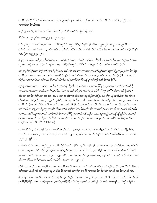တၫ်ဖှိဉ်နဉ်လံာ်စိဆုံတဲဘဉ်ပှၤလၢပကဘဉ်သ့ဉ်ညါယ့ဉ်ရှူးအတၫ်ဒိကနဉ်ဒီးမၤဒ်ပၢ်အတၫ်မၢလီၤအီၤအသိးဖဲ ဇူးဘြံၤ ၅း၈ 

(ယ့ဉ်ရှူး)မπလိစူ်က်သာကလုိလၢအဒိးတ်နေးတ်ဖြိဉ်အဃိလီၤ. (ဇ့ၤဘြီၤ ၅း၈)

3:581ပ္းတရူးကွဲး၀ဲဖဲ ၁ပ္းတရူး၂း၂၀-၂၁ အပူၤး

မ့မ့<sup>၎</sup>တုၤသုမၤတၫ်စုၤဒီးဘဉ်တ႑်လၢအဃိဒိ<mark>း</mark>,သုမ့ၫ်ဝံသးစူၤတ႑်ဒိး,တ႑်နှဉ်အိဉ်မးဒီးအဘျူးအဖှိဉ်လၢယွၤအမဲာ်ညါလီၤ.အ စ့<sup>ရ</sup>ဒ်အံၤႇသုဒိးတ<sup>၎</sup>ကိႏန1်သုဆူအဝဲနဉ်လီၤႉအစ့<sup>၎</sup>ဒ်အံၤႇခရံာ်ဒိးတ႑်လ႑ပဃိဒီးပာ်လီၤတဲာ်အဒိအတဲာ်ဒ်သိးပကယိႝၤအခဵဉ်လီႝၤနဉ် လီၤ. (၁ပုံးတရူး၂း၂၀–၂၁)

ခ်ီဖျိလၢအတၫ်နးတၫ်ဖိုဉ်အဃိန္ဉာ်ခရံှာမၤလၢထိဉ်ပဲုၤထိဉ်ပ႑်အတ႑်ဘဉ်သးဒ်ပ႑်မၤလိဉ်အီၤအသိးန္ဉာ်လီၤႉလၢတ႑်စူ႑်အပ႑်အက ႜ<br>ၣၣၹၪၹၣၯၯၮၜၟၟၜၟၣၛၟၣၣၣၛၟႜ႞ၣၮ႞ၣၛၣၛၣၛႝၣၛႝၣၛႝၣၛႝၣၛၣၛၣၛၣၯၣၣၛၣ<br>ၣၣၣၛၣၣၯၣ

ဘဉ်ဆဉ်ဒီးခရံာ်အတၫ်တူၫ်တ႑်လ႑ပဒိဉ်စီၤပံၤလးအဖိလာ်တမ့ၫ်တ႑်လ႑အမၤကတ႑ၢ်ကွံာ်အတ႑်နးတ႑်ဖှိဉ်ဘဉ်ႇမ့မ့ၫ်တခ်ိတ႑်နး တ<sup>ရ</sup>ဖြိ>်ဆဲးမၤအသးတုၤလၢအဘဉ်တၫ်ပျာထိအိၤနဉ်လိၤႉအဝဲအံၤမ့ၢ်တၫ်လၢပှၤသ့ဉ်ည<sup>ြ</sup>အီၤအါကတၫၢ်ဘဉ်ထွဲဒီးတ႑်မၤစုၤလိၤ ခရံဉ်အလၤကပိၤဒီးလၢတၫ်စုၤအ<sup>ရွ</sup>်ကသော်သံမှ<sup>ု</sup>တ႑်ပျာ်ပတၫ်ဒဲးဘးဒီးဟုဉ်ပှၤတၫ်အုဉ်က္ၤနိဉ်က္ၤနှဉ်လီၤ

ယှဉ်ရှူးအတၫ်သံလၢပတၫ်ဒဲးဘးအဃိဘဉ်တၫ်ဟ်ဖျ်ထိဉ်အီၤလၢလံာ်စီဆှံအသိတကတြူၫ်အပူၤဒ်အမှၤ်အတၫ်ဖံးတၫ်မၤဒီဖြို လၢတူၫ်သံအသးလၢပဝဲအါ၈ၤအ<sup>ရွ</sup>႑နှဉ်လီၤ. ''ခ႑ာ်စး''အခ်ိပညိမ့ၫ်ဝဲအဝဲဟံးနှၤ်ပလိၤ်ဒီး ''တူၫ်တ<sup>၎</sup>''ဒ်သိးကလဲၤခီဖျိတၤ်စံဉ် ညီဉ်လၢပဘဉ်တူ်၊အီၤလၢအမ့္ပါတ}သံ, မ့္ပါလၢပဝဲကိႏၵၤဒဲးပဒိးန္ြတှုရံဉညီဉ်အံၤခ်ီဖျိလၢပတ္ပါကမဉ်အဃိႇဒီးတ}သံလီၤထူ လီၤယိ>်မ့<sup>ှ</sup>တา်စံဉ်ညိဉ်လၢယွၤဟ့ဉ်လီၤပှၤ<sup>8</sup>ဖိျပတา်တစူၫ်အိၤဒိီးမၤဟးဂိၤအတၫ်သိဉ်တၫ်သိအဃိနဉ်လီၤ.ကစၫ်ယွၤအနအၫဉ်မ့ှ တၫိစိတၫ်ဆုံအဃိဖဲတၫ်ဒဲးဘးအိဉ်ဝဲအလိၢိန္ဉာိတၫ်လုၫ်တၫ်ပျၫ်တၫ်ကမဉ်အိဉ်ဝဲနဉ်လိၤ<sup>့ဒိုး</sup>အတၫ်အဲဉ်လၢအလိၤလိဉ်လိၤလးက တဲာ်ကတိၤတ<sup>႖</sup>အုဉ်က္ၤဒီဉ်က္ၤလၤပ<sup>ရွ</sup>်လိၤ.ပတၤ်ဒဲးဘးဒီးတၤ်သံလီၤထူလီၤယိဉ်လၤအအိဉ်လၤပဖံဘဉ်ခိဉ်ဘဉ်တၤ်ဟ်ထိဉ်အိၤ လၫပှၤတိပှၤလိၤႇပှၤလၢအတၫ်ကမဉ်တအိဉ်လၢအမ့ၢိဖိခွါႇလၢအဟဲလိဉ်ထိဉ်အသးလၢပှၤကညီအဖံဘဉ်ခိဉ်နှဉ်လီၤ.ဒီးအဝဲမ့ၫ် ပှၤလၢအမၤလၢထိဉ်ပှဲၤထိဉ်ဆဉ်ဖိကိ်<sup>ရဖိ</sup>လၢအကဆိုတဖဉ်အတၫ်လုၤ်တၤ်ပာ်လၢတၤ်ပျၤ်တၤ်ကမဉ်အ<sup>ရွ</sup>်းခ်လံာ်စီဆုံအလိၤ်လံၤ ပာ်ဖျါဝဲအသိးန5်လီး.  $(Dr.J.I.Paker)$ 

တၫ်မၢဖိစီၤပီလူးထိဘိတဲဖျ်ထိဉ်ဝဲတၫ်ပျာထိဒ်အမှၫ်တ႑်သးခုကစိဉ်အတ႑်စ့ၫ်ခိဉ်သှဉ်တခါနှဉ်လီၤ.ပထံဉ်နှၤ်အီၤလ႑ ရိမ္ၤ၆း၆, ၁ကရံဉ်သူး ၁း၁၇–၁၈, ကလၤတံ၆း၁၄, ဒီး ကလီးစဲ ၁း၂၀ အပူၤန္ဉာ်လီၤ.လၢတၫ်ဟံးန႑်တၫ်အဒိထဲတခါအရိၤ်ပကဖး ကလၤတံ ၂:၂၀-၂၁ နဉ်လီၤ.

ယဒိးသံဃုာ်လံယသးလၫထူဉ်စုညါအလိၤဒိီးခရံာ်လံႇဘဉ်ဆဉ်ဒီးယမူလီၤ.ဘဉ်ဆဉ်တမ့်ၢ်လπယၤဘဉ်.မ့ါ်ခရံာ်မူလၢယပူၤလီၤ.ဒိီး တၫ်လၢယမူလၢတၫ်ဖီးတၫ်ညဉ်အပူၤခဲကနံဉ်အံၤႇမ့ၢ်ယမူလၢတၫ်နာ်ဘဉ်ဃးဒီးယွၤအဖိခွါတ၈ၤႇလၢအအဲဉ်ယၤဒီးဟ့ဉ်လီၤကွံဉ် အသးလၢယရိ<sup>ု</sup>လီၤႉယတမၤဘဉ်ယွၤအဘျူးအဖှိဉ်လၢတၫ်ကလိကလိဘဉ်ႉအစ့ၢ်ဒ်အံၤႇပှၤမ့ၢ်ဘဉ်တၫ်ဟ်တိဟ်လိၤအီၤလၢတ႑် သိဉ်တၫ်သီဒီး,ခရံာ်ဒိးသံအသးကလိကလိလိၤ. (ကလၤတံ ၂း၂၀–၂၁)

ခရံာ်အတၫ်သံမ့ၢ်တၫလၢအရှဒိဉ်လၢကမၤလၢထိဉ်ပှဲၤထိဉ်ယွာအတၫ်ဘဉ်သးဒီးဟ့ဉ်လိၤပှၤတၫ်အုဉ်က္ၤခိဉ်က္ၤအရိၢ်လိၤ.ဒီးလၢ တၫ်အံၤအဃိနဉ်လံာ်တၫ်သးခုကစိဉ်ဟ်ဖျံထိဉ်ဝဲလၤအဝဲအံၤမ့ၢ်တၫ်ကစိဉ်လၤအဘဉ်တၫ်စိာ်အီၤလၤနံဉ်တဖဉ်အပူၤန္ဉာလီၤ

ဖဲယ့ဉ်ရှူးဘဉ်တၫ်ပျာထိအိၤတံအလိ်ရ်အနိ<sup>ရ</sup>နိဘဉ်တ႑်ခူဉ်လီၤအိၤလၢတ႑်သွဉ်နိဉ်ပူၤလၢတအိဉ်ဒီးတ႑်မူအသါဘဉ်သ႑နံၤလီၤ.ဒ်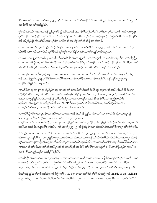နိဂ်မၤဃါတၫ်ကတိၤလၢအဝဲလဲၤဆူပျုၤပူၤန္ဂဂ်လီၤ.ဖဲအဆၢကတိႝၤအံၤအနိႝၤ်ဒိအိဂ်လၢတၤ်သွဂ်ခိဉ်အပူၤဖဲလၢအသးလဲၤဆူပှၤသံ ်'<br>တဖဉ်အိဉ်ဝဲအလိ်<sup>ရ</sup>အခါနဉ်လီၤ**.** 

မှ1်မဆါတနံၤအံၤႇပှၤလၢအသ့ဉ်ညါယွၤစ့ါ်ပီညါတနိၤတအဲဉ်ဒိးအၫဉ်လီၤတူ၊်လိ5်တ1်ကတိၤအကူ၁်လၢအမ့ါ် ''အဝဲလဲၤဆူပျုၤ ပူး '' ဘဉ်ႉတ<sup>၎</sup>အိဉ်<sup>6</sup>ှဉ်လၢမုၫ်မဆါတနံၤအား၊အါမးကျိဉ်ထံတၫ်ကတိၤတကုဉ်အံၤလၢယ့ဉ်ရှူးဘဉ်တၫ်ခူဉ်လီၤအီၤလီၤ.ဘဉ်ဆဉ်ဒီး .<br>အခ်ီပညီအိဉ်ဖျံဝဲလ်ံၤတံၤလီၤဆဲးတမ့္်ဒ်တၤ်မ႑ဖိတဖဉ်အတၤ်စူၤ်တၤ်နှာပာ်ဖျံဝဲအသိးဘဉ်.

တၫ်လၢပန<sup>ှ</sup>ုပၢါအိၤသ့တမံၤန္**ဉ်တ**်ကွဲးဟ်ဖျါဝဲလၢယ့ဉ်ရှူးဘဉ်တၢ်ခူဉ်လီၤအီၤဒီးလဲၤဆူပျုၤပူၤခံခါလၫာ်လီၤႉတၫ်ကတိၤခံကူာ် ့<br>အံၤအိဉ်လီၤဖးလိ်ာအသးဒီးပိဉ်ထွဲထိဉ်အခံကွ<sup>ရ</sup>ကွ<sup>ရ</sup>ာကက်စဉ်စိုးတစ်ိုးအတ<sup>ရ</sup>မာနိဉ်မာဃါအပူၤလီၤ*န* 

လၫအရာတမံၤန္ဉာိတၫ်ကတိၤပျုုပူၤအခ်ိဳပညီမ့ၫ်ဝဲဟိဉ်<sup>ဌ</sup>ဉ်အဖိလာ်နှဉ်လီၤ.ဘဉ်တၫ်ကွဲးအီၤလၢလံာ်စိဆှံအပူၤဒီးလၢတၫ်အိဉ်ဖှိဉ် လာပျπအတၫ်ကွဲးအပူာစ့ၫ်ကိုးပာဖျ်ထိဉ်ဝဲလာဟိဉ်နိဉ်အဖိလာ်အိဉ်ဒီးပှာသံတဖဉ်အသးလိၤ.ဘဉ်သွဉ်သွည်ဟာဆိကမိဉ်လာအဝဲ အံၤအိဉ်ဒီးအခ်ီပညီလၢအလီၤပလိ်ာအသးဒီးပှၤခရံဉ်ဖိလၢပျπတဖဉ်အတၫ်ဆိကမိဉ်လၢအမ့<sup>၎</sup> ''ပျုံၤပူး''နဉ်လီၤ*န* 

လၢတၫ်စ့ၫ်ဒ်အံၤအဃိနဉ်,ကျဲအစုၤကတ႑ာ်လၢပကမၤကတ႑ၢ်က္ၤပတ႑်မၤလိဘဉ်ဃးဒီးတ႑်မၢဖိအတ႑်စူၫ်တ႑်နှာ်သိဉ်လိပှၤ ဘဉ်ဃးယ့ဉ်ရှူးလဲၤဆူပျုၤပူၤနိ<sup>၎</sup>နိ<sup>၎</sup>မိလၢအသံဒီးဂဲၤဆၢထၢဉ်သမူထိဉ်က္ၤအဘၢဉ်စ႑န္ဉ်လိၤႉဘဉ်ဆဉ်ဒီးပျုၤပူၤအန ဆၫာ်စီးတ<sup>႖</sup>နဉ်မှ<sup>၎</sup>တ႑်မနုၤလဲဉ် $?$ 

လၫနံဉ်စိၤတဖဉ်လၫပျ႑ာနှဉ်ဟိဉ်<sup>ဌ</sup>ဉ်တဘ့ဉ်အံၤဘဉ်တ<sup>ှ</sup>စံးကတိၤအီၤဒ်အအိဉ်ထိဉ်ထူဉ်ဘျၢကလာ်အသိးလီၤႉဟိဉ်ခိဉ်လ႑ပှၤ ဟိ582683 န်လာအပူၤအီၤအိဉ်လၢတ<sup>ရ</sup>ဘ႑ာ်စπလီၤ.မူနိဉ်ဘီမု<sup>ရ</sup>မ့္ပါတ<sup>ရ</sup>လိ<sup>ရ</sup>လၢယ္ပၤဒီးအကလူးတဖဉ်အိဉ်ဝဲအလိ်ိုဒီးပှၤညီနု<sup>ရ</sup> ကိုးအီၤလၢမူခိဉ်နဉ်လီၤ.ဒီးလၢဟိဉ်ခိဉ်အဖိလာ်နဉ်ပှၤလၢအသံဝဲတဖဉ်အသးအိဉ်ဝဲဖဲနဉ်လီၤ.လၢဇ့ၤဘြံၤအလံာ်စိ ဆုံလိ်<sup>ရ</sup>လံၤအပူၤန္ဉဉ်ဘဉ်တ႑်ညီန႑်ကိုးအိၤလ႑ sheols ဒီးလၤဟူးလ့္ဉ်လံာ်စီဆုံအသိအပူၤန္ဉာ်လံာ်စီဆုံလိြလံၤလ႑ တၫ်ကျိဉ်ထံအီၤဆူဟူးလ့ဉ်အကျိဉ်ဘဉ်တ႑်ကိုးအီၤလ႑ hades နဉ်လီၤ.

လၢလံာ်စိဆုံလိ်<sup>ရ</sup>လံၤအပူၤနဉ်ပှၤအစှၤဒီးပှၤအအၤအသးအိဉ်ခိႏတၫ်စံဉ်ညိဉ်လၢခံကတၢၢ်လီၤႉလၢလံာ်စိဆုံအသိအပူၤနှဉ် hades ပျုံအက်ိဳးဘဉ်ထွဲဒီးပုံးအာအသးတဖဉ်ဒ် လံာ်လူးကဉ်ဝေး၁၅ ဟ်ဖျါဝဲအသိးလီၤ.ဒ်လဲဉ်စုၤဒ်လဲဉ်စုၤန္ဉာ်တချုးလ႑ယ္ဉာ်ရှူးစဲၤဆ႑ထ႑ာဉ်သမူထိဉ်က္ၤဒံးဘဉ်န္ဉာ်လံာ်စိဆုံအသိဟ်ဖျါဝဲလ႑ပှၤအတိ

အလိၤအသးအိဉ်လၫပျု၊ ကိ်ရစ်ကြီးလီး လိ်ာမာတ႑်၊ ၂၇-၂၉ ဟ်ဖျ်ထိဉ်စီးပာအတိအလို၊စီးအထီးအိဉ်လၫပျု၊ ကိ်ရစ်ကြီးလီး

ခဲအံၤန္ဉာ်ပဘဉ်န<sup>ှ</sup>ပၫ်ာလၢပျ႑ကီ်််ါဒီးလရာ်တဘဉ်တၫ်ဟ်အိၤဒ်သိးသိးဘဉ်ႉယ့ဉ်ၡူးအတၤ်ကတိၤဒိဘဉ်ဃးစီၤလါစရူးဒီးပှၤထူးပှၤ ္း<br>တိၤလၫ လူၤကဉ်၁၆း၁၉–၃၁ ဒုးနဲ့ဉ်ဝဲလၫပုၤအအၫဒီးပုၤအတိအလိၤအသးဘဉ်တ႑်ပၥ်လီၤဆီအီၤလီၤ.ဒီးဖဲလ႑ပုၤအၫပုၤသီဘဉ် တု်တ<sup>ှ</sup>လာတ်န်းတ<sup>ှ</sup>ဖြိဉ်အပူးနဉ်ပှၤတိပှၤလိၤဘဉ်တ်မြးမှာ်ထိဉ်ကွာအီးလီး လာတ်အဒိတခါအံာအပူးစီးအာကြာဟဉ်မ့ှ်ပုံ၊ ີ.<br>လၢအမၤမုာ်တၫ်လီၤႉလၢတၫ်နဉ်အဃိၦၤသ့ဉ်ညါယွπ့ၵ်ပီညါတဖဉ်ကိႏတၫ်လိႝၫ်အံၤလၢပျုၤကိႝၤ် "စီၤအၤဘြၤဟဉ်အကပၤ'' မ့ တမ့<sup>၎ ''</sup>စီးအာဘြာဟဉ်အသးနါၦ<sup>၎''</sup>နဉ်လီၤ.

တ<sup>ရ</sup>အိဉ်ဖှိဉ်အပါထၫဉ်ထၢလ်ယဉ်လၢအမ့<sup>ရ</sup>ပှၤကွဲးတ<sup>ရ</sup>တ၈ၤဖဲသၢယၤဖှိဉ်အဆၢကတိႝ<sup>ရ</sup>ပာ်ဖျဲထိဉ်တ<sup>ရ</sup>ရာ်တ<sup>ရ</sup>နာ်လၢအလီၤပလိဉ် အသးဘဉ်ဃးဒီးပျုၤကိ်\နဉ်လီၤ.အဝဲကွဲးဝဲဖဲအလံာ်တ\်ဖံးတ\ညဉ်အတ\်ရဲၤဆၢထၢဉ်သမူထိဉ်က္ၤအလံာ် အဆၢဒိဉ်၁၇ အပူၤဒ်အံၤႇတၫ်အသးတဖဉ်နှဉ်ခဲအံၤသ့ဉ်ညါတ႑်နးတ႑်ဖှိဉ်ဒီးတ႑်ဆိဉ်စုၤဆိဉ်ဝါလ႑ပျုပူပူ….တဲဖျါထိဉ်စီၤလါစရူးအစ့႑်နဉ်လီၤ.

ဒီးတၫ်အိဉ်ဖိုဉ်အပၫ်အံဉ်ကနါထံးယ႑ာ်စ်ကွဲးတၫ်ဖဲ A.D ၁၀၇ အဆ႑ကတိႝၫတဲစ့ၫ်ကိုးဝဲဖဲအကွဲးလံာ် Epistle of the Trallians အပူၤဒ်အံၤႇပှၤလၢအအိဉ်လၢဟိဉ်ခိဉ်အဖိလာ်(ယအဲဉ်ဒိးစံးလၢ)ပှၤအါ၈ၤလၢအက၈ဲၤဆၢထၢဉ်ဃုာ်ဒီးပကစ<sup>ု</sup>နဉ်လီၤႉဒ်လံာ်စိ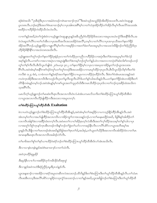ဆုံစံးဝဲအသိး ''ပုံၤစိဆုံဒီးပုၤလၢအမံဝဲတဖဉ်က၈ဲၤဆၢထၢဉ်ကၠၤဝဲ''ဒီးအဝဲသ့ဉ်အသွဉ်ခိဉ်အိးထိဉ်အသးလီၤ.အဝဲလဲၤဆူပျုၤ ပူးတ၈ၤလီး.ဘဉ်ဆဉ်ဒီးအတ<sup>ု</sup>ရဲးဆၫထ႑ာ်မ့<sup>၎</sup>လ႑ပုၤအါ၈ၤအ<sup>ရွ</sup>်မ့ှါလ႑တ႑်သံဒုးအိဉ်ထိဉ်တ႑်အိဉ်လီၤမှ<sup>၎</sup>လီၤဖးလိ်ာအသးအံၤ စးထိိဉ်လၢဟိဉ်<sup>3</sup>ဉ်ကဲထိဉ်သိလံၤလံၤလီၤ.

လၢတၫ်နဉ်အဃိႇဖဲတၫ်ကွဲးစံးဝဲလၢယ့ဉ်ရှူးလဲၤဆူပျုၤပူၤနှဉ်အခ်ိဳပညိိမ့ၢ်ဝဲဟိဉ်ခိဉ်ဖိအသးလၢအပူၤဟးယံၤကွံာ်ဒီးအနိ<sup>႖</sup>ခိလိၤ.အ ၀ဲလဲၤဆူတၫ်လိႝၤ်လၢတၤ်ဟ်အီၤလၢပုၤအတိအလိၤအသးအိဉ်၀ဲအလိႝၤ်,တမ့ၤ်လၢတၤ်လိၤ်လၢပုၤအၢပုၤသိအတၤ်နးတၤ်ဖိုဉ် အိဉ်အ<sup>ိုဇ</sup>ာ်ဘုန်းယွဉ်ရှူးအိဉ်လၫပျုၤက်ိဳ<sup>ရ</sup>မ့်<sup>ရ</sup>တ်လၫအရှုဒိဉ်လၫအတ်ဖီးတာ်မၤအပူၤမ့်၊လၫအသးလၤနီဖျိဘဉ်တ<sup>ှ်</sup>စံဉ်ညှိဉ်ဒ်ပှၤ ဟိ5်နိ5်ဖိန် နိုးလာအသံတရာအသိးလီး.

ယ့ဉ်ရူးအတၫ်တူၫ်ဘဉ်တၫ်နးတၫ်ဖိုဉ်ဒုးနဲဉ်ပုၤလၢတၫ်ကဲထိဉ်ပုၤကညီလၢဟိႆဉ်ခိဉ်လၢအပုံၤဒီးတၫ်ဒဲးဘးအပူၤမ့ၢ်တၫ်ဒ်လဲဉ် ႜႜႍၟၟ<br>ႜႜႜႜႍၟၣၛၟၟၣၛၟၟၟၣၜၟၯၜၣၯၮၜၯၯၟၟၣၣၛၟၣၜၟၣၣၯၣၯၣၣၣၣၣၣၣၣၣၣၣၣၣၣၣၣၣၣၣၣၣ တူ်တ႑်စ့႑်ကိုးလိုး စီးပိလူးဟ်ဖျံဝဲဖဲ ၂တံၤမသူး ၃း၁၂ တ႑်နးတ႑်ဖိုဉ်မှၤ်လ႑ဟုလ႑အဃုထ႑အိဉ်မူတ႑်ဘဉ်ယွၤအသးအ ရိဂ်လီၤ.အဝဲအံၤမ့ါအနီိါကစါဒဉ်ဝဲတူါပတါတူါတဖဉ်ဒီးအသးအိဉ်လၢကမၤမုာ်ထိဉ်က္ၤပှၤလီၤ.စီၤပီလူးသိဉ်လိစ့ါကီးတါဖဲ ကလီးစဲ ၁း၂၄ စံးဝဲ, လၫခံကတၫ်နှဉ်ခရံဉ်အတ႑်နးတ႑်ဖှိဉ်လၢပပူၤကလၢထိဉ်ပှဲၤထိဉ်ဝဲလီၤ. ဒီးဖဲတ႑်ဝဲအံၤမၤအသးနှဉ်အဝဲ ကဟဲက္၊အိဉ်ဒီးအလၤကပီၤဒီးကဟ့ဉ်လိၤပုၤတၫ်မူလီၤထူလီၤယိဉ်§ပတ႑်န္1သါအသိးန္ဉာလီၤႉပတ႑်နးတ႑်ဖိုဉ်အံၤတအိဉ်ဒီးတ႑် .<br>တိ>်နိတမံၤန္ဉာိတမ့်ါဘဉ်ႉအဝဲအံၤန္ဉာိမ့်ါကစါယွၤအတၤ်သူပှၤဒ်သိးဒီးကမၤသိထိဉ်က္ၤပှၤဒ်လၢတၤ်ဘဉ်တဲ့အခိဉ်ထံးအသိးက သ္အားရွ႕ပေး

ပမၤလိတ့်)ယှဉ်ရှူးဘဉ်တါမၤဆံးလီၤစှၤလီၤအလၤကပိၤဝံၤလံႉခဲအံၤပကမၤလိသကိႏတၤ်စံးထိဉ်ပတြ ၤယူာ်ထိဉ်ထိအီၤဖဲ လၫယ္မွာအလၤကပီၤလီဉ်ဖျ<mark>ိ</mark>ထိဉ်ကဒီးအသးလၫအပူၤတက္<mark>၄</mark>ါ.

## တ်စီးထိဉ်ပတြπယူာ်ထိဉ်ထိအီး Exaltation

ဖဲလၢပတဲယှဉ်ရှူးဘဉ်တၫ်စံးထိဉ်ပတြπယူာ်ထိဉ်ထိအိၤန္ဉ်,အဝဲအံၤမ့ၢ်တၢ်အရဒိဉ်လၢပကသ့ဉ်နိဉ်ထိဉ်အိၤန္ဉာလိၤ.အဝဲ အံၤတမ့ါတ1်လၢအဟ်ဖျါထိိဉ်အလၤကပိၤလၢအိဉ်ကျၤါဘၢအသးနဉ်ဘဉ် လၢတၤ်မၤနးမၤဖှိဉ်အဃိ, ဖိခွါဒိးန္1အါထိဉ်တ႑် လၤကပိၤအါန1်ဒီးလၢအခ်ိဳဉ်ထံးတက္2်လိၤးအဝဲမၤတ႑်လၢပါဆိဉ်စုၤတ္နါလံအီၤဒီးအတ႑်လုၤ်ထိဉ်အသးမ့ါတ႑်န္2်သါလၤပုၤ လၢအတူၫ်လိစူၫ်က္ၤနာ်က္ၤအိၤတဖဉ်ကဒိးန္ၫ်ဘဉ်တ႑်ခွဲးတ႑်ယာ်လၤကဆ္ဉါနိၤလိၤလၤလိႝၤပစိာ်လၤယွၤအဘိအမု႑်အ ပူးနဉ်လီး.နီဖြိုလၫတၫ်မၤတဖဉ်အံၤအဃိနဉ်ဖိခွါအတ႑်စ္ၤတ႑်ဝါ,အပါရမံ,တ႑်ယူးတ႑်ယိဉ်ဒီးအလၤကပီၤအါထိဉ်ဝဲဖဲလ႑တ႑်မၤ ...<br>...<br>အာမာနးဒီးမာစှာလီာအလာကပီာအခါဒဉ်လဲ၁်လီာ.

တၫ်မၢဖိအတၫ်စူၫ်တၫ်နှာ်ယπထိဉ်ဝဲခရံှာ်ဘဉ်တၫ်စံးထိဉ်ပတြπယူာ်ထိဉ်ထိအီၤဒ်လာ်အံၤအသိးလီၤ.

<u>ဒီးလၢသၢနံၤတနံၤန္ ဉ်အဝဲရဲၤဆၢထ႑ာ်လၢတ႑်သံလိၤ.</u>

အဝဲက္စ္ယာထိိုဉ်ဆူမူခ်ိဳ႕်

ဒီးဆုဉ်နီၤလၢပါလၢအစိဒိဉ်တုဉ်ကမီၤဒိဉ်ထိအစုထွဲ

ဒီးလ႑နှဉ်အဝဲကဟဲဒီးစံဉ်ညီဉ်ပှၤမူဒီးပွၤသံနဉ်လိၤ.

ယ္ပၤအန္**ဆၫ**ဉ်လၢအအိဉ်လၢခရံာ်အပူၤတဆီတလဲအသးဘဉ်ႉထိဘိန္ဉာ်ဒိးတၫ်စံးပတြ πဒီးတၫ်ယူာ်ထိဉ်ထိအိၤန္ဉာ်လိၤႉတၫ်သံမၤ လီၤဖးအီၤတသ့ဒီးအလိႝၤပစိ>်လၢမူခိဉ်တသုးကွံာ်အသးဘဉ်ႉလၢတၤ်နှဉ်အဃိႇယွၤအဖိခွါတဉ်တၤ်စံးပတြ πဒီးတၤ်ယူာ်ထိဉ်ထိ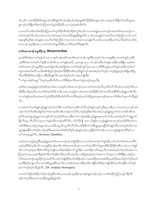အံၤ မ့ါလၢအဟိဉ်8်ဉ $\stackrel{2}{6}$ အနဆ႑ာ်အဂိါနဉ်လီၤ.ဒ်လဲဉ်စုၤဒ်လဲဉ်စုၤနဉ်ဒ်ဟိဉ် $\stackrel{2}{6}$ တြေနဆ႑ာ်လၢအပူၤလဲၤဒိဖျိတါအသိးယွၤအ နသ႑ာ်လဲၤ<sup>§</sup>ဈိတ<sup>ှ</sup>စံးတ<sup>ှ</sup>ပတြ πတ∫ယူာ်ထိဉ်ထိလၫလၫပှဲၤပဲ့ၤစ့<sup>၎</sup>ကီးလိၤ

ပကမၤလိသကိႏတၫ်စံးထိဉ်ပတြ πတၫ်ယူာ်ထိဉ်ထိခရံာ်အိဉ်ဝဲလွံၫိမံၤလိၤ.တၫတမံၤန္ဉာ်ပကတဲဘဉ်ဃးအတၫ်၈ဲၤဆ႑ထ႑ာ်လ႑ တၫ်သံအစ့ၢ်လိၤ.ခံမံၤတမံၤပကတဲဘဉ်ဃးအတၫ်က္ၤထိဉ်ဆူမူခိဉ်နှဉ်လိၤ.သၢမံၤတမံၤန္နဉ်ပကမၤလိအတၫ်စံဉ်ညီပၢတၫ်လၢပ႑် .<br>အစုထွဲဒီးလွံ<sup>ရ</sup>မံၤတမံၤန္ဉာပကမၤလိတၫ်စံဉ်ညီဉ်လၢအကဟဲလၢအဝဲကမၤဝဲနဉ်လိၤ.ခဲအံၤပကစးထိဉ်မၤလိသက်ိဳးခရံာ်အတၤ်ရဲၤ ဆၢထၢဉ်သမူထိဉ်က္ၤလၢတၫ်သံဖဲတၫ်ပျာထိအိၤသၢသိပံၤအလိၢ်ခံနဉ်လိၤႉ

### တ<sup>ှ</sup>ကဲဆောထာဉ်သမှုထိဉ်က္**း Resurrection**

ပုၤခရံဉ်ဖိအါရာတဟ်သူဉ်ဟ်သးလၢအစ့ၢ်ဘဉ်ႉခရံဉ်အတၤ်ရဲာဆၢထၢဉ်သမှုထိဉ်က္ဝမှ်၊တၤ်လၢအရှဒိဉ်လၢပတၤ်အှဉ်က္ခာနိဉ် က္ၤရိ<sup>ဌ</sup>ဒ်အတၫ်သံမ့ၢ်တၫ်ရုဒိဉ်အသိးလီၤႉလၢတၫ်နှဉ်အဃိႇ ၁ပူးတရူး ၃း၂၁ တဲဘဉ်ဃးဒီးတၫ်အုဉ်က္ၤဒိဉ်က္ၤဒိဖိျလၢခရံှာ်အ တၫ်ရဲးဆၢထၫဉ်သမှုထိဉ်ကူးအဃိန္ဉာ်လီး အါဘိုုံပစံးလၫကစၫ်ခရံာ်တူၫ်သံအသးလ႑ပရိၢဒိီးဟူဉ်ပုၤတၫ်အုဉ်ကူးဒိဉ်ကူးဒ်တ႑် ဟ့ဉ်တခါအသိးလီၤ.ပမ့ါ်စံးအီၤဒ်နဉ်ဘဉ်ဆဉ်တ<sup>ရု</sup>နိ<sup>ု</sup>နိ<sup>ု</sup>တခ်ီတမ့ါဒ်နှဉ်ဘဉ်.အဝဲအံၤမ့ါတ<sup>ှ</sup>က္ဉလၫယ့ဉ်ရှူးဟ့ဉ်ပှၤခီဖျိပအိဉ်မူ လိၤ၈ာ်ဒီးအိၤဒီးပစၢဖှိဉ်ပသးဒီးအိၤန္ဉာ်လီၤ.အဝဲအံၤမ့ါတ1်လၢအပာ်ဖျါထိဉ်

''တၫ်မူလၢခရံဉ်အပူး''ဒ်ပန<sup>ှ</sup>ဟူအီၤထိဘိလၢလံာ်စီဆုံအသိအတ႑်ကွဲးတဖဉ်အပူၤလီး

ပမ့ါ်စီးလၢအဖုဉ်နဉ်ကစါ်ခရံာ်အတါမၤလၢအမ့ါ်တါ၈ဲၤဆၢထၢဉ်က္ၤလၢတါသံအၢဉ်လိၤပှၤလီၤတံါလီၤဆဲးလၢပဝဲစ့ါကီးပက အိဉ်ဒီးတၫ်မူအသိလ႑ပတ႑်နာ်အဃိႇဒီးလ႑ခါလ႑အကဟဲနဉ်ပက၈ဲၤဆ႑ထ႑ာ်အိဉ်ဒီးတ႑်လၤကပိၤအနိ<sup>၎႙ဌ</sup>်ယှဉ်ရှူးအသိးလိၤႉ လၢတၫ်နဉ်အဃိႇအဝဲအတၫ်ယူာ်ထိဉ်ထိအိၤမ့ၢ်စ့ၫ်ကီးပတၫ်ဒီးဟ့ဉ်ပှၤတၫ်အိဉ်မူအသူးအသှဉ်အလၤကပိၤဒီးတ႑်ယူးတ႑်ယိဉ်နဉ်  $\mathcal{S}_1$ .

လၢအတၫ်သံအဃိနဉ်ယှဉ်ရူူးဘဉ်တၫ်ဟ်အီၤလၢတၫ်ဒဲးဘးအဖိလာ်လီၤ.မ့ၫ်ဒ်နဉ်သနာ်ကဲ့ဒီးနလဲ့ပစိပုၤလၢအသံတသ့ဘဉ်.အဝဲ ဘဉ်တၫ်ဟ်လီၤအိၤအါန1်ဒံးတ1်ဒဲးဘးအစိကမိၤတဖဉ်တက့ၫ်လီၤ.ဘဉ်ဆဉ်ဒီးတ1်ဒဲးဘးဆှၢယ့ဉ်ရှူးဆူတ1်သံလၢအစိကမိၤအ ဃိလီၤ.အဝဲပျဲယ့ဉ်ရှူးလၢကတူ်ကြသံ,ထံဉ်လိာ်အသးဒီးတၢ်သံဘဉ်ဆဉ်ဒီးယ့ဉ်ရှူးမၤနπတၤ်သံလီၤ.အဝဲအံၤမ့ၢ်တၢ်ဘူူးတၤ ဖြိုးလီးထူ လီးယိ5်လာပှၤလာအန5်အီးတဖဉ်အဂိ<sup>ုလ္ပြ</sup>ီး လံ5်လီဉ်ဖျ် ၁း၁၈ ဟ်ဖျ်ဝဲလာယ့ဉ်ရှူး၈ဲၤဆာထၫာ်ကူးအိဉ်ဒီးတ<sup>၎</sup>လၤ ကပိၤဒီးစံးဝဲႇယမ့္ပ်ပ္ၤအမူတ၈ၤႇယသံဒီးယမူလီၤထူလီၤယိ>်ႇဒီးယအိဉ်ဒီးတ႑်သံဒီးပျုၤပူၤအနိဉ်ဝံာ်ခံနဉ်လီၤႉအဝဲသူဝဲဒ်သိးကမၤ ထူဉ်ဖျဲးအနိ<sup>၎</sup>ကစ<sup>၎</sup>ဒဉ်ဝဲဘဉ်ဆဉ်ဒီးအဝဲဟံးဃာ်ဒံးဝဲဒ်သိးမု<sup>ှ</sup>တနံၤန္ဉာ်အဝဲကသူနိဉ်ဝံာ်ခံတဖဉ်လၢကမၤထူဉ်ဖျဲးအပှၤ<sup>ရွ</sup>်မုှ<sup>င်</sup>လၢ တၫ်သံအပူးနဉ်လီး. (Dr.Knox Chamblin)

တမ့်ၢ်ထဲလၫထူဉ်စုညါဒီးယ့ဉ်ရှူးအတၤ်ရဲာဆ႑ထ႑ဉ်က္ၤဟ်ဖျါထိဉ်ဝဲလ႑ပတၤ်ဒဲးဘးဘဉ်တၢ်ပျၤ်အိၤ တ႑်လှၤ်တၤ်ဒဲးဘးလ႑ပရိၤ် , ာဉ်ဆဉ်ဒီးဒ်အမှ<sup>ိ</sup>တက်လက်ရှိဒြိတခါအသိးတ<sup>ှ</sup>ကဲဆကာဉက္ လက်သံတဲစိဉ်တှိမူအသိဒီးဟိဉ်နိဉ်အစိၤလၢခံကတၫါနှဉ် လီၤ.တ<sup>၎</sup>ဘဉ်တ့အသိ(ဒ်လံာ်စီဆုံဟ်ဖျဲဝဲအသိး)စးထိဉ်ဖဲတၫ်သွဉ်မိဉ်လၢအအိဉ်ကလီအပူၤလီၤ.အဝဲအံၤမ့ၢ်တၫ်အသိတမံၤလၢပ ကြားဟ်သးလၢအစု<sup>ရှိ</sup>ဒီးမ့<sup>ရ</sup>စု်ကိုးတ<sup>ုံ</sup>စံဉ်စိၤတဲစိၤအသိတမံၤလီၤ.ပအိဉ်မူခဲအံၤမ့ါတ<sup>ရ</sup>အကတၫါအဆၢကတိ<sup>ရှိ</sup>ဒိဖိျလၢခရံှာအ တၫ်၈ဲၤဆၢထၢဉ်သမှုထိဉ်က္ၤအဃိလိၤႉအဝဲဟ်ဖျါထိဉ်ဝဲတၫ်အခိဉ်ထံးလၢအစးထိဉ်အသးအံၤဒီးပုၤခရံာ်ဖိအတ႑်မှၫ်လ႑်မ့ၫ်ဝဲတ႑် အသိဒိီးမ့်္ဂါဝဲကျဲတဘိလၢတ႑်အိဉ်မူအရိ်္ဂါတုၤလိၤလၢခရံှာ်ဟဲက္ၤကဒိီးအသိတဘိုုဒ်လံှာစိဆုံဟ်ဖျ်ထိဉ်ဝဲအသိးအနိ်ိုကစဉ်ဒဉ်ဝဲ မ့်)တ<sup>ှ</sup>ဘဉ်တဲ့အသိန္နဉ်လီး. (Dr. Jonathan Pennington)

လၢတၫ်ဟ်ဖှိဉ်အါထိဉ်တၫ်စ့ၫ်ဘဉ်ထွဲဒီးတၫ်စဲၤဆၢထၢဉ်သမူထိဉ်က္ၤအစ့ၫ်နဉ်ပထံဉ်ဘဉ်လၢတၫ်စံးထိဉ်ပတြ πယူာ်ထိဉ်ထိ ခရံှာပာ်ဃှာ်ဒီးအတၤ်က္ $\tau$ ထိဉ်ဆူမှုခိဉ်နဉ်လီ $\tau$ .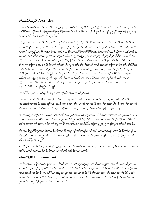## တ<sup>ရ</sup>က္ပ္အထိုခ်ဆူမူခ်ိန် Ascension

တၫ်က္ၤထိဉ်ဆူမူခ်ိဉ်မ့ၢ်တၫ်အကတိႝၤ်လၢယ့ဉ်ရှူးဘဉ်တၫ်စိ႒်ထိဉ်အနိ<sup>႖</sup>ခ်ိအံၤဆူမူခ်ိဉ်နှဉ်လီၤႉဖဲအဝဲ၈ဲၤဆၢထ႑ာ်သမူထိဉ်က္ၤငံၤ အလိ်််ုခံအသိလွှဲ််ုဆံနဉ်ယှဉ်ရှူးကွၤထိဉ်ဆူမူခိဉ်လၢကလံၤကျါလီၤ.စီၤလူၤကဉ်ဟ်ဖျါတၤ်က္ၤထိဉ်ဆူမူခိဉ်ဖဲ လူၤကဉ်၂၄း၅၀–၅၁ ဒီး မၤတၫ်ား၆–၁၁ ခံဆၤလၫာ်အပူၤလီၤ.

ယှဉ်ၡူးအတ<sup>၎</sup>မာလၢအမ့<sup>၎</sup>တၫ်က္ာထိဉ်ဆူမူခိဉ်အံာမာလၢထိဉ်ပှဲာထိဉ်တၫ်အါမံာလၢအမာဝဲတသ့ဖဲလၢအအိဉ်လၢဟိဉ်ခိဉ်အ ဆၢကတိႝနဉ်လီၤ.အဒိ, ဖဲ လံာ်ယိၤဟဉ်၁၄း၂–၃ ယ့ဉ်ရှူးစံးဘဉ်တၫ်မၢဖိတဖဉ်လၢအဝဲက္ၤထိဉ်ဒ်သိးကကတဲာ်ကတိၤတၫ်လိၤ် ္<br>လၢအရိ<sup>ရ</sup>လၢမူခိုဉ်လီၤ. ဒီး ယိၤဟဉ်၁၆း၇ အဝဲစံးဝဲဒဉ်ဖဲလၢအအိဉ်လၢဟိဉ်ခိဉ်အံၤန္ဉာ်အဝဲဆုၤလီၤသးစီဆုံလၢကဟ့ဉ်စိဟ့ဉ်က မီၤတၫ်အိဉ်ဖှိဉ်ဒ်သိးအကမၤယွၤတၫ်မၤတသ့ဘဉ်ႉအါနှၤ်အနှဉ်တခ်ိနှဉ်ယှဉ်ရှူးကဘဉ်က့ၤထိဉ်ဆူမူခိဉ်ဒ်သိးဒီးကမၤလၢထိဉ်ပှဲၤ ထိဉ်တ႑်လှေလာထူဉ်စုညါအလိၤန္ဉာလိၤႉ ပုၤကွဲးလံာ်ဇူးဘြိၤစ့ၫ်လိာ်တ႑်ဝဲအံၤဖဲ အဆၢဒိဉ်၈ ဒီး ၉ ဒ်အံၤလီၤ.ပမ့ၫ်စီးလၢအ ဖုဉ်နဉ်လံာ်ဇူးဘြုံစံးဝဲလၢဟိဉ်<sup>႙ွ</sup>ဉ်အတ<sup>ှ</sup>လု<sup>ရ</sup>ဟုံဉ်မ့<sup>ရှ</sup>မှုခိဉ်အတ<sup>ှ</sup>လု်ဟံဉ်အဒိနှဉ်လီၤ.ဒီးအဝဲထိဉ်သတြိုခရံာ်အတ<sup>ှ</sup>လု<sup>ရ</sup>ထိဉ်အ သးဒီးဟိဉ်ခိဉ်အပုၤလှၤ်တၤ်အဒိဉ်အခိဉ်တဖဉ်အတၤ်လှၤ်လၤအလှၤ်၀ဲဖဲအဝဲသ့ဉ်ဟံးနှၤ်တၤ်သွံဉ်လၤတၤ်လှၤ်ထိဉ်အီၤဆူတၤ် ္<br>လိ<sup>ု</sup>စိဆုံက တၫ်အလိ်<sup>ရန္မ</sup>းဖှံတၫ်သွံဉ်လၫတ႑်လုၤ်လိ<sup>ု</sup>ဒ်သိးဒီးပှၤတၫ်ဒဲးဘးဖိတဖဉ်အတၫ်ဒဲးဘးကပျၫ်အ<sup>ရွ</sup>်လီၤ.လၫကျဲတ မံၤဃိအပူၤအံၤနဉ်ယှဉ်ရှူးလဲၤနုဉ်လီၤဆူတၫ်လိ<sup>ု</sup>စိဆုံကတ႑ါအလိႝၤ်လၢအမ့ၢိမူခိဉ်အတၤ်လုၤ်ဟုံဦးဖှံလီၤအနိ<sup>႖</sup>ကစၤ်အ သွံဉ်လၢတၫ်လုၫ်လိႝၫအဖိခိဉ်နဉ်လီၤ.ဒီးအဝဲအံၤမ့ၢ်တၫမာလၢထိဉ်ပှဲၤထိဉ်တ႑်လုၫ်တ႑်ဟ်အလုၫ်အလၤ်လၢယ့ဉ်ရျုးစး ထိဉ်တ့်လံအီးလၢထူဉ်စုညါအလိၤနဉ်လီး.

လံာ်ဇူးဘြီး ၉း၁၁–၁၂ ဟ်ဖျါထိဉ်ခရံာ်အတၢ်လု၊်ထိဉ်အသးလၢမူခိဉ်ဒ်အံုး

ဖဲခရံာ်ဟဲဒ်ပှၤလုၢိတၢ်အဒိဉ်လၢအဒိဉ်အထိတၵၤ…ခရံာ်ကဲထိဉ်တၢ်အစုၤလၢအကဟဲဝဲတဖဉ်အပှၤလု၊်တၢ်အဒိဉ်အခိဉ် ဘဉ်ဃးဒီးဒဲလၫအဒိဉ်န<sup>ှ</sup>ဒြီးလၫန<sup>ှ</sup>ပြဲၤန<sup>ှ</sup>အြနဉ်တက့်ၤလၫတၫ်တမၤဘဉ်လၫစုဘဉ်ဒ်ပစံးတၫ်အသိးတမ့်ၢ်ဘဉ်လ႑တၫ်တဲ့အီၤဘဉ်**.** 

အါန1်ဒံးအနဉ်တက့ါ်နဉ်ဒ်ပပှၤလုၢ်တၢ်အဒိဉ်အခိဉ်လၢမူခိဉ်အသိး,ခရံဉ်ဃ့တၢ်လၢပရိၢိဒိးဃ့ကညးတၫ်လၢပခၢဉ်စးလၢတၢ်ပျၤ်ပ တ<sup>ြ</sup>ဲဆားဖဲလ ၊ပမၤတ<sup>ြ</sup>ဲဆားအခါလီၤပှၤသ့ဉ်ညါယွၤစ့<sup>ရ်</sup>ပညါတဖဉ်တဲဖျံခရံာ်အတ<sup>ျ</sup>မၤလၢမူခိဉ်အတ႑်လုၤ်ဟုဉ်ဒ်အတ႑်ဖံးတြမၤ တခါအသိးဒီးအတၫ်မၤအံၤဟ္ဥပုံဟာအိုက္နဲ႔ အိုက္နီးလ္နီယမ္းလုပ္ငန္ဥလိုး ေနာက္ပြဲ၊ ၇ႏ၂၄ႏွစ္ပြဲ တဲဖျံထိဉ်အတ႑်မၤဒ်အံၤလိၤ

မ့<sup>၎</sup>လၫယ့ဉ်ရူုးအိဉ်မူဝဲအစိၤစိၤအဃဉ်ဃဉ်သတးဒီးႇအပှၤလုၢ်တၢ်အဒိဉ်အလိၢ်တလဲလိဉ်အသးဘဉ်ႇမၤသးဒ်နှဉ်ဒီးမ့ၢ်အမူဝဲတ ထံဉ်ဃီဒ်သိးအကဃ့ကညးတၫ်လၢပရိႝသတးဒိီး,အုဉ်က္ၤခ်ိဳဉ်က္ၤပှၤလၢအဟဲဝဲဆူယွၤအအိဉ်လၢအိၤတဖဉ်နဉ်တုၤအလၢာ်သ့ 0001. (ตุเว*็*น ?: 19-19)

ဒ်ပထံဉ်နှ<sup>ှ</sup>လၢလံာ်စီဆှံအပူၤအသိးနဉ်ယှဉ်ရှူးအတ<sup>ှ</sup>က္aထိဉ်ဆူမူခိဉ်မ့ှ်တှ်အရှဒိဉ်လၢအတှ်အုဉ်ကူးခိဉ်ကွာတှ်အတှမြာအ ပူးလီး အဝဲမ့်ာ်တက္နာထိဉ်ဘဉ်နဉ်ပတုၤလၢတၢ်အှဉ်ကူးခ်ိဳဉ်ကူးတသ့ဘဉ်.

#### ගිහාය 868 Enthronement

လံာ်စီဆုံအသိဟ်ဖျ်ထိဉ်ယှဉ်ရှူးအတ<sup>ရ</sup>ပၢလိ<sup>ု</sup>ပစိာ်လၢပါကစါယွာအစုထွဲလၢလံာ်စိဆုံတဘျူးဆၢအပူာလီာ.တ<sup>ရ</sup>အခ်ိဉ်ထံးလၢပ နှၤ်ပาါအီၤသ့နဉ်ယှဉ်ရှူးမ့ၤ်ဟိဉ်ခိဉ်အစီၤပၤဖးဒိဉ်ဒီးအဝဲအိဉ်ဒီးလိ်ၤပစိဉ်လ႑မူခိဉ်လ႑အဆုဉ်နီၤလ႑ပါအလိၤ်ပစိဉ်အစုတွဲတခ်ိနဉ် ္<br>လီၤ.ဖဲအံၤန္ဉာပထံဉ်ဘဉ်လၫပၫ်မ္ၫစီၤပၤဖးဒိဉ်လ႑ပ္ၤပၫတ႑်အဂၤအဖီဒိဉ်ဒီးဖိချွမ္ၫပ္ၤလ႑အဆံးန္႑်ပၫ်ဒီးမၤအတ႑်န္ဉာလီၤ.အဝဲ ပူၤဒီးဟ့ဉ်တ<sup>၎</sup>ယူးယိဉ်ဆူပှၤပၢတ<sup>၎</sup>အဒိဉ်တ၈ၤနှဉ်လီၤ*.*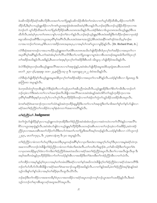ဖဲပဆိကမိဉ်ထိဉ်ခရံာ်အစီၤလိဉ်စီၤပၤအတၫ်ပၢတၫ်ပြးနဉ်ပဆိကမိဉ်အီၤဒ်တၫ်တမံၤလၢတၫ်ယူာ်ထိဉ်ထိအိၤႇအိဉ်လၢတၫ်လိ႑် ထိဉ်ထိႇဒီးမ့<sup>၎</sup>လၫယ့ဉ်ရှူးအိဉ်လၫပါကစါယွၤအစုထွဲခဲအံၤအဃိအဝဲမ့<sup>၎</sup>စီၤပၤန္ဉာ်လိၤႉဘဉ်ဆဉ်ဒီးပဘဉ်သ့ဉ်နိဉ်ထိဉ်က္ၤလၢအ ့<br>ဝဲဘဉ်တ1် ယူ၁်ထိဉ်ထိအတ1်ပၢတ1်ပြးဒ်ဟိဉ်ခိဉ်အစီးပၤတၵၤအသိးနဉ်လိၤႉပအဲဉ်ဒိးစံးလၢဒ်ယွၤတၵၤအသိးယ့ဉ်ရျူးမှ1်စီးပၤ ထိဘိလီၤႉအဝဲမ့<sup>ရ</sup>ပှၤပၢတၫ်တ၈ၤလၫန်ှၤ်ပၢဘဉ်တ႑်ခဲလ႑ာ်နဉ်လီၤႉဘဉ်ဆဉ်ယ့ဉ်ရျုံးမ့<sup>၎</sup>စီၤဒၤဝံးအ<sup>8</sup>ခွါဒီးကဲထိဉ်ခ႑ာ်စးလ႑ပှၤအံဉ် စရလးဖိတဖဉ်အရိ<sup>ုမှ</sup>ီးလၢယွၤအပှၤရိ<sup>ု</sup>မှ<sup>ု</sup>အဂိ်ုလိၤ.စီၤပာဒာဝံးအစ႑ာအသွဲဉ်,ဒ်စီၤဒာဝံးအနိ<sup>ု</sup>ကစၫ်ဒဉ်ဝဲအသိး,မ့<sup>ှ</sup>ခ႑ာ်စး လၢအပၢဘဉိတၫ်တၵၤႇမ့ၢိစီၤပၤလၢအဒိဉ်တၵၤအခ့အပှၤႇလၢအမ့ၢိပၫ်ကစၫ်ယွၤလၢမူခိဉ်နှဉ်လီၤ.  $(Dr.$  Richard Pratt, Jr. $)$ 

လံာ်စိဆုံအဆၢတဖဉ်လၢအယπထိဉ်ယ့ဉ်ရှူးအတၫ်မၤဒ်စီၤပၤတၵၤအသိးဟ်ဖျ်ထိဉ်အိၤဒ်ပှၤလုၢ်တၫ်အဒိဉ်လၢအဃ့တ႑်လၢ အပှာဂီိါမုါအဂီါနဉ်လီၤ.တါအဝဲအံၤမ့ါတါလိိါပလိာ်ဒီးတါပၢတါပြးသနူလၢပျπဖဲလၢစီၤပာတဖဉ်အမူအဒါလီၤ၈ာ်ဒ်ပှၤလုါ တၫ်အဒိဉ်အသိးနဉ်လီၤ.အဒိန္ဉာ်,စီၤမၤလကံစဒ္ဒးမ့ၢိပှၤလုၢ်တၫ်အဒိဉ်ဒီးစီၤပၤဒ် ၁မိၤရှ၁၄ ဟ်ဖျ်ထိဉ်ဝဲအသိးနဉ်လီၤ.

ဖဲလံာ်စီဆုံစံးပှၤဘဉ်ဃးဒီးယှဉ်ရှူးအလိ်ၤအလၤလၢပါအစုထွဲနဉ်,အဝဲအံၤဟ်ဖျါထိဉ်အမူအဒါဒ်ပမ့ၤရှံအၤပစိၤဟတၵၤဒ် မၤတၫ် ၂း၃၀–၃၆,အူးဖူးစူး ၁း၁၈–၂၃,ဖူးဘြုံၤ၁း၃–၉ ဒီး ၁ပူးတရူး၃း၂၁း၂၂ စံးဝဲအသိးနဉ်လီၤ.

လံာ်စီဆုံဟ်ဖျ်ထိဉ်စ့်ကိုးယှဉ်ရှူးအမူအဒါဒ်ပှၤလုၤ်တၤ်အဒိဉ်အခိဉ်လၢအဃ့တၤ်လၢပရိၤ်နှဉ်လီၤ.ပထံဉ်နှၤ်အီၤလၢ ရိမ့ၤ၈း၃၄ ဒီး င့ာဘြီၤၵး၁ အပူၤန္)်လီၤ.

ဖဲပက္ၤဃိထံကွ်က္ၤအိၤန္ဉဴလံာ်စိဆုံခံတိၤလၫာ်ဟ့ဉ်ပှၤတၫ်အခ်ဳပညီတမံၤဃီလီၤႉယ့ဉ်ၡူးအိဉ်ဒီးတၫ်စိတ႑်ကမီၤဒီးပၢဘဉ်တ႑် ဘဉ်တဲ့ခဲလၫာ်ဒီးအဝဲပၫတ<sup>်</sup>၊လၢပါအခၢဉ်စးလီၤ.နိဖြိုလၢအလိ<sup>ု</sup>အလၤအဝဲအံၤနဉ်အဝဲဟဲစိဉ်တါအုဉ်ကူးနိဉ်ကုၤလၢအ ပှၤ<sup>ရွ</sup>်မှ<sup>ု</sup>အရိ<sup>ုဒ္</sup>ဒီးဒုးန>်ပှၤသပှ<sup>ု</sup>ပှ<sup>ှ</sup>လၢပၢ်ကွှၢ်လီၤပှၤဟိဉ်<sup>ဌ</sup>ဉ်ဖိတဖဉ်လၢတၢ်အဲဉ်တၢ်ကွံတၢ်သူဉ်အိဉ်သးအိဉ်အိၤအပူၤလီၤ

ဖဲကစါ်ခရံာ်ရဲာဆၢထၢဉ်က္ၤလၢတါသံဝံၤန္ဉာ်အဝဲက္ၤထိဉ်ဆူမှုခိဉ်ဒီးပၢတၤ်လၢပါအစုထွဲဒီးတၤ်မၢဖိအတၤ်စူါတၤ်နာ်ပာ်ဖျါဝဲလၢ ခရံာ်အတ<sup>ှ</sup>စံဉ်ညိဉ်တ<sup>ြ</sup>ကအိဉ်ဝဲလၢမု<sup>န္</sup>နံ၊ခံကတ႑ါအဆ႑ကတိ<sup>ြ</sup>န္ဉဉ်လီး

## တ<sup>ှ</sup>စံဉ်ညီဉ်တ**ှ Judgment**

ဖဲတၫ်ကွဲးပာ်ဖျါထိဉ်နှၤ်ပုၤလၢယ့ဉ်ရူူးကဟဲက္πအိဉ်ဒီးတ႑်စံဉ်ညိဉ်အဝဲအံၤစံးဘဉ်ပုၤလၢအဝဲကဟဲလၢတ႑်လိြဖဲနှဉ်လၢအလိၤ်ပ .<br>စိ5်လၫယ္ပၤအစုထွဲနှဉ်လိၤႉအဝဲအံၤဟ်ဖျါဝဲလ႑ယူဉ်ရူူးမ့<sup>၎</sup>ဟိဉ်ခိဉ်စီၤပၤတဖဉ်အစီၤပၤလ႑တ႑်ဘဉ်တဲ့ခဲလ႑ာ်အဖိခိဉ်ႇအဝဲကစံဉ် .<br>ညိဉ်ပှၤလၢအမၤဟးရိၤအတ<sup>ၡ</sup>သိဉ်တ<sup>ရ</sup>သီဒီးတပဉ်ကဲအတ<sup>ရ</sup>ပၢတ်ပြးဒီးအဘိအမု)်တဖဉ်နဉ်လိၤ.ပထံဉ်နှၤ်အီၤလၢ လံဉ်လူၤကဉ် ၂၂:၃၀, မၤတၢ်၁၇:၃၁, ဒီး ၂သ့းစၤလနံ၁း၅ ဒီး ၄း၁ အပူၤန္>်လီၤ.

တၫ်စံဉ်ညီဉ်လၢခံကတၫၢ်ပာ်ဃုာ်ဒီးပှၤအသံဒီးပှၤမူတဖဉ်အ<sup>ရွ</sup>ာ်မှၤ်လၢပှၤကိႏၵၤဒဲးလၢအမူတ့ၫ်ပာ်ဃုာ်ဒီးပှၤလၢအမူဖဲခရံာ်ဟဲက့ၤ အဆၢကတိိၢကဘဉ်လဲၤခီဖျိတၫ်စံဉ်ညိႆဉ်လၢခံကတၫၢ်အံၤကိႏၵၤဒဲးလီၤ.တၫ်ကတိၤကိႏဖျၫာ်ဒဲး ,တၫ်ဆိကမိဉ်ဒီးတၫ်ဟူးတၫ်ဂဲၤ လၫပှၤတၵၤအိဉ်မူတ့ၫ်ဝဲခဲလ႑ာ်ကဒိးတ႑်စံဉ်ညိဉ်ဒ်အမၤဝဲအသိးလၢခရံာ်အတ႑်စံဉ်ညိဉ်အပူၤလီၤ.ဒီးတ႑်လၢအလီၤပုံံျလီၤဖုး ဒီး .<br>အမှၫ်အတိတမံၤန္ဉာိၦၤဟိဉ်ိခ်ဉ်ဖိခဲလ႑ာ်တၫ်ကထံဉ်နှၤ်အီၤလၤအအိဉ်ဒီးတၤ်ဒဲးဘးဒီးတၤ်ကစံဉ်ညှိဉ်အီၤလၢတၤ်သံလီၤ

တၫ်ကစိဉ်လၢအမုာ်နဉ်မှၫ်ဝဲပှၤလၢအမ့ၢ်တၢ်တမံၤဃိဒိးခရံာ်လၢတၢ်နာ်အဃိကလဲၤဒီဖျိတ့ၫ်တၫ်စံဉ်ညီဉ်ဖဲလၢခရံာ်သံအကတိၫဒိး ဘဉ်တၫ်ဟ်တီဟ်လိၤအီၤခီဖျိလၢခရံာ်အတ႑်၈ဲၤဆၢထ႑ာ်သမူထိဉ်အဃိနဉ်လီၤ.လၢတ႑်နဉ်အဃိႇဖဲတ႑်စံဉ်ညိဉ်အမုၢိနံၤနဉ်အဝဲ သည်ကဒိးနဂ်တဂ်နဂ်သါလၢအမှ်ာတဂ်ဆိဉ်စုၤလီၤထူလီၤယိ5လီၤ.

ဘဉ်ဆဉ်ဒီးတၫ်ကစိဉ်လၢအအၫတခ်ိမ့ၢ်ဝဲပုၤလၢအတအိဉ်လၢခရံာ်အပူၤတဖဉ်ကတူၢ်ဘဉ်ယွၤအတ႑်သးထိဉ်နှဉ်လီၤ.ဒီးအဝဲ သ့ဉ်ကဘဉ်တၫ်ဆုၫအိၤဆူလရာ်အထူအယိာ်အပူၤလီၤ.